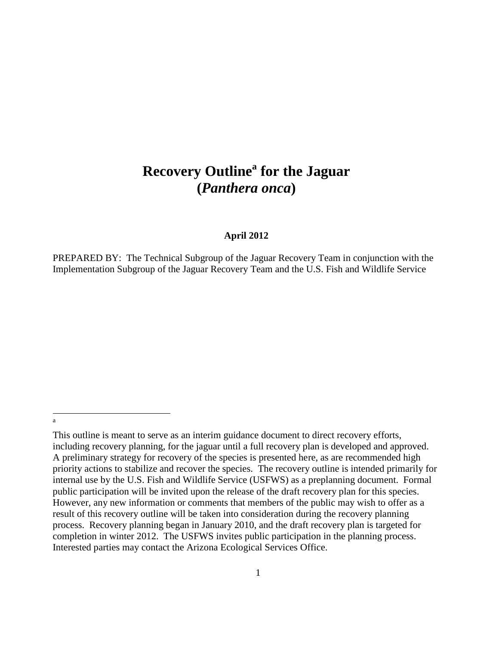# **Recovery Outline<sup>a</sup> for the Jaguar (***Panthera onca***)**

#### **April 2012**

PREPARED BY: The Technical Subgroup of the Jaguar Recovery Team in conjunction with the Implementation Subgroup of the Jaguar Recovery Team and the U.S. Fish and Wildlife Service

 a

This outline is meant to serve as an interim guidance document to direct recovery efforts, including recovery planning, for the jaguar until a full recovery plan is developed and approved. A preliminary strategy for recovery of the species is presented here, as are recommended high priority actions to stabilize and recover the species. The recovery outline is intended primarily for internal use by the U.S. Fish and Wildlife Service (USFWS) as a preplanning document. Formal public participation will be invited upon the release of the draft recovery plan for this species. However, any new information or comments that members of the public may wish to offer as a result of this recovery outline will be taken into consideration during the recovery planning process. Recovery planning began in January 2010, and the draft recovery plan is targeted for completion in winter 2012. The USFWS invites public participation in the planning process. Interested parties may contact the Arizona Ecological Services Office.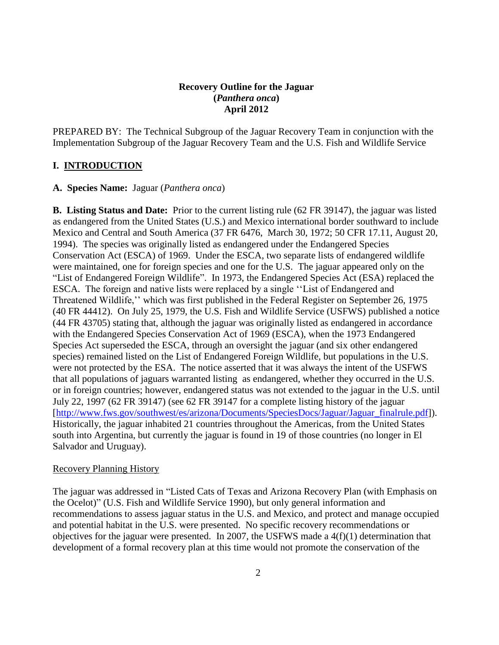# **Recovery Outline for the Jaguar (***Panthera onca***) April 2012**

PREPARED BY: The Technical Subgroup of the Jaguar Recovery Team in conjunction with the Implementation Subgroup of the Jaguar Recovery Team and the U.S. Fish and Wildlife Service

# **I. INTRODUCTION**

# **A. Species Name:** Jaguar (*Panthera onca*)

**B. Listing Status and Date:** Prior to the current listing rule (62 FR 39147), the jaguar was listed as endangered from the United States (U.S.) and Mexico international border southward to include Mexico and Central and South America (37 FR 6476, March 30, 1972; 50 CFR 17.11, August 20, 1994). The species was originally listed as endangered under the Endangered Species Conservation Act (ESCA) of 1969. Under the ESCA, two separate lists of endangered wildlife were maintained, one for foreign species and one for the U.S. The jaguar appeared only on the "List of Endangered Foreign Wildlife". In 1973, the Endangered Species Act (ESA) replaced the ESCA. The foreign and native lists were replaced by a single ''List of Endangered and Threatened Wildlife,'' which was first published in the Federal Register on September 26, 1975 (40 FR 44412). On July 25, 1979, the U.S. Fish and Wildlife Service (USFWS) published a notice (44 FR 43705) stating that, although the jaguar was originally listed as endangered in accordance with the Endangered Species Conservation Act of 1969 (ESCA), when the 1973 Endangered Species Act superseded the ESCA, through an oversight the jaguar (and six other endangered species) remained listed on the List of Endangered Foreign Wildlife, but populations in the U.S. were not protected by the ESA. The notice asserted that it was always the intent of the USFWS that all populations of jaguars warranted listing as endangered, whether they occurred in the U.S. or in foreign countries; however, endangered status was not extended to the jaguar in the U.S. until July 22, 1997 (62 FR 39147) (see 62 FR 39147 for a complete listing history of the jaguar [\[http://www.fws.gov/southwest/es/arizona/Documents/SpeciesDocs/Jaguar/Jaguar\\_finalrule.pdf\]](http://www.fws.gov/southwest/es/arizona/Documents/SpeciesDocs/Jaguar/Jaguar_finalrule.pdf)). Historically, the jaguar inhabited 21 countries throughout the Americas, from the United States south into Argentina, but currently the jaguar is found in 19 of those countries (no longer in El Salvador and Uruguay).

# Recovery Planning History

The jaguar was addressed in "Listed Cats of Texas and Arizona Recovery Plan (with Emphasis on the Ocelot)" (U.S. Fish and Wildlife Service 1990), but only general information and recommendations to assess jaguar status in the U.S. and Mexico, and protect and manage occupied and potential habitat in the U.S. were presented. No specific recovery recommendations or objectives for the jaguar were presented. In 2007, the USFWS made a 4(f)(1) determination that development of a formal recovery plan at this time would not promote the conservation of the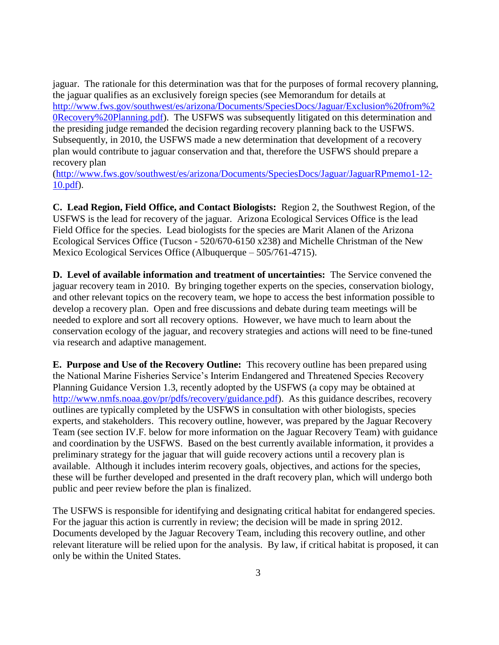jaguar. The rationale for this determination was that for the purposes of formal recovery planning, the jaguar qualifies as an exclusively foreign species (see Memorandum for details at [http://www.fws.gov/southwest/es/arizona/Documents/SpeciesDocs/Jaguar/Exclusion%20from%2](http://www.fws.gov/southwest/es/arizona/Documents/SpeciesDocs/Jaguar/Exclusion%20from%20Recovery%20Planning.pdf) [0Recovery%20Planning.pdf\)](http://www.fws.gov/southwest/es/arizona/Documents/SpeciesDocs/Jaguar/Exclusion%20from%20Recovery%20Planning.pdf). The USFWS was subsequently litigated on this determination and the presiding judge remanded the decision regarding recovery planning back to the USFWS. Subsequently, in 2010, the USFWS made a new determination that development of a recovery plan would contribute to jaguar conservation and that, therefore the USFWS should prepare a recovery plan

[\(http://www.fws.gov/southwest/es/arizona/Documents/SpeciesDocs/Jaguar/JaguarRPmemo1-12-](http://www.fws.gov/southwest/es/arizona/Documents/SpeciesDocs/Jaguar/JaguarRPmemo1-12-10.pdf) [10.pdf\)](http://www.fws.gov/southwest/es/arizona/Documents/SpeciesDocs/Jaguar/JaguarRPmemo1-12-10.pdf).

**C. Lead Region, Field Office, and Contact Biologists:** Region 2, the Southwest Region, of the USFWS is the lead for recovery of the jaguar. Arizona Ecological Services Office is the lead Field Office for the species. Lead biologists for the species are Marit Alanen of the Arizona Ecological Services Office (Tucson - 520/670-6150 x238) and Michelle Christman of the New Mexico Ecological Services Office (Albuquerque – 505/761-4715).

**D. Level of available information and treatment of uncertainties:** The Service convened the jaguar recovery team in 2010. By bringing together experts on the species, conservation biology, and other relevant topics on the recovery team, we hope to access the best information possible to develop a recovery plan. Open and free discussions and debate during team meetings will be needed to explore and sort all recovery options. However, we have much to learn about the conservation ecology of the jaguar, and recovery strategies and actions will need to be fine-tuned via research and adaptive management.

**E. Purpose and Use of the Recovery Outline:** This recovery outline has been prepared using the National Marine Fisheries Service's Interim Endangered and Threatened Species Recovery Planning Guidance Version 1.3, recently adopted by the USFWS (a copy may be obtained at [http://www.nmfs.noaa.gov/pr/pdfs/recovery/guidance.pdf\)](http://www.nmfs.noaa.gov/pr/pdfs/recovery/guidance.pdf). As this guidance describes, recovery outlines are typically completed by the USFWS in consultation with other biologists, species experts, and stakeholders. This recovery outline, however, was prepared by the Jaguar Recovery Team (see section IV.F. below for more information on the Jaguar Recovery Team) with guidance and coordination by the USFWS. Based on the best currently available information, it provides a preliminary strategy for the jaguar that will guide recovery actions until a recovery plan is available. Although it includes interim recovery goals, objectives, and actions for the species, these will be further developed and presented in the draft recovery plan, which will undergo both public and peer review before the plan is finalized.

The USFWS is responsible for identifying and designating critical habitat for endangered species. For the jaguar this action is currently in review; the decision will be made in spring 2012. Documents developed by the Jaguar Recovery Team, including this recovery outline, and other relevant literature will be relied upon for the analysis. By law, if critical habitat is proposed, it can only be within the United States.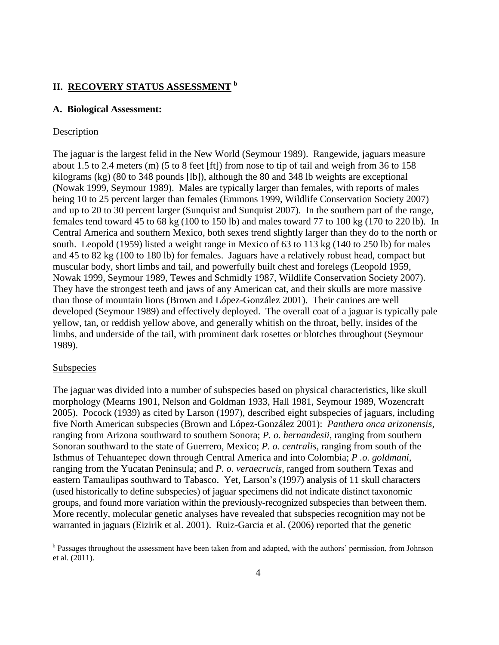# **II. RECOVERY STATUS ASSESSMENT <sup>b</sup>**

#### **A. Biological Assessment:**

#### **Description**

The jaguar is the largest felid in the New World (Seymour 1989). Rangewide, jaguars measure about 1.5 to 2.4 meters (m) (5 to 8 feet [ft]) from nose to tip of tail and weigh from 36 to 158 kilograms (kg) (80 to 348 pounds [lb]), although the 80 and 348 lb weights are exceptional (Nowak 1999, Seymour 1989). Males are typically larger than females, with reports of males being 10 to 25 percent larger than females (Emmons 1999, Wildlife Conservation Society 2007) and up to 20 to 30 percent larger (Sunquist and Sunquist 2007). In the southern part of the range, females tend toward 45 to 68 kg (100 to 150 lb) and males toward 77 to 100 kg (170 to 220 lb). In Central America and southern Mexico, both sexes trend slightly larger than they do to the north or south. Leopold (1959) listed a weight range in Mexico of 63 to 113 kg (140 to 250 lb) for males and 45 to 82 kg (100 to 180 lb) for females. Jaguars have a relatively robust head, compact but muscular body, short limbs and tail, and powerfully built chest and forelegs (Leopold 1959, Nowak 1999, Seymour 1989, Tewes and Schmidly 1987, Wildlife Conservation Society 2007). They have the strongest teeth and jaws of any American cat, and their skulls are more massive than those of mountain lions (Brown and López-González 2001). Their canines are well developed (Seymour 1989) and effectively deployed. The overall coat of a jaguar is typically pale yellow, tan, or reddish yellow above, and generally whitish on the throat, belly, insides of the limbs, and underside of the tail, with prominent dark rosettes or blotches throughout (Seymour 1989).

### Subspecies

 $\overline{a}$ 

The jaguar was divided into a number of subspecies based on physical characteristics, like skull morphology (Mearns 1901, Nelson and Goldman 1933, Hall 1981, Seymour 1989, Wozencraft 2005). Pocock (1939) as cited by Larson (1997), described eight subspecies of jaguars, including five North American subspecies (Brown and López-González 2001): *Panthera onca arizonensis*, ranging from Arizona southward to southern Sonora; *P. o. hernandesii*, ranging from southern Sonoran southward to the state of Guerrero, Mexico; *P. o. centralis*, ranging from south of the Isthmus of Tehuantepec down through Central America and into Colombia; *P .o. goldmani*, ranging from the Yucatan Peninsula; and *P. o. veraecrucis*, ranged from southern Texas and eastern Tamaulipas southward to Tabasco. Yet, Larson's (1997) analysis of 11 skull characters (used historically to define subspecies) of jaguar specimens did not indicate distinct taxonomic groups, and found more variation within the previously-recognized subspecies than between them. More recently, molecular genetic analyses have revealed that subspecies recognition may not be warranted in jaguars (Eizirik et al. 2001). Ruiz-Garcia et al. (2006) reported that the genetic

<sup>&</sup>lt;sup>b</sup> Passages throughout the assessment have been taken from and adapted, with the authors' permission, from Johnson et al. (2011).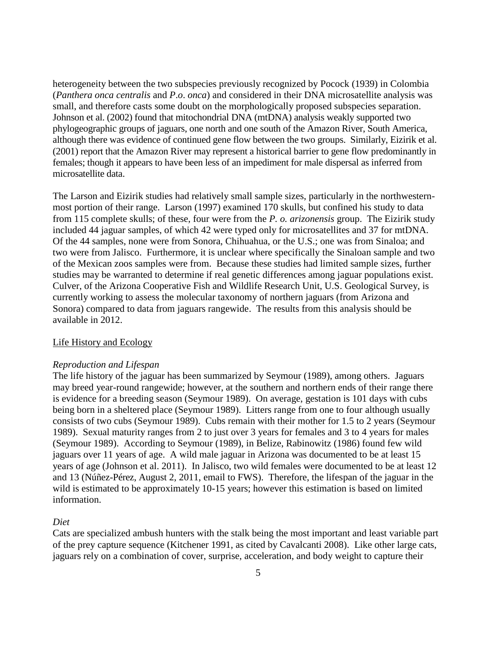heterogeneity between the two subspecies previously recognized by Pocock (1939) in Colombia (*Panthera onca centralis* and *P*.*o*. *onca*) and considered in their DNA microsatellite analysis was small, and therefore casts some doubt on the morphologically proposed subspecies separation. Johnson et al. (2002) found that mitochondrial DNA (mtDNA) analysis weakly supported two phylogeographic groups of jaguars, one north and one south of the Amazon River, South America, although there was evidence of continued gene flow between the two groups. Similarly, Eizirik et al. (2001) report that the Amazon River may represent a historical barrier to gene flow predominantly in females; though it appears to have been less of an impediment for male dispersal as inferred from microsatellite data.

The Larson and Eizirik studies had relatively small sample sizes, particularly in the northwesternmost portion of their range. Larson (1997) examined 170 skulls, but confined his study to data from 115 complete skulls; of these, four were from the *P. o. arizonensis* group. The Eizirik study included 44 jaguar samples, of which 42 were typed only for microsatellites and 37 for mtDNA. Of the 44 samples, none were from Sonora, Chihuahua, or the U.S.; one was from Sinaloa; and two were from Jalisco. Furthermore, it is unclear where specifically the Sinaloan sample and two of the Mexican zoos samples were from. Because these studies had limited sample sizes, further studies may be warranted to determine if real genetic differences among jaguar populations exist. Culver, of the Arizona Cooperative Fish and Wildlife Research Unit, U.S. Geological Survey, is currently working to assess the molecular taxonomy of northern jaguars (from Arizona and Sonora) compared to data from jaguars rangewide. The results from this analysis should be available in 2012.

#### Life History and Ecology

#### *Reproduction and Lifespan*

The life history of the jaguar has been summarized by Seymour (1989), among others. Jaguars may breed year-round rangewide; however, at the southern and northern ends of their range there is evidence for a breeding season (Seymour 1989). On average, gestation is 101 days with cubs being born in a sheltered place (Seymour 1989). Litters range from one to four although usually consists of two cubs (Seymour 1989). Cubs remain with their mother for 1.5 to 2 years (Seymour 1989). Sexual maturity ranges from 2 to just over 3 years for females and 3 to 4 years for males (Seymour 1989). According to Seymour (1989), in Belize, Rabinowitz (1986) found few wild jaguars over 11 years of age. A wild male jaguar in Arizona was documented to be at least 15 years of age (Johnson et al. 2011). In Jalisco, two wild females were documented to be at least 12 and 13 (Núñez-Pérez, August 2, 2011, email to FWS). Therefore, the lifespan of the jaguar in the wild is estimated to be approximately 10-15 years; however this estimation is based on limited information.

#### *Diet*

Cats are specialized ambush hunters with the stalk being the most important and least variable part of the prey capture sequence (Kitchener 1991, as cited by Cavalcanti 2008). Like other large cats, jaguars rely on a combination of cover, surprise, acceleration, and body weight to capture their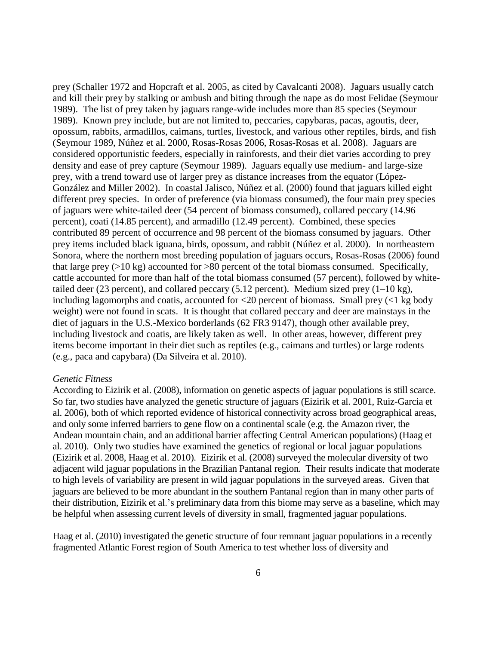prey (Schaller 1972 and Hopcraft et al. 2005, as cited by Cavalcanti 2008). Jaguars usually catch and kill their prey by stalking or ambush and biting through the nape as do most Felidae (Seymour 1989). The list of prey taken by jaguars range-wide includes more than 85 species (Seymour 1989). Known prey include, but are not limited to, peccaries, capybaras, pacas, agoutis, deer, opossum, rabbits, armadillos, caimans, turtles, livestock, and various other reptiles, birds, and fish (Seymour 1989, Núñez et al. 2000, Rosas-Rosas 2006, Rosas-Rosas et al. 2008). Jaguars are considered opportunistic feeders, especially in rainforests, and their diet varies according to prey density and ease of prey capture (Seymour 1989). Jaguars equally use medium- and large-size prey, with a trend toward use of larger prey as distance increases from the equator (López-González and Miller 2002). In coastal Jalisco, Núñez et al*.* (2000) found that jaguars killed eight different prey species. In order of preference (via biomass consumed), the four main prey species of jaguars were white-tailed deer (54 percent of biomass consumed), collared peccary (14.96 percent), coati (14.85 percent), and armadillo (12.49 percent). Combined, these species contributed 89 percent of occurrence and 98 percent of the biomass consumed by jaguars. Other prey items included black iguana, birds, opossum, and rabbit (Núñez et al. 2000). In northeastern Sonora, where the northern most breeding population of jaguars occurs, Rosas-Rosas (2006) found that large prey  $(>10 \text{ kg})$  accounted for  $>80$  percent of the total biomass consumed. Specifically, cattle accounted for more than half of the total biomass consumed (57 percent), followed by whitetailed deer (23 percent), and collared peccary (5.12 percent). Medium sized prey  $(1-10 \text{ kg})$ , including lagomorphs and coatis, accounted for  $\langle 20 \rangle$  percent of biomass. Small prey ( $\langle 1 \rangle$  kg body weight) were not found in scats. It is thought that collared peccary and deer are mainstays in the diet of jaguars in the U.S.-Mexico borderlands (62 FR3 9147), though other available prey, including livestock and coatis, are likely taken as well. In other areas, however, different prey items become important in their diet such as reptiles (e.g., caimans and turtles) or large rodents (e.g., paca and capybara) (Da Silveira et al. 2010).

#### *Genetic Fitness*

According to Eizirik et al. (2008), information on genetic aspects of jaguar populations is still scarce. So far, two studies have analyzed the genetic structure of jaguars (Eizirik et al. 2001, Ruiz-Garcia et al. 2006), both of which reported evidence of historical connectivity across broad geographical areas, and only some inferred barriers to gene flow on a continental scale (e.g. the Amazon river, the Andean mountain chain, and an additional barrier affecting Central American populations) (Haag et al. 2010). Only two studies have examined the genetics of regional or local jaguar populations (Eizirik et al. 2008, Haag et al. 2010). Eizirik et al. (2008) surveyed the molecular diversity of two adjacent wild jaguar populations in the Brazilian Pantanal region. Their results indicate that moderate to high levels of variability are present in wild jaguar populations in the surveyed areas. Given that jaguars are believed to be more abundant in the southern Pantanal region than in many other parts of their distribution, Eizirik et al.'s preliminary data from this biome may serve as a baseline, which may be helpful when assessing current levels of diversity in small, fragmented jaguar populations.

Haag et al. (2010) investigated the genetic structure of four remnant jaguar populations in a recently fragmented Atlantic Forest region of South America to test whether loss of diversity and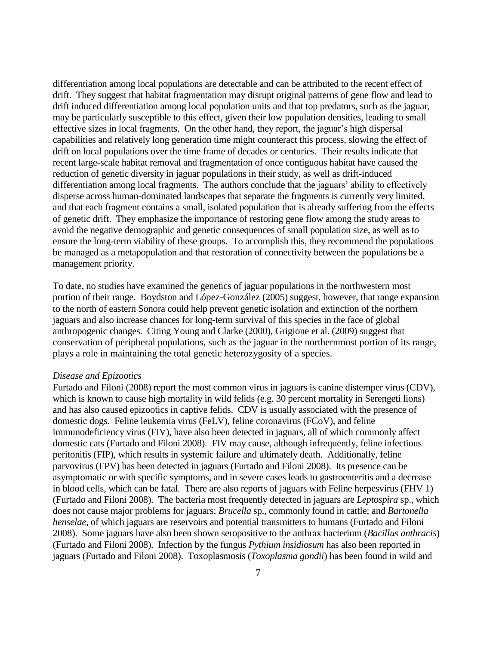differentiation among local populations are detectable and can be attributed to the recent effect of drift. They suggest that habitat fragmentation may disrupt original patterns of gene flow and lead to drift induced differentiation among local population units and that top predators, such as the jaguar, may be particularly susceptible to this effect, given their low population densities, leading to small effective sizes in local fragments. On the other hand, they report, the jaguar's high dispersal capabilities and relatively long generation time might counteract this process, slowing the effect of drift on local populations over the time frame of decades or centuries. Their results indicate that recent large-scale habitat removal and fragmentation of once contiguous habitat have caused the reduction of genetic diversity in jaguar populations in their study, as well as drift-induced differentiation among local fragments. The authors conclude that the jaguars' ability to effectively disperse across human-dominated landscapes that separate the fragments is currently very limited, and that each fragment contains a small, isolated population that is already suffering from the effects of genetic drift. They emphasize the importance of restoring gene flow among the study areas to avoid the negative demographic and genetic consequences of small population size, as well as to ensure the long-term viability of these groups. To accomplish this, they recommend the populations be managed as a metapopulation and that restoration of connectivity between the populations be a management priority.

To date, no studies have examined the genetics of jaguar populations in the northwestern most portion of their range. Boydston and López-González (2005) suggest, however, that range expansion to the north of eastern Sonora could help prevent genetic isolation and extinction of the northern jaguars and also increase chances for long-term survival of this species in the face of global anthropogenic changes. Citing Young and Clarke (2000), Grigione et al. (2009) suggest that conservation of peripheral populations, such as the jaguar in the northernmost portion of its range, plays a role in maintaining the total genetic heterozygosity of a species.

#### *Disease and Epizootics*

Furtado and Filoni (2008) report the most common virus in jaguars is canine distemper virus (CDV), which is known to cause high mortality in wild felids (e.g. 30 percent mortality in Serengeti lions) and has also caused epizootics in captive felids. CDV is usually associated with the presence of domestic dogs. Feline leukemia virus (FeLV), feline coronavirus (FCoV), and feline immunodeficiency virus (FIV), have also been detected in jaguars, all of which commonly affect domestic cats (Furtado and Filoni 2008). FIV may cause, although infrequently, feline infectious peritonitis (FIP), which results in systemic failure and ultimately death. Additionally, feline parvovirus (FPV) has been detected in jaguars (Furtado and Filoni 2008). Its presence can be asymptomatic or with specific symptoms, and in severe cases leads to gastroenteritis and a decrease in blood cells, which can be fatal. There are also reports of jaguars with Feline herpesvirus (FHV 1) (Furtado and Filoni 2008). The bacteria most frequently detected in jaguars are *Leptospira* sp., which does not cause major problems for jaguars; *Brucella* sp., commonly found in cattle; and *Bartonella henselae*, of which jaguars are reservoirs and potential transmitters to humans (Furtado and Filoni 2008). Some jaguars have also been shown seropositive to the anthrax bacterium (*Bacillus anthracis*) (Furtado and Filoni 2008). Infection by the fungus *Pythium insidiosum* has also been reported in jaguars (Furtado and Filoni 2008). Toxoplasmosis (*Toxoplasma gondii*) has been found in wild and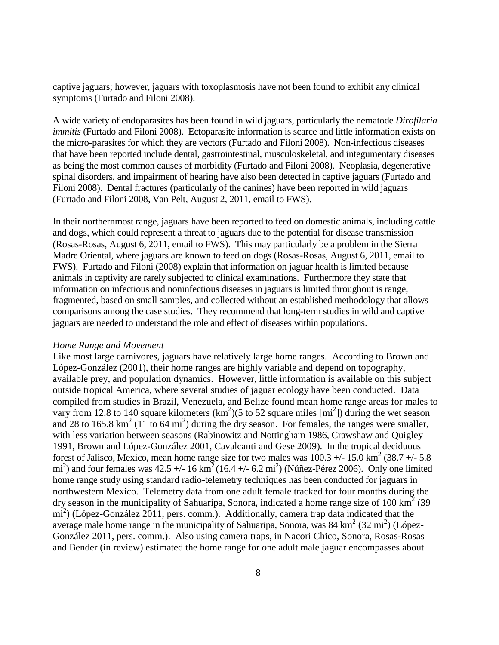captive jaguars; however, jaguars with toxoplasmosis have not been found to exhibit any clinical symptoms (Furtado and Filoni 2008).

A wide variety of endoparasites has been found in wild jaguars, particularly the nematode *Dirofilaria immitis* (Furtado and Filoni 2008). Ectoparasite information is scarce and little information exists on the micro-parasites for which they are vectors (Furtado and Filoni 2008). Non-infectious diseases that have been reported include dental, gastrointestinal, musculoskeletal, and integumentary diseases as being the most common causes of morbidity (Furtado and Filoni 2008). Neoplasia, degenerative spinal disorders, and impairment of hearing have also been detected in captive jaguars (Furtado and Filoni 2008). Dental fractures (particularly of the canines) have been reported in wild jaguars (Furtado and Filoni 2008, Van Pelt, August 2, 2011, email to FWS).

In their northernmost range, jaguars have been reported to feed on domestic animals, including cattle and dogs, which could represent a threat to jaguars due to the potential for disease transmission (Rosas-Rosas, August 6, 2011, email to FWS). This may particularly be a problem in the Sierra Madre Oriental, where jaguars are known to feed on dogs (Rosas-Rosas, August 6, 2011, email to FWS). Furtado and Filoni (2008) explain that information on jaguar health is limited because animals in captivity are rarely subjected to clinical examinations. Furthermore they state that information on infectious and noninfectious diseases in jaguars is limited throughout is range, fragmented, based on small samples, and collected without an established methodology that allows comparisons among the case studies. They recommend that long-term studies in wild and captive jaguars are needed to understand the role and effect of diseases within populations.

#### *Home Range and Movement*

Like most large carnivores, jaguars have relatively large home ranges. According to Brown and López-González (2001), their home ranges are highly variable and depend on topography, available prey, and population dynamics. However, little information is available on this subject outside tropical America, where several studies of jaguar ecology have been conducted. Data compiled from studies in Brazil, Venezuela, and Belize found mean home range areas for males to vary from 12.8 to 140 square kilometers  $(km^2)(5 \text{ to } 52 \text{ square miles } [mi^2])$  during the wet season and 28 to 165.8  $\text{km}^2$  (11 to 64 mi<sup>2</sup>) during the dry season. For females, the ranges were smaller, with less variation between seasons (Rabinowitz and Nottingham 1986, Crawshaw and Quigley 1991, Brown and López-González 2001, Cavalcanti and Gese 2009). In the tropical deciduous forest of Jalisco, Mexico, mean home range size for two males was  $100.3 +/- 15.0$  km<sup>2</sup> (38.7 +/- 5.8) mi<sup>2</sup>) and four females was  $42.5 + (-16 \text{ km}^2)(16.4 + (-6.2 \text{ mi}^2))$  (Núñez-Pérez 2006). Only one limited home range study using standard radio-telemetry techniques has been conducted for jaguars in northwestern Mexico. Telemetry data from one adult female tracked for four months during the dry season in the municipality of Sahuaripa, Sonora, indicated a home range size of 100 km<sup>2</sup> (39) mi<sup>2</sup>) (López-González 2011, pers. comm.). Additionally, camera trap data indicated that the average male home range in the municipality of Sahuaripa, Sonora, was  $84 \text{ km}^2 (32 \text{ mi}^2)$  (López-González 2011, pers. comm.). Also using camera traps, in Nacori Chico, Sonora, Rosas-Rosas and Bender (in review) estimated the home range for one adult male jaguar encompasses about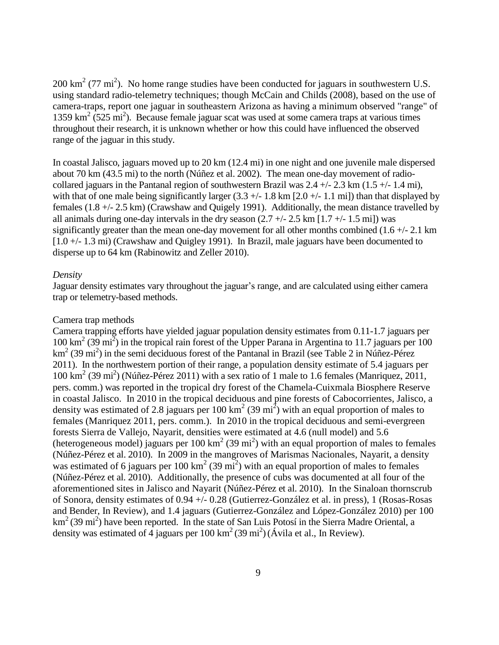200 km<sup>2</sup> (77 mi<sup>2</sup>). No home range studies have been conducted for jaguars in southwestern U.S. using standard radio-telemetry techniques; though McCain and Childs (2008), based on the use of camera-traps, report one jaguar in southeastern Arizona as having a minimum observed "range" of 1359 km<sup>2</sup> (525 mi<sup>2</sup>). Because female jaguar scat was used at some camera traps at various times throughout their research, it is unknown whether or how this could have influenced the observed range of the jaguar in this study.

In coastal Jalisco, jaguars moved up to 20 km (12.4 mi) in one night and one juvenile male dispersed about 70 km (43.5 mi) to the north (Núñez et al. 2002). The mean one-day movement of radiocollared jaguars in the Pantanal region of southwestern Brazil was  $2.4 +/- 2.3$  km  $(1.5 +/- 1.4$  mi), with that of one male being significantly larger  $(3.3 +/- 1.8 \text{ km } [2.0 +/- 1.1 \text{ mi}])$  than that displayed by females (1.8 +/- 2.5 km) (Crawshaw and Quigely 1991). Additionally, the mean distance travelled by all animals during one-day intervals in the dry season  $(2.7 +/- 2.5 \text{ km } [1.7 +/- 1.5 \text{ mi}])$  was significantly greater than the mean one-day movement for all other months combined  $(1.6 + 2.1)$  km [1.0 +/- 1.3 mi) (Crawshaw and Quigley 1991). In Brazil, male jaguars have been documented to disperse up to 64 km (Rabinowitz and Zeller 2010).

#### *Density*

Jaguar density estimates vary throughout the jaguar's range, and are calculated using either camera trap or telemetry-based methods.

#### Camera trap methods

Camera trapping efforts have yielded jaguar population density estimates from 0.11-1.7 jaguars per 100 km<sup>2</sup> (39 mi<sup>2</sup> ) in the tropical rain forest of the Upper Parana in Argentina to 11.7 jaguars per 100 km<sup>2</sup> (39 mi<sup>2</sup>) in the semi deciduous forest of the Pantanal in Brazil (see Table 2 in Núñez-Pérez 2011). In the northwestern portion of their range, a population density estimate of 5.4 jaguars per 100 km<sup>2</sup> (39 mi<sup>2</sup>) (Núñez-Pérez 2011) with a sex ratio of 1 male to 1.6 females (Manriquez, 2011, pers. comm.) was reported in the tropical dry forest of the Chamela-Cuixmala Biosphere Reserve in coastal Jalisco. In 2010 in the tropical deciduous and pine forests of Cabocorrientes, Jalisco, a density was estimated of 2.8 jaguars per 100  $\text{km}^2$  (39 mi<sup>2</sup>) with an equal proportion of males to females (Manriquez 2011, pers. comm.). In 2010 in the tropical deciduous and semi-evergreen forests Sierra de Vallejo, Nayarit, densities were estimated at 4.6 (null model) and 5.6 (heterogeneous model) jaguars per 100  $\text{km}^2$  (39 mi<sup>2</sup>) with an equal proportion of males to females (Núñez-Pérez et al. 2010). In 2009 in the mangroves of Marismas Nacionales, Nayarit, a density was estimated of 6 jaguars per 100  $\text{km}^2$  (39 mi<sup>2</sup>) with an equal proportion of males to females (Núñez-Pérez et al. 2010). Additionally, the presence of cubs was documented at all four of the aforementioned sites in Jalisco and Nayarit (Núñez-Pérez et al. 2010). In the Sinaloan thornscrub of Sonora, density estimates of 0.94 +/- 0.28 (Gutierrez-González et al. in press), 1 (Rosas-Rosas and Bender, In Review), and 1.4 jaguars (Gutierrez-González and López-González 2010) per 100 km<sup>2</sup> (39 mi<sup>2</sup>) have been reported. In the state of San Luis Potosí in the Sierra Madre Oriental, a density was estimated of 4 jaguars per 100 km<sup>2</sup> (39 mi<sup>2</sup>) (Ávila et al., In Review).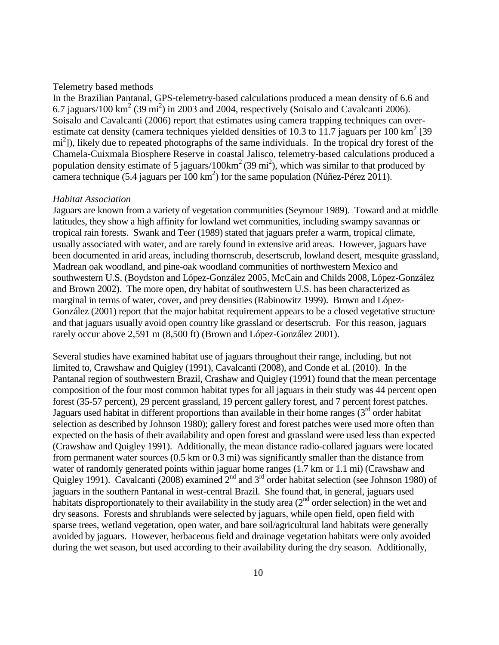#### Telemetry based methods

In the Brazilian Pantanal, GPS-telemetry-based calculations produced a mean density of 6.6 and 6.7 jaguars/100 km<sup>2</sup> (39 mi<sup>2</sup>) in 2003 and 2004, respectively (Soisalo and Cavalcanti 2006). Soisalo and Cavalcanti (2006) report that estimates using camera trapping techniques can overestimate cat density (camera techniques yielded densities of 10.3 to 11.7 jaguars per 100 km<sup>2</sup> [39] mi<sup>2</sup>]), likely due to repeated photographs of the same individuals. In the tropical dry forest of the Chamela-Cuixmala Biosphere Reserve in coastal Jalisco, telemetry-based calculations produced a population density estimate of 5 jaguars/100 km<sup>2</sup> (39 mi<sup>2</sup>), which was similar to that produced by camera technique  $(5.4 \text{ jaguars per } 100 \text{ km}^2)$  for the same population (Núñez-Pérez 2011).

#### *Habitat Association*

Jaguars are known from a variety of vegetation communities (Seymour 1989). Toward and at middle latitudes, they show a high affinity for lowland wet communities, including swampy savannas or tropical rain forests. Swank and Teer (1989) stated that jaguars prefer a warm, tropical climate, usually associated with water, and are rarely found in extensive arid areas. However, jaguars have been documented in arid areas, including thornscrub, desertscrub, lowland desert, mesquite grassland, Madrean oak woodland, and pine-oak woodland communities of northwestern Mexico and southwestern U.S. (Boydston and López-González 2005, McCain and Childs 2008, López-González and Brown 2002). The more open, dry habitat of southwestern U.S. has been characterized as marginal in terms of water, cover, and prey densities (Rabinowitz 1999). Brown and López-González (2001) report that the major habitat requirement appears to be a closed vegetative structure and that jaguars usually avoid open country like grassland or desertscrub. For this reason, jaguars rarely occur above 2,591 m (8,500 ft) (Brown and López-González 2001).

Several studies have examined habitat use of jaguars throughout their range, including, but not limited to, Crawshaw and Quigley (1991), Cavalcanti (2008), and Conde et al. (2010). In the Pantanal region of southwestern Brazil, Crashaw and Quigley (1991) found that the mean percentage composition of the four most common habitat types for all jaguars in their study was 44 percent open forest (35-57 percent), 29 percent grassland, 19 percent gallery forest, and 7 percent forest patches. Jaguars used habitat in different proportions than available in their home ranges  $3<sup>rd</sup>$  order habitat selection as described by Johnson 1980); gallery forest and forest patches were used more often than expected on the basis of their availability and open forest and grassland were used less than expected (Crawshaw and Quigley 1991). Additionally, the mean distance radio-collared jaguars were located from permanent water sources (0.5 km or 0.3 mi) was significantly smaller than the distance from water of randomly generated points within jaguar home ranges (1.7 km or 1.1 mi) (Crawshaw and Quigley 1991). Cavalcanti (2008) examined  $2^{nd}$  and  $3^{rd}$  order habitat selection (see Johnson 1980) of jaguars in the southern Pantanal in west-central Brazil. She found that, in general, jaguars used habitats disproportionately to their availability in the study area  $(2<sup>nd</sup>$  order selection) in the wet and dry seasons. Forests and shrublands were selected by jaguars, while open field, open field with sparse trees, wetland vegetation, open water, and bare soil/agricultural land habitats were generally avoided by jaguars. However, herbaceous field and drainage vegetation habitats were only avoided during the wet season, but used according to their availability during the dry season. Additionally,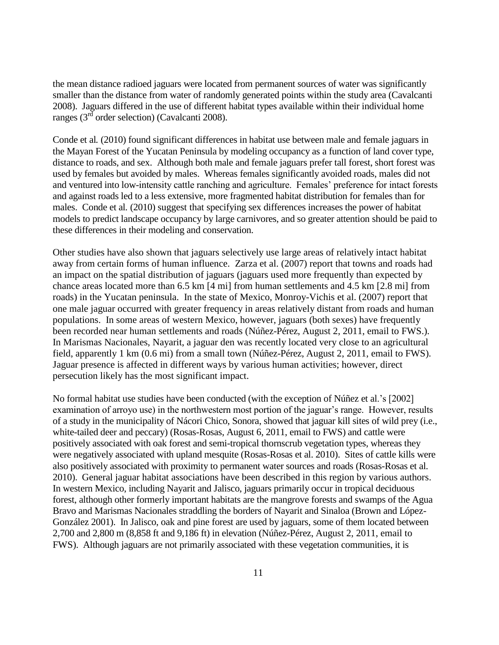the mean distance radioed jaguars were located from permanent sources of water was significantly smaller than the distance from water of randomly generated points within the study area (Cavalcanti 2008). Jaguars differed in the use of different habitat types available within their individual home ranges ( $3<sup>rd</sup>$  order selection) (Cavalcanti 2008).

Conde et al*.* (2010) found significant differences in habitat use between male and female jaguars in the Mayan Forest of the Yucatan Peninsula by modeling occupancy as a function of land cover type, distance to roads, and sex. Although both male and female jaguars prefer tall forest, short forest was used by females but avoided by males. Whereas females significantly avoided roads, males did not and ventured into low-intensity cattle ranching and agriculture. Females' preference for intact forests and against roads led to a less extensive, more fragmented habitat distribution for females than for males. Conde et al*.* (2010) suggest that specifying sex differences increases the power of habitat models to predict landscape occupancy by large carnivores, and so greater attention should be paid to these differences in their modeling and conservation.

Other studies have also shown that jaguars selectively use large areas of relatively intact habitat away from certain forms of human influence. Zarza et al. (2007) report that towns and roads had an impact on the spatial distribution of jaguars (jaguars used more frequently than expected by chance areas located more than 6.5 km [4 mi] from human settlements and 4.5 km [2.8 mi] from roads) in the Yucatan peninsula. In the state of Mexico, Monroy-Vichis et al. (2007) report that one male jaguar occurred with greater frequency in areas relatively distant from roads and human populations. In some areas of western Mexico, however, jaguars (both sexes) have frequently been recorded near human settlements and roads (Núñez-Pérez, August 2, 2011, email to FWS.). In Marismas Nacionales, Nayarit, a jaguar den was recently located very close to an agricultural field, apparently 1 km (0.6 mi) from a small town (Núñez-Pérez, August 2, 2011, email to FWS). Jaguar presence is affected in different ways by various human activities; however, direct persecution likely has the most significant impact.

No formal habitat use studies have been conducted (with the exception of Núñez et al.'s [2002] examination of arroyo use) in the northwestern most portion of the jaguar's range. However, results of a study in the municipality of Nácori Chico, Sonora, showed that jaguar kill sites of wild prey (i.e., white-tailed deer and peccary) (Rosas-Rosas, August 6, 2011, email to FWS) and cattle were positively associated with oak forest and semi-tropical thornscrub vegetation types, whereas they were negatively associated with upland mesquite (Rosas-Rosas et al. 2010). Sites of cattle kills were also positively associated with proximity to permanent water sources and roads (Rosas-Rosas et al. 2010). General jaguar habitat associations have been described in this region by various authors. In western Mexico, including Nayarit and Jalisco, jaguars primarily occur in tropical deciduous forest, although other formerly important habitats are the mangrove forests and swamps of the Agua Bravo and Marismas Nacionales straddling the borders of Nayarit and Sinaloa (Brown and López-González 2001). In Jalisco, oak and pine forest are used by jaguars, some of them located between 2,700 and 2,800 m (8,858 ft and 9,186 ft) in elevation (Núñez-Pérez, August 2, 2011, email to FWS). Although jaguars are not primarily associated with these vegetation communities, it is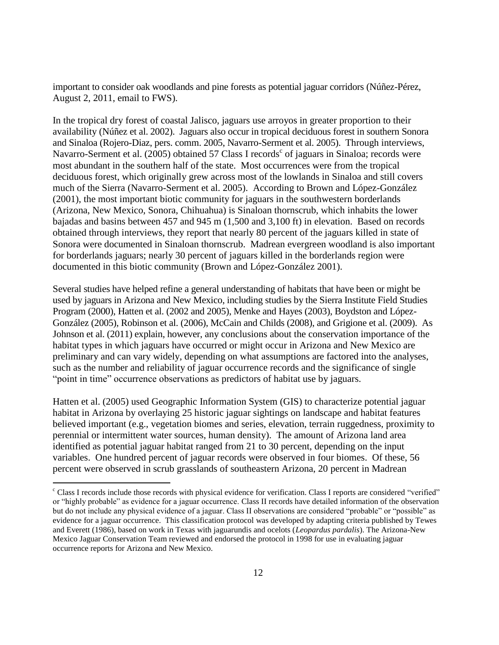important to consider oak woodlands and pine forests as potential jaguar corridors (Núñez-Pérez, August 2, 2011, email to FWS).

In the tropical dry forest of coastal Jalisco, jaguars use arroyos in greater proportion to their availability (Núñez et al. 2002). Jaguars also occur in tropical deciduous forest in southern Sonora and Sinaloa (Rojero-Diaz, pers. comm. 2005, Navarro-Serment et al. 2005). Through interviews, Navarro-Serment et al. (2005) obtained 57 Class I records<sup>c</sup> of jaguars in Sinaloa; records were most abundant in the southern half of the state. Most occurrences were from the tropical deciduous forest, which originally grew across most of the lowlands in Sinaloa and still covers much of the Sierra (Navarro-Serment et al. 2005). According to Brown and López-González (2001), the most important biotic community for jaguars in the southwestern borderlands (Arizona, New Mexico, Sonora, Chihuahua) is Sinaloan thornscrub, which inhabits the lower bajadas and basins between 457 and 945 m (1,500 and 3,100 ft) in elevation. Based on records obtained through interviews, they report that nearly 80 percent of the jaguars killed in state of Sonora were documented in Sinaloan thornscrub. Madrean evergreen woodland is also important for borderlands jaguars; nearly 30 percent of jaguars killed in the borderlands region were documented in this biotic community (Brown and López-González 2001).

Several studies have helped refine a general understanding of habitats that have been or might be used by jaguars in Arizona and New Mexico, including studies by the Sierra Institute Field Studies Program (2000), Hatten et al. (2002 and 2005), Menke and Hayes (2003), Boydston and López-González (2005), Robinson et al. (2006), McCain and Childs (2008), and Grigione et al. (2009). As Johnson et al. (2011) explain, however, any conclusions about the conservation importance of the habitat types in which jaguars have occurred or might occur in Arizona and New Mexico are preliminary and can vary widely, depending on what assumptions are factored into the analyses, such as the number and reliability of jaguar occurrence records and the significance of single "point in time" occurrence observations as predictors of habitat use by jaguars.

Hatten et al. (2005) used Geographic Information System (GIS) to characterize potential jaguar habitat in Arizona by overlaying 25 historic jaguar sightings on landscape and habitat features believed important (e.g., vegetation biomes and series, elevation, terrain ruggedness, proximity to perennial or intermittent water sources, human density). The amount of Arizona land area identified as potential jaguar habitat ranged from 21 to 30 percent, depending on the input variables. One hundred percent of jaguar records were observed in four biomes. Of these, 56 percent were observed in scrub grasslands of southeastern Arizona, 20 percent in Madrean

 $\overline{a}$ 

<sup>c</sup> Class I records include those records with physical evidence for verification. Class I reports are considered "verified" or "highly probable" as evidence for a jaguar occurrence. Class II records have detailed information of the observation but do not include any physical evidence of a jaguar. Class II observations are considered "probable" or "possible" as evidence for a jaguar occurrence. This classification protocol was developed by adapting criteria published by Tewes and Everett (1986), based on work in Texas with jaguarundis and ocelots (*Leopardus pardalis*). The Arizona-New Mexico Jaguar Conservation Team reviewed and endorsed the protocol in 1998 for use in evaluating jaguar occurrence reports for Arizona and New Mexico.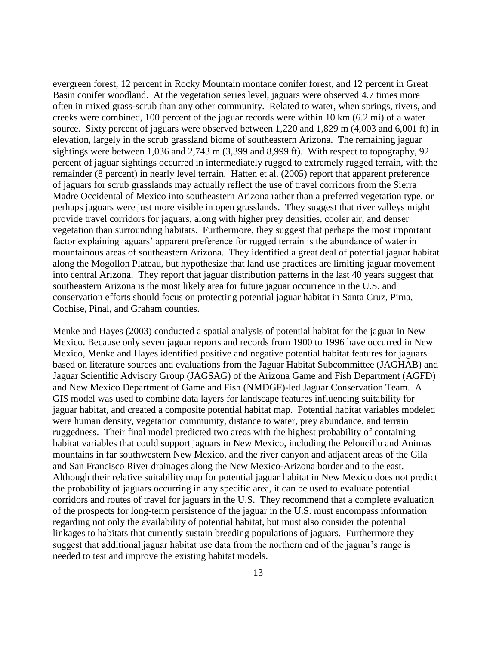evergreen forest, 12 percent in Rocky Mountain montane conifer forest, and 12 percent in Great Basin conifer woodland. At the vegetation series level, jaguars were observed 4.7 times more often in mixed grass-scrub than any other community. Related to water, when springs, rivers, and creeks were combined, 100 percent of the jaguar records were within 10 km (6.2 mi) of a water source. Sixty percent of jaguars were observed between 1,220 and 1,829 m (4,003 and 6,001 ft) in elevation, largely in the scrub grassland biome of southeastern Arizona. The remaining jaguar sightings were between 1,036 and 2,743 m (3,399 and 8,999 ft). With respect to topography, 92 percent of jaguar sightings occurred in intermediately rugged to extremely rugged terrain, with the remainder (8 percent) in nearly level terrain. Hatten et al. (2005) report that apparent preference of jaguars for scrub grasslands may actually reflect the use of travel corridors from the Sierra Madre Occidental of Mexico into southeastern Arizona rather than a preferred vegetation type, or perhaps jaguars were just more visible in open grasslands. They suggest that river valleys might provide travel corridors for jaguars, along with higher prey densities, cooler air, and denser vegetation than surrounding habitats. Furthermore, they suggest that perhaps the most important factor explaining jaguars' apparent preference for rugged terrain is the abundance of water in mountainous areas of southeastern Arizona. They identified a great deal of potential jaguar habitat along the Mogollon Plateau, but hypothesize that land use practices are limiting jaguar movement into central Arizona. They report that jaguar distribution patterns in the last 40 years suggest that southeastern Arizona is the most likely area for future jaguar occurrence in the U.S. and conservation efforts should focus on protecting potential jaguar habitat in Santa Cruz, Pima, Cochise, Pinal, and Graham counties.

Menke and Hayes (2003) conducted a spatial analysis of potential habitat for the jaguar in New Mexico. Because only seven jaguar reports and records from 1900 to 1996 have occurred in New Mexico, Menke and Hayes identified positive and negative potential habitat features for jaguars based on literature sources and evaluations from the Jaguar Habitat Subcommittee (JAGHAB) and Jaguar Scientific Advisory Group (JAGSAG) of the Arizona Game and Fish Department (AGFD) and New Mexico Department of Game and Fish (NMDGF)-led Jaguar Conservation Team. A GIS model was used to combine data layers for landscape features influencing suitability for jaguar habitat, and created a composite potential habitat map. Potential habitat variables modeled were human density, vegetation community, distance to water, prey abundance, and terrain ruggedness. Their final model predicted two areas with the highest probability of containing habitat variables that could support jaguars in New Mexico, including the Peloncillo and Animas mountains in far southwestern New Mexico, and the river canyon and adjacent areas of the Gila and San Francisco River drainages along the New Mexico-Arizona border and to the east. Although their relative suitability map for potential jaguar habitat in New Mexico does not predict the probability of jaguars occurring in any specific area, it can be used to evaluate potential corridors and routes of travel for jaguars in the U.S. They recommend that a complete evaluation of the prospects for long-term persistence of the jaguar in the U.S. must encompass information regarding not only the availability of potential habitat, but must also consider the potential linkages to habitats that currently sustain breeding populations of jaguars. Furthermore they suggest that additional jaguar habitat use data from the northern end of the jaguar's range is needed to test and improve the existing habitat models.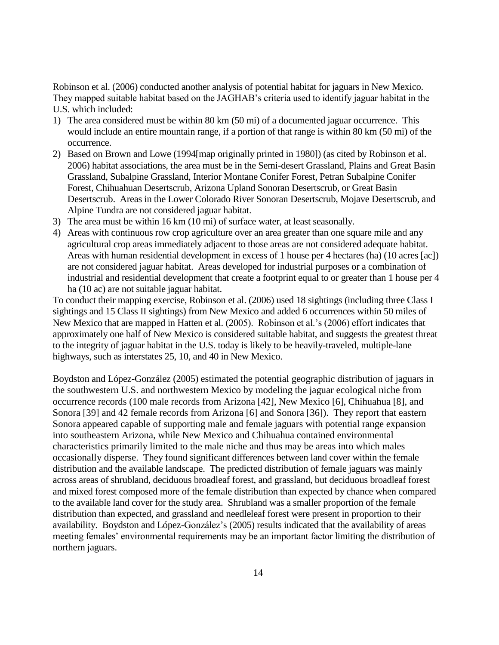Robinson et al. (2006) conducted another analysis of potential habitat for jaguars in New Mexico. They mapped suitable habitat based on the JAGHAB's criteria used to identify jaguar habitat in the U.S. which included:

- 1) The area considered must be within 80 km (50 mi) of a documented jaguar occurrence. This would include an entire mountain range, if a portion of that range is within 80 km (50 mi) of the occurrence.
- 2) Based on Brown and Lowe (1994[map originally printed in 1980]) (as cited by Robinson et al. 2006) habitat associations, the area must be in the Semi-desert Grassland, Plains and Great Basin Grassland, Subalpine Grassland, Interior Montane Conifer Forest, Petran Subalpine Conifer Forest, Chihuahuan Desertscrub, Arizona Upland Sonoran Desertscrub, or Great Basin Desertscrub. Areas in the Lower Colorado River Sonoran Desertscrub, Mojave Desertscrub, and Alpine Tundra are not considered jaguar habitat.
- 3) The area must be within 16 km (10 mi) of surface water, at least seasonally.
- 4) Areas with continuous row crop agriculture over an area greater than one square mile and any agricultural crop areas immediately adjacent to those areas are not considered adequate habitat. Areas with human residential development in excess of 1 house per 4 hectares (ha) (10 acres [ac]) are not considered jaguar habitat. Areas developed for industrial purposes or a combination of industrial and residential development that create a footprint equal to or greater than 1 house per 4 ha (10 ac) are not suitable jaguar habitat.

To conduct their mapping exercise, Robinson et al. (2006) used 18 sightings (including three Class I sightings and 15 Class II sightings) from New Mexico and added 6 occurrences within 50 miles of New Mexico that are mapped in Hatten et al. (2005). Robinson et al.'s (2006) effort indicates that approximately one half of New Mexico is considered suitable habitat, and suggests the greatest threat to the integrity of jaguar habitat in the U.S. today is likely to be heavily-traveled, multiple-lane highways, such as interstates 25, 10, and 40 in New Mexico.

Boydston and López-González (2005) estimated the potential geographic distribution of jaguars in the southwestern U.S. and northwestern Mexico by modeling the jaguar ecological niche from occurrence records (100 male records from Arizona [42], New Mexico [6], Chihuahua [8], and Sonora [39] and 42 female records from Arizona [6] and Sonora [36]). They report that eastern Sonora appeared capable of supporting male and female jaguars with potential range expansion into southeastern Arizona, while New Mexico and Chihuahua contained environmental characteristics primarily limited to the male niche and thus may be areas into which males occasionally disperse. They found significant differences between land cover within the female distribution and the available landscape. The predicted distribution of female jaguars was mainly across areas of shrubland, deciduous broadleaf forest, and grassland, but deciduous broadleaf forest and mixed forest composed more of the female distribution than expected by chance when compared to the available land cover for the study area. Shrubland was a smaller proportion of the female distribution than expected, and grassland and needleleaf forest were present in proportion to their availability. Boydston and López-González's (2005) results indicated that the availability of areas meeting females' environmental requirements may be an important factor limiting the distribution of northern jaguars.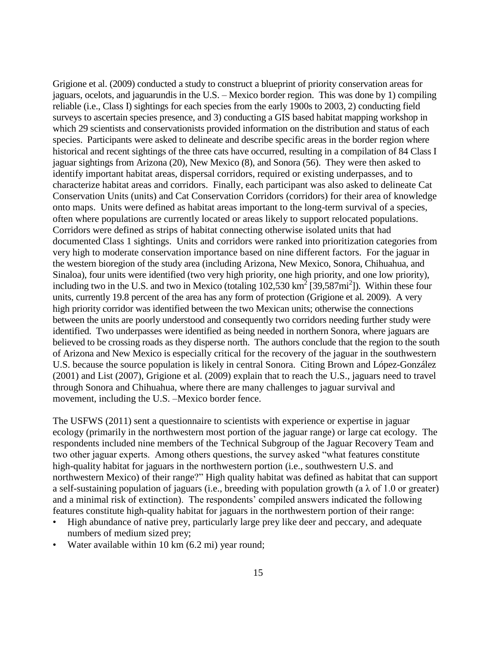Grigione et al. (2009) conducted a study to construct a blueprint of priority conservation areas for jaguars, ocelots, and jaguarundis in the U.S. – Mexico border region. This was done by 1) compiling reliable (i.e., Class I) sightings for each species from the early 1900s to 2003, 2) conducting field surveys to ascertain species presence, and 3) conducting a GIS based habitat mapping workshop in which 29 scientists and conservationists provided information on the distribution and status of each species. Participants were asked to delineate and describe specific areas in the border region where historical and recent sightings of the three cats have occurred, resulting in a compilation of 84 Class I jaguar sightings from Arizona (20), New Mexico (8), and Sonora (56). They were then asked to identify important habitat areas, dispersal corridors, required or existing underpasses, and to characterize habitat areas and corridors. Finally, each participant was also asked to delineate Cat Conservation Units (units) and Cat Conservation Corridors (corridors) for their area of knowledge onto maps. Units were defined as habitat areas important to the long-term survival of a species, often where populations are currently located or areas likely to support relocated populations. Corridors were defined as strips of habitat connecting otherwise isolated units that had documented Class 1 sightings. Units and corridors were ranked into prioritization categories from very high to moderate conservation importance based on nine different factors. For the jaguar in the western bioregion of the study area (including Arizona, New Mexico, Sonora, Chihuahua, and Sinaloa), four units were identified (two very high priority, one high priority, and one low priority), including two in the U.S. and two in Mexico (totaling  $102,530 \text{ km}^2$  [39,587mi<sup>2</sup>]). Within these four units, currently 19.8 percent of the area has any form of protection (Grigione et al*.* 2009). A very high priority corridor was identified between the two Mexican units; otherwise the connections between the units are poorly understood and consequently two corridors needing further study were identified. Two underpasses were identified as being needed in northern Sonora, where jaguars are believed to be crossing roads as they disperse north. The authors conclude that the region to the south of Arizona and New Mexico is especially critical for the recovery of the jaguar in the southwestern U.S. because the source population is likely in central Sonora. Citing Brown and López-González (2001) and List (2007), Grigione et al*.* (2009) explain that to reach the U.S., jaguars need to travel through Sonora and Chihuahua, where there are many challenges to jaguar survival and movement, including the U.S. –Mexico border fence.

The USFWS (2011) sent a questionnaire to scientists with experience or expertise in jaguar ecology (primarily in the northwestern most portion of the jaguar range) or large cat ecology. The respondents included nine members of the Technical Subgroup of the Jaguar Recovery Team and two other jaguar experts. Among others questions, the survey asked "what features constitute high-quality habitat for jaguars in the northwestern portion (i.e., southwestern U.S. and northwestern Mexico) of their range?" High quality habitat was defined as habitat that can support a self-sustaining population of jaguars (i.e., breeding with population growth (a  $\lambda$  of 1.0 or greater) and a minimal risk of extinction). The respondents' compiled answers indicated the following features constitute high-quality habitat for jaguars in the northwestern portion of their range:

- High abundance of native prey, particularly large prey like deer and peccary, and adequate numbers of medium sized prey;
- Water available within 10 km (6.2 mi) year round;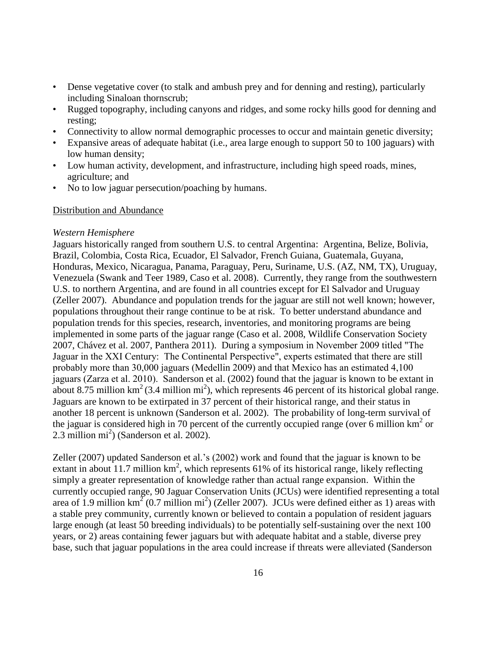- Dense vegetative cover (to stalk and ambush prey and for denning and resting), particularly including Sinaloan thornscrub;
- Rugged topography, including canyons and ridges, and some rocky hills good for denning and resting;
- Connectivity to allow normal demographic processes to occur and maintain genetic diversity;
- Expansive areas of adequate habitat (i.e., area large enough to support 50 to 100 jaguars) with low human density;
- Low human activity, development, and infrastructure, including high speed roads, mines, agriculture; and
- No to low jaguar persecution/poaching by humans.

# Distribution and Abundance

### *Western Hemisphere*

Jaguars historically ranged from southern U.S. to central Argentina: Argentina, Belize, Bolivia, Brazil, Colombia, Costa Rica, Ecuador, El Salvador, French Guiana, Guatemala, Guyana, Honduras, Mexico, Nicaragua, Panama, Paraguay, Peru, Suriname, U.S. (AZ, NM, TX), Uruguay, Venezuela (Swank and Teer 1989, Caso et al. 2008). Currently, they range from the southwestern U.S. to northern Argentina, and are found in all countries except for El Salvador and Uruguay (Zeller 2007). Abundance and population trends for the jaguar are still not well known; however, populations throughout their range continue to be at risk. To better understand abundance and population trends for this species, research, inventories, and monitoring programs are being implemented in some parts of the jaguar range (Caso et al. 2008, Wildlife Conservation Society 2007, Chávez et al. 2007, Panthera 2011). During a symposium in November 2009 titled "The Jaguar in the XXI Century: The Continental Perspective", experts estimated that there are still probably more than 30,000 jaguars (Medellin 2009) and that Mexico has an estimated 4,100 jaguars (Zarza et al. 2010). Sanderson et al. (2002) found that the jaguar is known to be extant in about 8.75 million  $\text{km}^2$  (3.4 million mi<sup>2</sup>), which represents 46 percent of its historical global range. Jaguars are known to be extirpated in 37 percent of their historical range, and their status in another 18 percent is unknown (Sanderson et al. 2002). The probability of long-term survival of the jaguar is considered high in 70 percent of the currently occupied range (over 6 million  $km^2$  or  $2.3$  million mi<sup>2</sup>) (Sanderson et al.  $2002$ ).

Zeller (2007) updated Sanderson et al.'s (2002) work and found that the jaguar is known to be extant in about 11.7 million  $km^2$ , which represents 61% of its historical range, likely reflecting simply a greater representation of knowledge rather than actual range expansion. Within the currently occupied range, 90 Jaguar Conservation Units (JCUs) were identified representing a total area of 1.9 million  $km^2$  (0.7 million mi<sup>2</sup>) (Zeller 2007). JCUs were defined either as 1) areas with a stable prey community, currently known or believed to contain a population of resident jaguars large enough (at least 50 breeding individuals) to be potentially self-sustaining over the next 100 years, or 2) areas containing fewer jaguars but with adequate habitat and a stable, diverse prey base, such that jaguar populations in the area could increase if threats were alleviated (Sanderson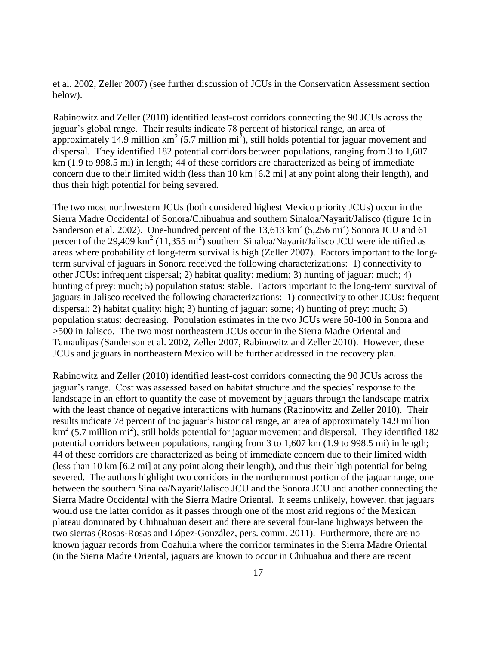et al. 2002, Zeller 2007) (see further discussion of JCUs in the Conservation Assessment section below).

Rabinowitz and Zeller (2010) identified least-cost corridors connecting the 90 JCUs across the jaguar's global range. Their results indicate 78 percent of historical range, an area of approximately 14.9 million  $km^2$  (5.7 million mi<sup>2</sup>), still holds potential for jaguar movement and dispersal. They identified 182 potential corridors between populations, ranging from 3 to 1,607 km (1.9 to 998.5 mi) in length; 44 of these corridors are characterized as being of immediate concern due to their limited width (less than 10 km [6.2 mi] at any point along their length), and thus their high potential for being severed.

The two most northwestern JCUs (both considered highest Mexico priority JCUs) occur in the Sierra Madre Occidental of Sonora/Chihuahua and southern Sinaloa/Nayarit/Jalisco (figure 1c in Sanderson et al. 2002). One-hundred percent of the  $13,613 \text{ km}^2 (5,256 \text{ mi}^2)$  Sonora JCU and 61 percent of the 29,409  $\text{km}^2$  (11,355 mi<sup>2</sup>) southern Sinaloa/Nayarit/Jalisco JCU were identified as areas where probability of long-term survival is high (Zeller 2007). Factors important to the longterm survival of jaguars in Sonora received the following characterizations: 1) connectivity to other JCUs: infrequent dispersal; 2) habitat quality: medium; 3) hunting of jaguar: much; 4) hunting of prey: much; 5) population status: stable. Factors important to the long-term survival of jaguars in Jalisco received the following characterizations: 1) connectivity to other JCUs: frequent dispersal; 2) habitat quality: high; 3) hunting of jaguar: some; 4) hunting of prey: much; 5) population status: decreasing. Population estimates in the two JCUs were 50-100 in Sonora and >500 in Jalisco. The two most northeastern JCUs occur in the Sierra Madre Oriental and Tamaulipas (Sanderson et al. 2002, Zeller 2007, Rabinowitz and Zeller 2010). However, these JCUs and jaguars in northeastern Mexico will be further addressed in the recovery plan.

Rabinowitz and Zeller (2010) identified least-cost corridors connecting the 90 JCUs across the jaguar's range. Cost was assessed based on habitat structure and the species' response to the landscape in an effort to quantify the ease of movement by jaguars through the landscape matrix with the least chance of negative interactions with humans (Rabinowitz and Zeller 2010). Their results indicate 78 percent of the jaguar's historical range, an area of approximately 14.9 million  $\text{km}^2$  (5.7 million mi<sup>2</sup>), still holds potential for jaguar movement and dispersal. They identified 182 potential corridors between populations, ranging from 3 to 1,607 km (1.9 to 998.5 mi) in length; 44 of these corridors are characterized as being of immediate concern due to their limited width (less than 10 km [6.2 mi] at any point along their length), and thus their high potential for being severed. The authors highlight two corridors in the northernmost portion of the jaguar range, one between the southern Sinaloa/Nayarit/Jalisco JCU and the Sonora JCU and another connecting the Sierra Madre Occidental with the Sierra Madre Oriental. It seems unlikely, however, that jaguars would use the latter corridor as it passes through one of the most arid regions of the Mexican plateau dominated by Chihuahuan desert and there are several four-lane highways between the two sierras (Rosas-Rosas and López-González, pers. comm. 2011). Furthermore, there are no known jaguar records from Coahuila where the corridor terminates in the Sierra Madre Oriental (in the Sierra Madre Oriental, jaguars are known to occur in Chihuahua and there are recent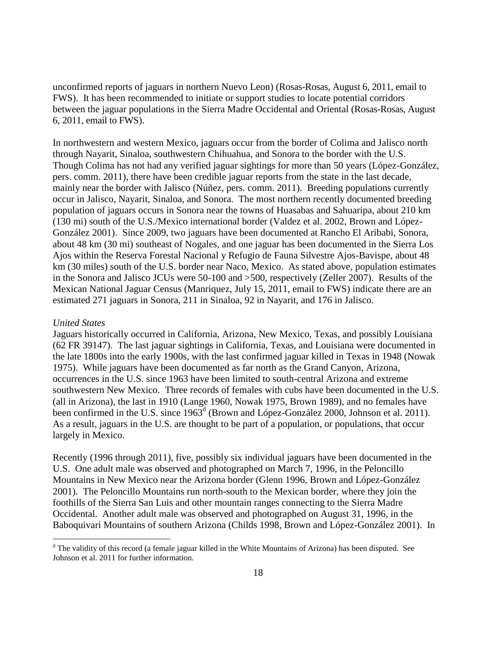unconfirmed reports of jaguars in northern Nuevo Leon) (Rosas-Rosas, August 6, 2011, email to FWS). It has been recommended to initiate or support studies to locate potential corridors between the jaguar populations in the Sierra Madre Occidental and Oriental (Rosas-Rosas, August 6, 2011, email to FWS).

In northwestern and western Mexico, jaguars occur from the border of Colima and Jalisco north through Nayarit, Sinaloa, southwestern Chihuahua, and Sonora to the border with the U.S. Though Colima has not had any verified jaguar sightings for more than 50 years (López-González, pers. comm. 2011), there have been credible jaguar reports from the state in the last decade, mainly near the border with Jalisco (Núñez, pers. comm. 2011). Breeding populations currently occur in Jalisco, Nayarit, Sinaloa, and Sonora. The most northern recently documented breeding population of jaguars occurs in Sonora near the towns of Huasabas and Sahuaripa, about 210 km (130 mi) south of the U.S./Mexico international border (Valdez et al. 2002, Brown and López-González 2001). Since 2009, two jaguars have been documented at Rancho El Aribabi, Sonora, about 48 km (30 mi) southeast of Nogales, and one jaguar has been documented in the Sierra Los Ajos within the Reserva Forestal Nacional y Refugio de Fauna Silvestre Ajos-Bavispe, about 48 km (30 miles) south of the U.S. border near Naco, Mexico. As stated above, population estimates in the Sonora and Jalisco JCUs were 50-100 and >500, respectively (Zeller 2007). Results of the Mexican National Jaguar Census (Manriquez, July 15, 2011, email to FWS) indicate there are an estimated 271 jaguars in Sonora, 211 in Sinaloa, 92 in Nayarit, and 176 in Jalisco.

#### *United States*

 $\overline{a}$ 

Jaguars historically occurred in California, Arizona, New Mexico, Texas, and possibly Louisiana (62 FR 39147). The last jaguar sightings in California, Texas, and Louisiana were documented in the late 1800s into the early 1900s, with the last confirmed jaguar killed in Texas in 1948 (Nowak 1975). While jaguars have been documented as far north as the Grand Canyon, Arizona, occurrences in the U.S. since 1963 have been limited to south-central Arizona and extreme southwestern New Mexico. Three records of females with cubs have been documented in the U.S. (all in Arizona), the last in 1910 (Lange 1960, Nowak 1975, Brown 1989), and no females have been confirmed in the U.S. since 1963<sup>d</sup> (Brown and López-González 2000, Johnson et al. 2011). As a result, jaguars in the U.S. are thought to be part of a population, or populations, that occur largely in Mexico.

Recently (1996 through 2011), five, possibly six individual jaguars have been documented in the U.S. One adult male was observed and photographed on March 7, 1996, in the Peloncillo Mountains in New Mexico near the Arizona border (Glenn 1996, Brown and López-González 2001). The Peloncillo Mountains run north-south to the Mexican border, where they join the foothills of the Sierra San Luis and other mountain ranges connecting to the Sierra Madre Occidental. Another adult male was observed and photographed on August 31, 1996, in the Baboquivari Mountains of southern Arizona (Childs 1998, Brown and López-González 2001). In

 $d$  The validity of this record (a female jaguar killed in the White Mountains of Arizona) has been disputed. See Johnson et al. 2011 for further information.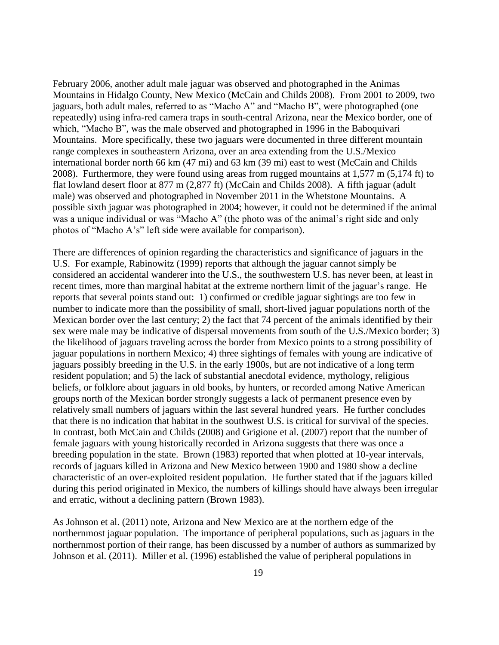February 2006, another adult male jaguar was observed and photographed in the Animas Mountains in Hidalgo County, New Mexico (McCain and Childs 2008). From 2001 to 2009, two jaguars, both adult males, referred to as "Macho A" and "Macho B", were photographed (one repeatedly) using infra-red camera traps in south-central Arizona, near the Mexico border, one of which, "Macho B", was the male observed and photographed in 1996 in the Baboquivari Mountains. More specifically, these two jaguars were documented in three different mountain range complexes in southeastern Arizona, over an area extending from the U.S./Mexico international border north 66 km (47 mi) and 63 km (39 mi) east to west (McCain and Childs 2008). Furthermore, they were found using areas from rugged mountains at 1,577 m (5,174 ft) to flat lowland desert floor at 877 m (2,877 ft) (McCain and Childs 2008). A fifth jaguar (adult male) was observed and photographed in November 2011 in the Whetstone Mountains. A possible sixth jaguar was photographed in 2004; however, it could not be determined if the animal was a unique individual or was "Macho A" (the photo was of the animal's right side and only photos of "Macho A's" left side were available for comparison).

There are differences of opinion regarding the characteristics and significance of jaguars in the U.S. For example, Rabinowitz (1999) reports that although the jaguar cannot simply be considered an accidental wanderer into the U.S., the southwestern U.S. has never been, at least in recent times, more than marginal habitat at the extreme northern limit of the jaguar's range. He reports that several points stand out: 1) confirmed or credible jaguar sightings are too few in number to indicate more than the possibility of small, short-lived jaguar populations north of the Mexican border over the last century; 2) the fact that 74 percent of the animals identified by their sex were male may be indicative of dispersal movements from south of the U.S./Mexico border; 3) the likelihood of jaguars traveling across the border from Mexico points to a strong possibility of jaguar populations in northern Mexico; 4) three sightings of females with young are indicative of jaguars possibly breeding in the U.S. in the early 1900s, but are not indicative of a long term resident population; and 5) the lack of substantial anecdotal evidence, mythology, religious beliefs, or folklore about jaguars in old books, by hunters, or recorded among Native American groups north of the Mexican border strongly suggests a lack of permanent presence even by relatively small numbers of jaguars within the last several hundred years. He further concludes that there is no indication that habitat in the southwest U.S. is critical for survival of the species. In contrast, both McCain and Childs (2008) and Grigione et al. (2007) report that the number of female jaguars with young historically recorded in Arizona suggests that there was once a breeding population in the state. Brown (1983) reported that when plotted at 10-year intervals, records of jaguars killed in Arizona and New Mexico between 1900 and 1980 show a decline characteristic of an over-exploited resident population. He further stated that if the jaguars killed during this period originated in Mexico, the numbers of killings should have always been irregular and erratic, without a declining pattern (Brown 1983).

As Johnson et al. (2011) note, Arizona and New Mexico are at the northern edge of the northernmost jaguar population. The importance of peripheral populations, such as jaguars in the northernmost portion of their range, has been discussed by a number of authors as summarized by Johnson et al. (2011). Miller et al. (1996) established the value of peripheral populations in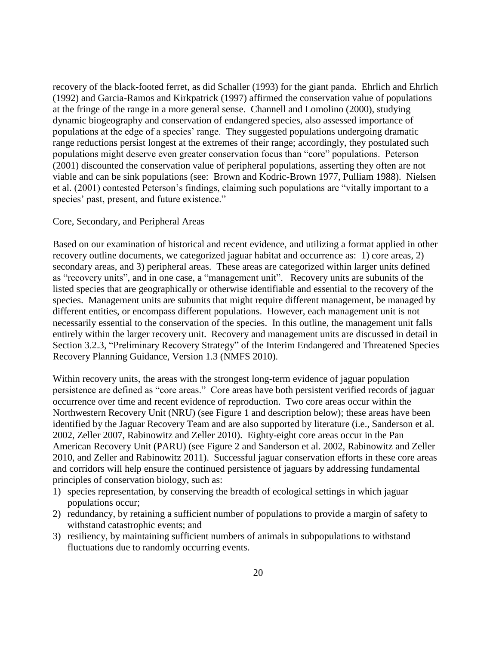recovery of the black-footed ferret, as did Schaller (1993) for the giant panda. Ehrlich and Ehrlich (1992) and Garcia-Ramos and Kirkpatrick (1997) affirmed the conservation value of populations at the fringe of the range in a more general sense. Channell and Lomolino (2000), studying dynamic biogeography and conservation of endangered species, also assessed importance of populations at the edge of a species' range. They suggested populations undergoing dramatic range reductions persist longest at the extremes of their range; accordingly, they postulated such populations might deserve even greater conservation focus than "core" populations. Peterson (2001) discounted the conservation value of peripheral populations, asserting they often are not viable and can be sink populations (see: Brown and Kodric-Brown 1977, Pulliam 1988). Nielsen et al. (2001) contested Peterson's findings, claiming such populations are "vitally important to a species' past, present, and future existence."

#### Core, Secondary, and Peripheral Areas

Based on our examination of historical and recent evidence, and utilizing a format applied in other recovery outline documents, we categorized jaguar habitat and occurrence as: 1) core areas, 2) secondary areas, and 3) peripheral areas. These areas are categorized within larger units defined as "recovery units", and in one case, a "management unit". Recovery units are subunits of the listed species that are geographically or otherwise identifiable and essential to the recovery of the species. Management units are subunits that might require different management, be managed by different entities, or encompass different populations. However, each management unit is not necessarily essential to the conservation of the species. In this outline, the management unit falls entirely within the larger recovery unit. Recovery and management units are discussed in detail in Section 3.2.3, "Preliminary Recovery Strategy" of the Interim Endangered and Threatened Species Recovery Planning Guidance, Version 1.3 (NMFS 2010).

Within recovery units, the areas with the strongest long-term evidence of jaguar population persistence are defined as "core areas." Core areas have both persistent verified records of jaguar occurrence over time and recent evidence of reproduction. Two core areas occur within the Northwestern Recovery Unit (NRU) (see Figure 1 and description below); these areas have been identified by the Jaguar Recovery Team and are also supported by literature (i.e., Sanderson et al. 2002, Zeller 2007, Rabinowitz and Zeller 2010). Eighty-eight core areas occur in the Pan American Recovery Unit (PARU) (see Figure 2 and Sanderson et al. 2002, Rabinowitz and Zeller 2010, and Zeller and Rabinowitz 2011). Successful jaguar conservation efforts in these core areas and corridors will help ensure the continued persistence of jaguars by addressing fundamental principles of conservation biology, such as:

- 1) species representation, by conserving the breadth of ecological settings in which jaguar populations occur;
- 2) redundancy, by retaining a sufficient number of populations to provide a margin of safety to withstand catastrophic events; and
- 3) resiliency, by maintaining sufficient numbers of animals in subpopulations to withstand fluctuations due to randomly occurring events.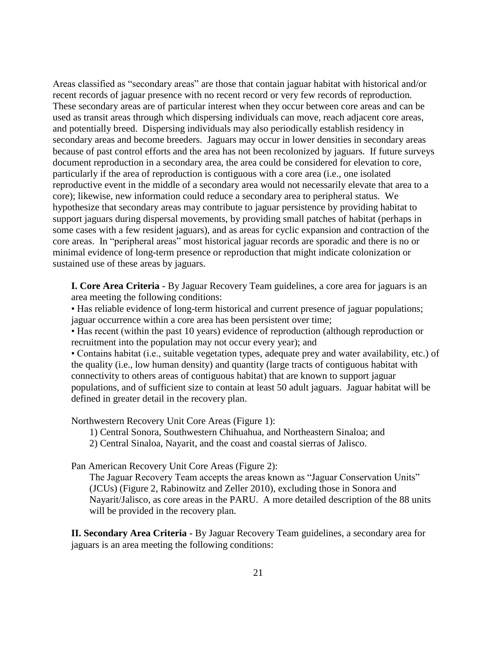Areas classified as "secondary areas" are those that contain jaguar habitat with historical and/or recent records of jaguar presence with no recent record or very few records of reproduction. These secondary areas are of particular interest when they occur between core areas and can be used as transit areas through which dispersing individuals can move, reach adjacent core areas, and potentially breed. Dispersing individuals may also periodically establish residency in secondary areas and become breeders. Jaguars may occur in lower densities in secondary areas because of past control efforts and the area has not been recolonized by jaguars. If future surveys document reproduction in a secondary area, the area could be considered for elevation to core, particularly if the area of reproduction is contiguous with a core area (i.e., one isolated reproductive event in the middle of a secondary area would not necessarily elevate that area to a core); likewise, new information could reduce a secondary area to peripheral status. We hypothesize that secondary areas may contribute to jaguar persistence by providing habitat to support jaguars during dispersal movements, by providing small patches of habitat (perhaps in some cases with a few resident jaguars), and as areas for cyclic expansion and contraction of the core areas. In "peripheral areas" most historical jaguar records are sporadic and there is no or minimal evidence of long-term presence or reproduction that might indicate colonization or sustained use of these areas by jaguars.

**I. Core Area Criteria -** By Jaguar Recovery Team guidelines, a core area for jaguars is an area meeting the following conditions:

• Has reliable evidence of long-term historical and current presence of jaguar populations; jaguar occurrence within a core area has been persistent over time;

• Has recent (within the past 10 years) evidence of reproduction (although reproduction or recruitment into the population may not occur every year); and

• Contains habitat (i.e., suitable vegetation types, adequate prey and water availability, etc.) of the quality (i.e., low human density) and quantity (large tracts of contiguous habitat with connectivity to others areas of contiguous habitat) that are known to support jaguar populations, and of sufficient size to contain at least 50 adult jaguars. Jaguar habitat will be defined in greater detail in the recovery plan.

Northwestern Recovery Unit Core Areas (Figure 1):

1) Central Sonora, Southwestern Chihuahua, and Northeastern Sinaloa; and

2) Central Sinaloa, Nayarit, and the coast and coastal sierras of Jalisco.

Pan American Recovery Unit Core Areas (Figure 2):

The Jaguar Recovery Team accepts the areas known as "Jaguar Conservation Units" (JCUs) (Figure 2, Rabinowitz and Zeller 2010), excluding those in Sonora and Nayarit/Jalisco, as core areas in the PARU. A more detailed description of the 88 units will be provided in the recovery plan.

**II. Secondary Area Criteria -** By Jaguar Recovery Team guidelines, a secondary area for jaguars is an area meeting the following conditions: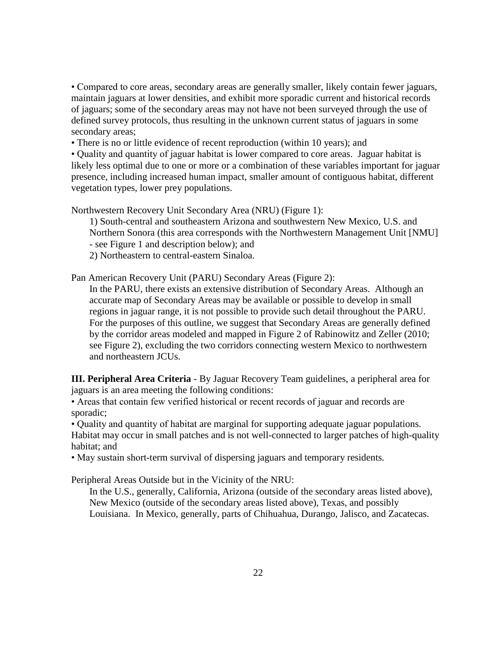• Compared to core areas, secondary areas are generally smaller, likely contain fewer jaguars, maintain jaguars at lower densities, and exhibit more sporadic current and historical records of jaguars; some of the secondary areas may not have not been surveyed through the use of defined survey protocols, thus resulting in the unknown current status of jaguars in some secondary areas;

• There is no or little evidence of recent reproduction (within 10 years); and

• Quality and quantity of jaguar habitat is lower compared to core areas. Jaguar habitat is likely less optimal due to one or more or a combination of these variables important for jaguar presence, including increased human impact, smaller amount of contiguous habitat, different vegetation types, lower prey populations.

Northwestern Recovery Unit Secondary Area (NRU) (Figure 1):

1) South-central and southeastern Arizona and southwestern New Mexico, U.S. and Northern Sonora (this area corresponds with the Northwestern Management Unit [NMU] - see Figure 1 and description below); and

2) Northeastern to central-eastern Sinaloa.

Pan American Recovery Unit (PARU) Secondary Areas (Figure 2):

In the PARU, there exists an extensive distribution of Secondary Areas. Although an accurate map of Secondary Areas may be available or possible to develop in small regions in jaguar range, it is not possible to provide such detail throughout the PARU. For the purposes of this outline, we suggest that Secondary Areas are generally defined by the corridor areas modeled and mapped in Figure 2 of Rabinowitz and Zeller (2010; see Figure 2), excluding the two corridors connecting western Mexico to northwestern and northeastern JCUs.

**III. Peripheral Area Criteria** - By Jaguar Recovery Team guidelines, a peripheral area for jaguars is an area meeting the following conditions:

• Areas that contain few verified historical or recent records of jaguar and records are sporadic;

• Quality and quantity of habitat are marginal for supporting adequate jaguar populations.

Habitat may occur in small patches and is not well-connected to larger patches of high-quality habitat; and

• May sustain short-term survival of dispersing jaguars and temporary residents*.*

Peripheral Areas Outside but in the Vicinity of the NRU:

In the U.S., generally, California, Arizona (outside of the secondary areas listed above), New Mexico (outside of the secondary areas listed above), Texas, and possibly Louisiana. In Mexico, generally, parts of Chihuahua, Durango, Jalisco, and Zacatecas.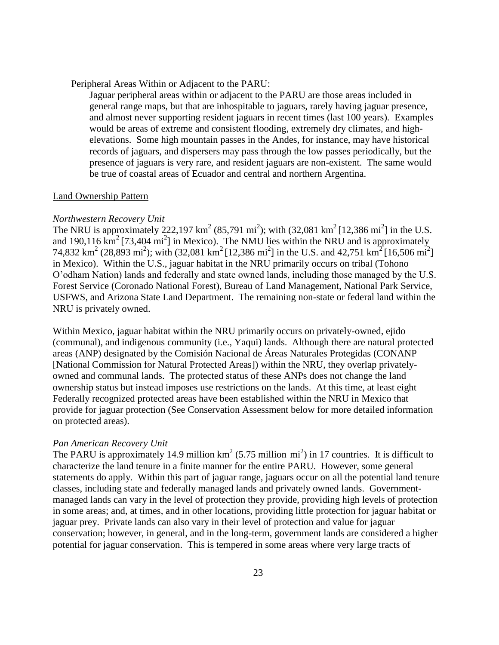Peripheral Areas Within or Adjacent to the PARU:

Jaguar peripheral areas within or adjacent to the PARU are those areas included in general range maps, but that are inhospitable to jaguars, rarely having jaguar presence, and almost never supporting resident jaguars in recent times (last 100 years). Examples would be areas of extreme and consistent flooding, extremely dry climates, and highelevations. Some high mountain passes in the Andes, for instance, may have historical records of jaguars, and dispersers may pass through the low passes periodically, but the presence of jaguars is very rare, and resident jaguars are non-existent. The same would be true of coastal areas of Ecuador and central and northern Argentina.

#### Land Ownership Pattern

#### *Northwestern Recovery Unit*

The NRU is approximately 222,197 km<sup>2</sup> (85,791 mi<sup>2</sup>); with (32,081 km<sup>2</sup> [12,386 mi<sup>2</sup>] in the U.S. and 190,116  $\text{km}^2$  [73,404 mi<sup>2</sup>] in Mexico). The NMU lies within the NRU and is approximately 74,832 km<sup>2</sup> (28,893 mi<sup>2</sup>); with (32,081 km<sup>2</sup> [12,386 mi<sup>2</sup>] in the U.S. and 42,751 km<sup>2</sup> [16,506 mi<sup>2</sup>] in Mexico). Within the U.S., jaguar habitat in the NRU primarily occurs on tribal (Tohono O'odham Nation) lands and federally and state owned lands, including those managed by the U.S. Forest Service (Coronado National Forest), Bureau of Land Management, National Park Service, USFWS, and Arizona State Land Department. The remaining non-state or federal land within the NRU is privately owned.

Within Mexico, jaguar habitat within the NRU primarily occurs on privately-owned, ejido (communal), and indigenous community (i.e., Yaqui) lands. Although there are natural protected areas (ANP) designated by the Comisión Nacional de Áreas Naturales Protegidas (CONANP [National Commission for Natural Protected Areas]) within the NRU, they overlap privatelyowned and communal lands. The protected status of these ANPs does not change the land ownership status but instead imposes use restrictions on the lands. At this time, at least eight Federally recognized protected areas have been established within the NRU in Mexico that provide for jaguar protection (See Conservation Assessment below for more detailed information on protected areas).

#### *Pan American Recovery Unit*

The PARU is approximately 14.9 million  $km^2$  (5.75 million mi<sup>2</sup>) in 17 countries. It is difficult to characterize the land tenure in a finite manner for the entire PARU. However, some general statements do apply. Within this part of jaguar range, jaguars occur on all the potential land tenure classes, including state and federally managed lands and privately owned lands. Governmentmanaged lands can vary in the level of protection they provide, providing high levels of protection in some areas; and, at times, and in other locations, providing little protection for jaguar habitat or jaguar prey. Private lands can also vary in their level of protection and value for jaguar conservation; however, in general, and in the long-term, government lands are considered a higher potential for jaguar conservation. This is tempered in some areas where very large tracts of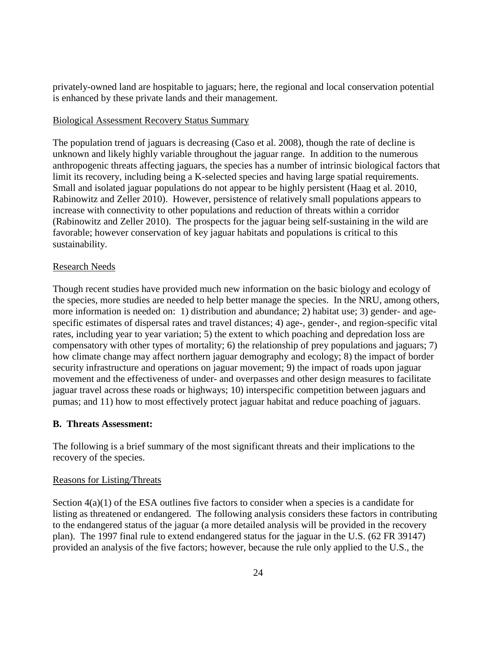privately-owned land are hospitable to jaguars; here, the regional and local conservation potential is enhanced by these private lands and their management.

### Biological Assessment Recovery Status Summary

The population trend of jaguars is decreasing (Caso et al. 2008), though the rate of decline is unknown and likely highly variable throughout the jaguar range. In addition to the numerous anthropogenic threats affecting jaguars, the species has a number of intrinsic biological factors that limit its recovery, including being a K-selected species and having large spatial requirements. Small and isolated jaguar populations do not appear to be highly persistent (Haag et al. 2010, Rabinowitz and Zeller 2010). However, persistence of relatively small populations appears to increase with connectivity to other populations and reduction of threats within a corridor (Rabinowitz and Zeller 2010). The prospects for the jaguar being self-sustaining in the wild are favorable; however conservation of key jaguar habitats and populations is critical to this sustainability.

### Research Needs

Though recent studies have provided much new information on the basic biology and ecology of the species, more studies are needed to help better manage the species. In the NRU, among others, more information is needed on: 1) distribution and abundance; 2) habitat use; 3) gender- and agespecific estimates of dispersal rates and travel distances; 4) age-, gender-, and region-specific vital rates, including year to year variation; 5) the extent to which poaching and depredation loss are compensatory with other types of mortality; 6) the relationship of prey populations and jaguars; 7) how climate change may affect northern jaguar demography and ecology; 8) the impact of border security infrastructure and operations on jaguar movement; 9) the impact of roads upon jaguar movement and the effectiveness of under- and overpasses and other design measures to facilitate jaguar travel across these roads or highways; 10) interspecific competition between jaguars and pumas; and 11) how to most effectively protect jaguar habitat and reduce poaching of jaguars.

# **B. Threats Assessment:**

The following is a brief summary of the most significant threats and their implications to the recovery of the species.

### Reasons for Listing/Threats

Section  $4(a)(1)$  of the ESA outlines five factors to consider when a species is a candidate for listing as threatened or endangered. The following analysis considers these factors in contributing to the endangered status of the jaguar (a more detailed analysis will be provided in the recovery plan). The 1997 final rule to extend endangered status for the jaguar in the U.S. (62 FR 39147) provided an analysis of the five factors; however, because the rule only applied to the U.S., the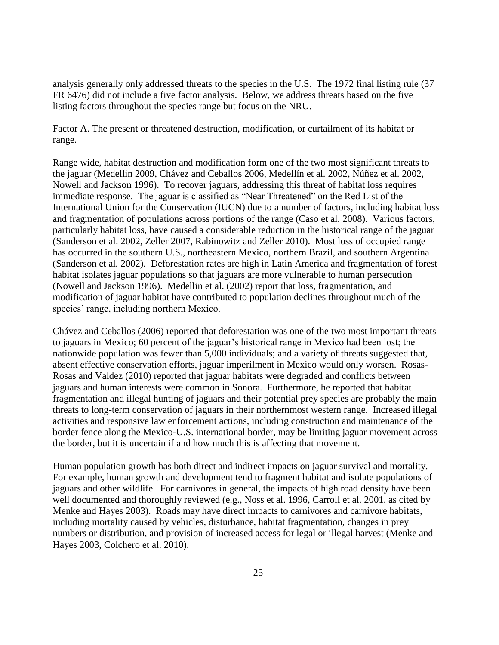analysis generally only addressed threats to the species in the U.S. The 1972 final listing rule (37 FR 6476) did not include a five factor analysis. Below, we address threats based on the five listing factors throughout the species range but focus on the NRU.

Factor A. The present or threatened destruction, modification, or curtailment of its habitat or range.

Range wide, habitat destruction and modification form one of the two most significant threats to the jaguar (Medellin 2009, Chávez and Ceballos 2006, Medellín et al*.* 2002, Núñez et al. 2002, Nowell and Jackson 1996). To recover jaguars, addressing this threat of habitat loss requires immediate response. The jaguar is classified as "Near Threatened" on the Red List of the International Union for the Conservation (IUCN) due to a number of factors, including habitat loss and fragmentation of populations across portions of the range (Caso et al. 2008). Various factors, particularly habitat loss, have caused a considerable reduction in the historical range of the jaguar (Sanderson et al. 2002, Zeller 2007, Rabinowitz and Zeller 2010). Most loss of occupied range has occurred in the southern U.S., northeastern Mexico, northern Brazil, and southern Argentina (Sanderson et al*.* 2002). Deforestation rates are high in Latin America and fragmentation of forest habitat isolates jaguar populations so that jaguars are more vulnerable to human persecution (Nowell and Jackson 1996). Medellin et al. (2002) report that loss, fragmentation, and modification of jaguar habitat have contributed to population declines throughout much of the species' range, including northern Mexico.

Chávez and Ceballos (2006) reported that deforestation was one of the two most important threats to jaguars in Mexico; 60 percent of the jaguar's historical range in Mexico had been lost; the nationwide population was fewer than 5,000 individuals; and a variety of threats suggested that, absent effective conservation efforts, jaguar imperilment in Mexico would only worsen. Rosas-Rosas and Valdez (2010) reported that jaguar habitats were degraded and conflicts between jaguars and human interests were common in Sonora. Furthermore, he reported that habitat fragmentation and illegal hunting of jaguars and their potential prey species are probably the main threats to long-term conservation of jaguars in their northernmost western range. Increased illegal activities and responsive law enforcement actions, including construction and maintenance of the border fence along the Mexico-U.S. international border, may be limiting jaguar movement across the border, but it is uncertain if and how much this is affecting that movement.

Human population growth has both direct and indirect impacts on jaguar survival and mortality. For example, human growth and development tend to fragment habitat and isolate populations of jaguars and other wildlife. For carnivores in general, the impacts of high road density have been well documented and thoroughly reviewed (e.g., Noss et al. 1996, Carroll et al. 2001, as cited by Menke and Hayes 2003). Roads may have direct impacts to carnivores and carnivore habitats, including mortality caused by vehicles, disturbance, habitat fragmentation, changes in prey numbers or distribution, and provision of increased access for legal or illegal harvest (Menke and Hayes 2003, Colchero et al. 2010).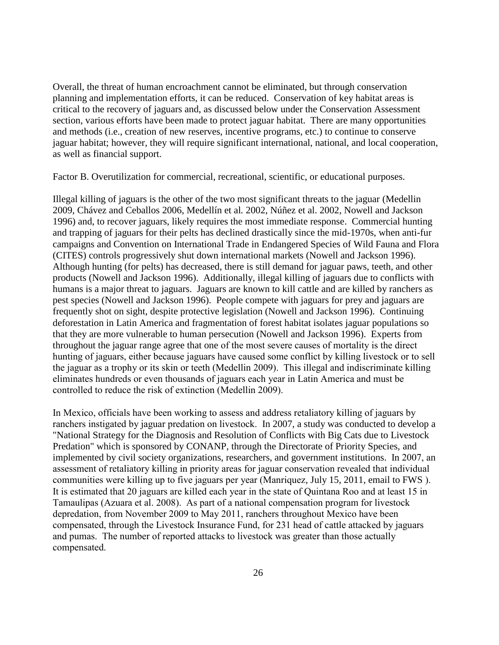Overall, the threat of human encroachment cannot be eliminated, but through conservation planning and implementation efforts, it can be reduced. Conservation of key habitat areas is critical to the recovery of jaguars and, as discussed below under the Conservation Assessment section, various efforts have been made to protect jaguar habitat. There are many opportunities and methods (i.e., creation of new reserves, incentive programs, etc.) to continue to conserve jaguar habitat; however, they will require significant international, national, and local cooperation, as well as financial support.

Factor B. Overutilization for commercial, recreational, scientific, or educational purposes.

Illegal killing of jaguars is the other of the two most significant threats to the jaguar (Medellin 2009, Chávez and Ceballos 2006, Medellín et al*.* 2002, Núñez et al. 2002, Nowell and Jackson 1996) and, to recover jaguars, likely requires the most immediate response. Commercial hunting and trapping of jaguars for their pelts has declined drastically since the mid-1970s, when anti-fur campaigns and Convention on International Trade in Endangered Species of Wild Fauna and Flora (CITES) controls progressively shut down international markets (Nowell and Jackson 1996). Although hunting (for pelts) has decreased, there is still demand for jaguar paws, teeth, and other products (Nowell and Jackson 1996). Additionally, illegal killing of jaguars due to conflicts with humans is a major threat to jaguars. Jaguars are known to kill cattle and are killed by ranchers as pest species (Nowell and Jackson 1996). People compete with jaguars for prey and jaguars are frequently shot on sight, despite protective legislation (Nowell and Jackson 1996). Continuing deforestation in Latin America and fragmentation of forest habitat isolates jaguar populations so that they are more vulnerable to human persecution (Nowell and Jackson 1996). Experts from throughout the jaguar range agree that one of the most severe causes of mortality is the direct hunting of jaguars, either because jaguars have caused some conflict by killing livestock or to sell the jaguar as a trophy or its skin or teeth (Medellin 2009). This illegal and indiscriminate killing eliminates hundreds or even thousands of jaguars each year in Latin America and must be controlled to reduce the risk of extinction (Medellin 2009).

In Mexico, officials have been working to assess and address retaliatory killing of jaguars by ranchers instigated by jaguar predation on livestock. In 2007, a study was conducted to develop a "National Strategy for the Diagnosis and Resolution of Conflicts with Big Cats due to Livestock Predation" which is sponsored by CONANP, through the Directorate of Priority Species, and implemented by civil society organizations, researchers, and government institutions. In 2007, an assessment of retaliatory killing in priority areas for jaguar conservation revealed that individual communities were killing up to five jaguars per year (Manriquez, July 15, 2011, email to FWS ). It is estimated that 20 jaguars are killed each year in the state of Quintana Roo and at least 15 in Tamaulipas (Azuara et al. 2008). As part of a national compensation program for livestock depredation, from November 2009 to May 2011, ranchers throughout Mexico have been compensated, through the Livestock Insurance Fund, for 231 head of cattle attacked by jaguars and pumas. The number of reported attacks to livestock was greater than those actually compensated.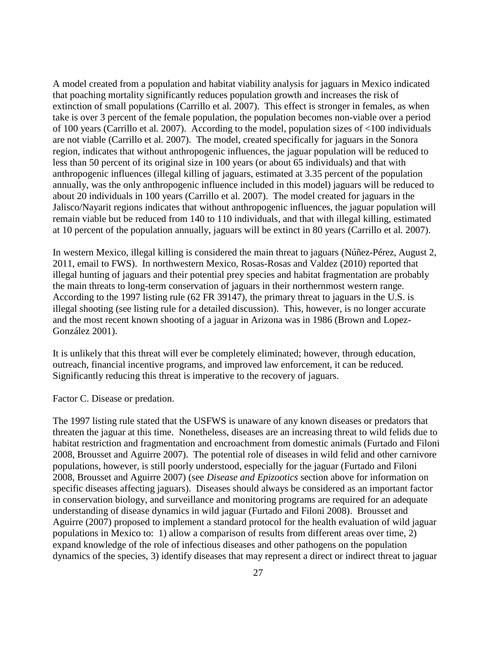A model created from a population and habitat viability analysis for jaguars in Mexico indicated that poaching mortality significantly reduces population growth and increases the risk of extinction of small populations (Carrillo et al*.* 2007). This effect is stronger in females, as when take is over 3 percent of the female population, the population becomes non-viable over a period of 100 years (Carrillo et al*.* 2007). According to the model, population sizes of <100 individuals are not viable (Carrillo et al*.* 2007). The model, created specifically for jaguars in the Sonora region, indicates that without anthropogenic influences, the jaguar population will be reduced to less than 50 percent of its original size in 100 years (or about 65 individuals) and that with anthropogenic influences (illegal killing of jaguars, estimated at 3.35 percent of the population annually, was the only anthropogenic influence included in this model) jaguars will be reduced to about 20 individuals in 100 years (Carrillo et al*.* 2007). The model created for jaguars in the Jalisco/Nayarit regions indicates that without anthropogenic influences, the jaguar population will remain viable but be reduced from 140 to 110 individuals, and that with illegal killing, estimated at 10 percent of the population annually, jaguars will be extinct in 80 years (Carrillo et al*.* 2007).

In western Mexico, illegal killing is considered the main threat to jaguars (Núñez-Pérez, August 2, 2011, email to FWS). In northwestern Mexico, Rosas-Rosas and Valdez (2010) reported that illegal hunting of jaguars and their potential prey species and habitat fragmentation are probably the main threats to long-term conservation of jaguars in their northernmost western range. According to the 1997 listing rule (62 FR 39147), the primary threat to jaguars in the U.S. is illegal shooting (see listing rule for a detailed discussion). This, however, is no longer accurate and the most recent known shooting of a jaguar in Arizona was in 1986 (Brown and Lopez-González 2001).

It is unlikely that this threat will ever be completely eliminated; however, through education, outreach, financial incentive programs, and improved law enforcement, it can be reduced. Significantly reducing this threat is imperative to the recovery of jaguars.

Factor C. Disease or predation.

The 1997 listing rule stated that the USFWS is unaware of any known diseases or predators that threaten the jaguar at this time. Nonetheless, diseases are an increasing threat to wild felids due to habitat restriction and fragmentation and encroachment from domestic animals (Furtado and Filoni 2008, Brousset and Aguirre 2007). The potential role of diseases in wild felid and other carnivore populations, however, is still poorly understood, especially for the jaguar (Furtado and Filoni 2008, Brousset and Aguirre 2007) (see *Disease and Epizootics* section above for information on specific diseases affecting jaguars). Diseases should always be considered as an important factor in conservation biology, and surveillance and monitoring programs are required for an adequate understanding of disease dynamics in wild jaguar (Furtado and Filoni 2008). Brousset and Aguirre (2007) proposed to implement a standard protocol for the health evaluation of wild jaguar populations in Mexico to: 1) allow a comparison of results from different areas over time, 2) expand knowledge of the role of infectious diseases and other pathogens on the population dynamics of the species, 3) identify diseases that may represent a direct or indirect threat to jaguar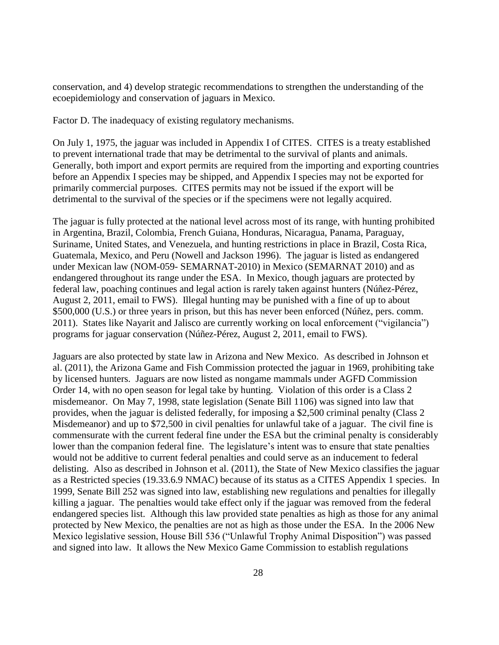conservation, and 4) develop strategic recommendations to strengthen the understanding of the ecoepidemiology and conservation of jaguars in Mexico.

Factor D. The inadequacy of existing regulatory mechanisms.

On July 1, 1975, the jaguar was included in Appendix I of CITES. CITES is a treaty established to prevent international trade that may be detrimental to the survival of plants and animals. Generally, both import and export permits are required from the importing and exporting countries before an Appendix I species may be shipped, and Appendix I species may not be exported for primarily commercial purposes. CITES permits may not be issued if the export will be detrimental to the survival of the species or if the specimens were not legally acquired.

The jaguar is fully protected at the national level across most of its range, with hunting prohibited in Argentina, Brazil, Colombia, French Guiana, Honduras, Nicaragua, Panama, Paraguay, Suriname, United States, and Venezuela, and hunting restrictions in place in Brazil, Costa Rica, Guatemala, Mexico, and Peru (Nowell and Jackson 1996). The jaguar is listed as endangered under Mexican law (NOM-059- SEMARNAT-2010) in Mexico (SEMARNAT 2010) and as endangered throughout its range under the ESA. In Mexico, though jaguars are protected by federal law, poaching continues and legal action is rarely taken against hunters (Núñez-Pérez, August 2, 2011, email to FWS). Illegal hunting may be punished with a fine of up to about \$500,000 (U.S.) or three years in prison, but this has never been enforced (Núñez, pers. comm. 2011). States like Nayarit and Jalisco are currently working on local enforcement ("vigilancia") programs for jaguar conservation (Núñez-Pérez, August 2, 2011, email to FWS).

Jaguars are also protected by state law in Arizona and New Mexico. As described in Johnson et al. (2011), the Arizona Game and Fish Commission protected the jaguar in 1969, prohibiting take by licensed hunters. Jaguars are now listed as nongame mammals under AGFD Commission Order 14, with no open season for legal take by hunting. Violation of this order is a Class 2 misdemeanor. On May 7, 1998, state legislation (Senate Bill 1106) was signed into law that provides, when the jaguar is delisted federally, for imposing a \$2,500 criminal penalty (Class 2 Misdemeanor) and up to \$72,500 in civil penalties for unlawful take of a jaguar. The civil fine is commensurate with the current federal fine under the ESA but the criminal penalty is considerably lower than the companion federal fine. The legislature's intent was to ensure that state penalties would not be additive to current federal penalties and could serve as an inducement to federal delisting. Also as described in Johnson et al. (2011), the State of New Mexico classifies the jaguar as a Restricted species (19.33.6.9 NMAC) because of its status as a CITES Appendix 1 species. In 1999, Senate Bill 252 was signed into law, establishing new regulations and penalties for illegally killing a jaguar. The penalties would take effect only if the jaguar was removed from the federal endangered species list. Although this law provided state penalties as high as those for any animal protected by New Mexico, the penalties are not as high as those under the ESA. In the 2006 New Mexico legislative session, House Bill 536 ("Unlawful Trophy Animal Disposition") was passed and signed into law. It allows the New Mexico Game Commission to establish regulations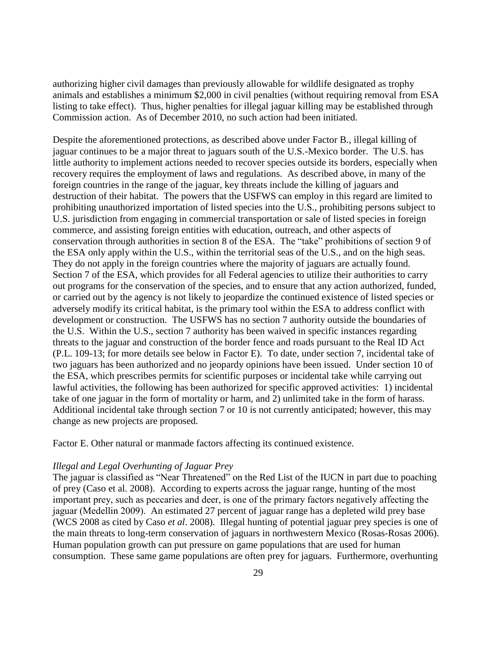authorizing higher civil damages than previously allowable for wildlife designated as trophy animals and establishes a minimum \$2,000 in civil penalties (without requiring removal from ESA listing to take effect). Thus, higher penalties for illegal jaguar killing may be established through Commission action. As of December 2010, no such action had been initiated.

Despite the aforementioned protections, as described above under Factor B., illegal killing of jaguar continues to be a major threat to jaguars south of the U.S.-Mexico border. The U.S. has little authority to implement actions needed to recover species outside its borders, especially when recovery requires the employment of laws and regulations. As described above, in many of the foreign countries in the range of the jaguar, key threats include the killing of jaguars and destruction of their habitat. The powers that the USFWS can employ in this regard are limited to prohibiting unauthorized importation of listed species into the U.S., prohibiting persons subject to U.S. jurisdiction from engaging in commercial transportation or sale of listed species in foreign commerce, and assisting foreign entities with education, outreach, and other aspects of conservation through authorities in section 8 of the ESA. The "take" prohibitions of section 9 of the ESA only apply within the U.S., within the territorial seas of the U.S., and on the high seas. They do not apply in the foreign countries where the majority of jaguars are actually found. Section 7 of the ESA, which provides for all Federal agencies to utilize their authorities to carry out programs for the conservation of the species, and to ensure that any action authorized, funded, or carried out by the agency is not likely to jeopardize the continued existence of listed species or adversely modify its critical habitat, is the primary tool within the ESA to address conflict with development or construction. The USFWS has no section 7 authority outside the boundaries of the U.S. Within the U.S., section 7 authority has been waived in specific instances regarding threats to the jaguar and construction of the border fence and roads pursuant to the Real ID Act (P.L. 109-13; for more details see below in Factor E). To date, under section 7, incidental take of two jaguars has been authorized and no jeopardy opinions have been issued. Under section 10 of the ESA, which prescribes permits for scientific purposes or incidental take while carrying out lawful activities, the following has been authorized for specific approved activities: 1) incidental take of one jaguar in the form of mortality or harm, and 2) unlimited take in the form of harass. Additional incidental take through section 7 or 10 is not currently anticipated; however, this may change as new projects are proposed.

Factor E. Other natural or manmade factors affecting its continued existence.

# *Illegal and Legal Overhunting of Jaguar Prey*

The jaguar is classified as "Near Threatened" on the Red List of the IUCN in part due to poaching of prey (Caso et al. 2008). According to experts across the jaguar range, hunting of the most important prey, such as peccaries and deer, is one of the primary factors negatively affecting the jaguar (Medellin 2009). An estimated 27 percent of jaguar range has a depleted wild prey base (WCS 2008 as cited by Caso *et al*. 2008). Illegal hunting of potential jaguar prey species is one of the main threats to long-term conservation of jaguars in northwestern Mexico (Rosas-Rosas 2006). Human population growth can put pressure on game populations that are used for human consumption. These same game populations are often prey for jaguars. Furthermore, overhunting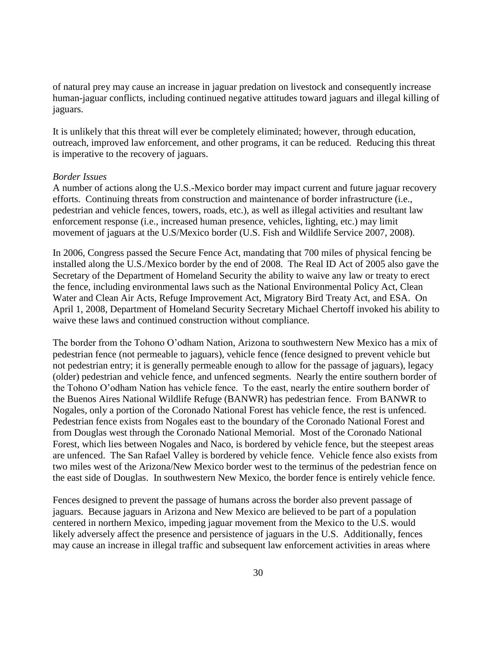of natural prey may cause an increase in jaguar predation on livestock and consequently increase human-jaguar conflicts, including continued negative attitudes toward jaguars and illegal killing of jaguars.

It is unlikely that this threat will ever be completely eliminated; however, through education, outreach, improved law enforcement, and other programs, it can be reduced. Reducing this threat is imperative to the recovery of jaguars.

#### *Border Issues*

A number of actions along the U.S.-Mexico border may impact current and future jaguar recovery efforts. Continuing threats from construction and maintenance of border infrastructure (i.e., pedestrian and vehicle fences, towers, roads, etc.), as well as illegal activities and resultant law enforcement response (i.e., increased human presence, vehicles, lighting, etc.) may limit movement of jaguars at the U.S/Mexico border (U.S. Fish and Wildlife Service 2007, 2008).

In 2006, Congress passed the Secure Fence Act, mandating that 700 miles of physical fencing be installed along the U.S./Mexico border by the end of 2008. The Real ID Act of 2005 also gave the Secretary of the Department of Homeland Security the ability to waive any law or treaty to erect the fence, including environmental laws such as the National Environmental Policy Act, Clean Water and Clean Air Acts, Refuge Improvement Act, Migratory Bird Treaty Act, and ESA. On April 1, 2008, Department of Homeland Security Secretary Michael Chertoff invoked his ability to waive these laws and continued construction without compliance.

The border from the Tohono O'odham Nation, Arizona to southwestern New Mexico has a mix of pedestrian fence (not permeable to jaguars), vehicle fence (fence designed to prevent vehicle but not pedestrian entry; it is generally permeable enough to allow for the passage of jaguars), legacy (older) pedestrian and vehicle fence, and unfenced segments. Nearly the entire southern border of the Tohono O'odham Nation has vehicle fence. To the east, nearly the entire southern border of the Buenos Aires National Wildlife Refuge (BANWR) has pedestrian fence. From BANWR to Nogales, only a portion of the Coronado National Forest has vehicle fence, the rest is unfenced. Pedestrian fence exists from Nogales east to the boundary of the Coronado National Forest and from Douglas west through the Coronado National Memorial. Most of the Coronado National Forest, which lies between Nogales and Naco, is bordered by vehicle fence, but the steepest areas are unfenced. The San Rafael Valley is bordered by vehicle fence. Vehicle fence also exists from two miles west of the Arizona/New Mexico border west to the terminus of the pedestrian fence on the east side of Douglas. In southwestern New Mexico, the border fence is entirely vehicle fence.

Fences designed to prevent the passage of humans across the border also prevent passage of jaguars. Because jaguars in Arizona and New Mexico are believed to be part of a population centered in northern Mexico, impeding jaguar movement from the Mexico to the U.S. would likely adversely affect the presence and persistence of jaguars in the U.S. Additionally, fences may cause an increase in illegal traffic and subsequent law enforcement activities in areas where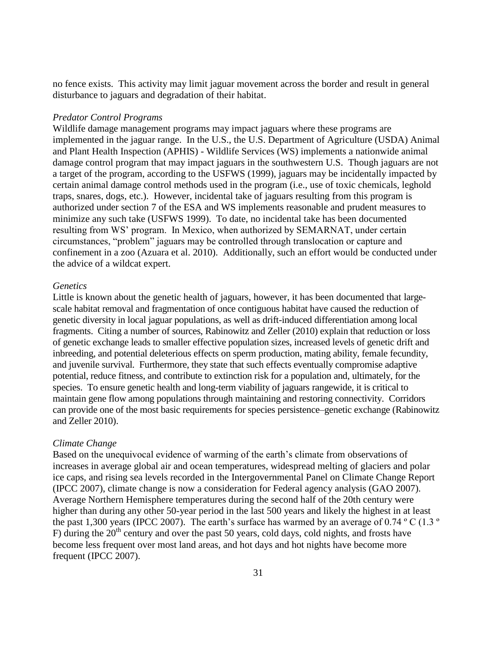no fence exists. This activity may limit jaguar movement across the border and result in general disturbance to jaguars and degradation of their habitat.

### *Predator Control Programs*

Wildlife damage management programs may impact jaguars where these programs are implemented in the jaguar range. In the U.S., the U.S. Department of Agriculture (USDA) Animal and Plant Health Inspection (APHIS) - Wildlife Services (WS) implements a nationwide animal damage control program that may impact jaguars in the southwestern U.S. Though jaguars are not a target of the program, according to the USFWS (1999), jaguars may be incidentally impacted by certain animal damage control methods used in the program (i.e., use of toxic chemicals, leghold traps, snares, dogs, etc.). However, incidental take of jaguars resulting from this program is authorized under section 7 of the ESA and WS implements reasonable and prudent measures to minimize any such take (USFWS 1999). To date, no incidental take has been documented resulting from WS' program. In Mexico, when authorized by SEMARNAT, under certain circumstances, "problem" jaguars may be controlled through translocation or capture and confinement in a zoo (Azuara et al. 2010). Additionally, such an effort would be conducted under the advice of a wildcat expert.

#### *Genetics*

Little is known about the genetic health of jaguars, however, it has been documented that largescale habitat removal and fragmentation of once contiguous habitat have caused the reduction of genetic diversity in local jaguar populations, as well as drift-induced differentiation among local fragments. Citing a number of sources, Rabinowitz and Zeller (2010) explain that reduction or loss of genetic exchange leads to smaller effective population sizes, increased levels of genetic drift and inbreeding, and potential deleterious effects on sperm production, mating ability, female fecundity, and juvenile survival. Furthermore, they state that such effects eventually compromise adaptive potential, reduce fitness, and contribute to extinction risk for a population and, ultimately, for the species. To ensure genetic health and long-term viability of jaguars rangewide, it is critical to maintain gene flow among populations through maintaining and restoring connectivity. Corridors can provide one of the most basic requirements for species persistence–genetic exchange (Rabinowitz and Zeller 2010).

#### *Climate Change*

Based on the unequivocal evidence of warming of the earth's climate from observations of increases in average global air and ocean temperatures, widespread melting of glaciers and polar ice caps, and rising sea levels recorded in the Intergovernmental Panel on Climate Change Report (IPCC 2007), climate change is now a consideration for Federal agency analysis (GAO 2007). Average Northern Hemisphere temperatures during the second half of the 20th century were higher than during any other 50-year period in the last 500 years and likely the highest in at least the past 1,300 years (IPCC 2007). The earth's surface has warmed by an average of 0.74  $\degree$ C (1.3  $\degree$ ) F) during the  $20<sup>th</sup>$  century and over the past 50 years, cold days, cold nights, and frosts have become less frequent over most land areas, and hot days and hot nights have become more frequent (IPCC 2007).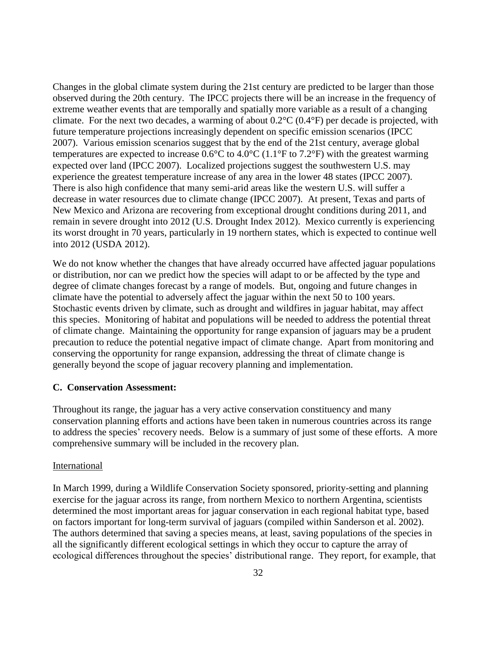Changes in the global climate system during the 21st century are predicted to be larger than those observed during the 20th century. The IPCC projects there will be an increase in the frequency of extreme weather events that are temporally and spatially more variable as a result of a changing climate. For the next two decades, a warming of about  $0.2^{\circ}C$  ( $0.4^{\circ}F$ ) per decade is projected, with future temperature projections increasingly dependent on specific emission scenarios (IPCC 2007). Various emission scenarios suggest that by the end of the 21st century, average global temperatures are expected to increase  $0.6^{\circ}$ C to  $4.0^{\circ}$ C (1.1°F to 7.2°F) with the greatest warming expected over land (IPCC 2007). Localized projections suggest the southwestern U.S. may experience the greatest temperature increase of any area in the lower 48 states (IPCC 2007). There is also high confidence that many semi-arid areas like the western U.S. will suffer a decrease in water resources due to climate change (IPCC 2007). At present, Texas and parts of New Mexico and Arizona are recovering from exceptional drought conditions during 2011, and remain in severe drought into 2012 (U.S. Drought Index 2012). Mexico currently is experiencing its worst drought in 70 years, particularly in 19 northern states, which is expected to continue well into 2012 (USDA 2012).

We do not know whether the changes that have already occurred have affected jaguar populations or distribution, nor can we predict how the species will adapt to or be affected by the type and degree of climate changes forecast by a range of models. But, ongoing and future changes in climate have the potential to adversely affect the jaguar within the next 50 to 100 years. Stochastic events driven by climate, such as drought and wildfires in jaguar habitat, may affect this species. Monitoring of habitat and populations will be needed to address the potential threat of climate change. Maintaining the opportunity for range expansion of jaguars may be a prudent precaution to reduce the potential negative impact of climate change. Apart from monitoring and conserving the opportunity for range expansion, addressing the threat of climate change is generally beyond the scope of jaguar recovery planning and implementation.

### **C. Conservation Assessment:**

Throughout its range, the jaguar has a very active conservation constituency and many conservation planning efforts and actions have been taken in numerous countries across its range to address the species' recovery needs. Below is a summary of just some of these efforts. A more comprehensive summary will be included in the recovery plan.

#### International

In March 1999, during a Wildlife Conservation Society sponsored, priority-setting and planning exercise for the jaguar across its range, from northern Mexico to northern Argentina, scientists determined the most important areas for jaguar conservation in each regional habitat type, based on factors important for long-term survival of jaguars (compiled within Sanderson et al. 2002). The authors determined that saving a species means, at least, saving populations of the species in all the significantly different ecological settings in which they occur to capture the array of ecological differences throughout the species' distributional range. They report, for example, that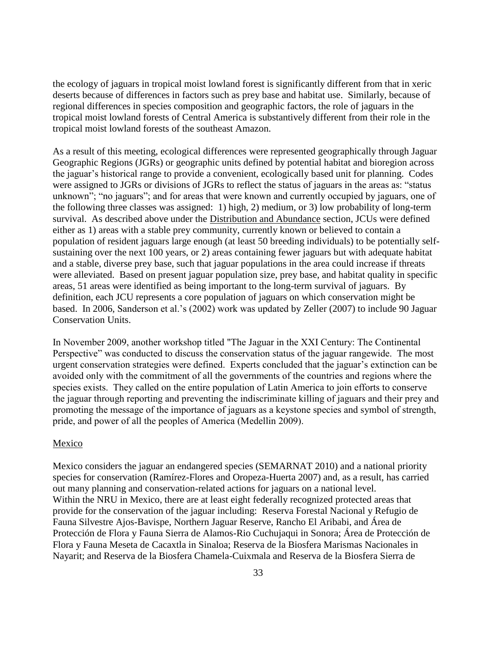the ecology of jaguars in tropical moist lowland forest is significantly different from that in xeric deserts because of differences in factors such as prey base and habitat use. Similarly, because of regional differences in species composition and geographic factors, the role of jaguars in the tropical moist lowland forests of Central America is substantively different from their role in the tropical moist lowland forests of the southeast Amazon.

As a result of this meeting, ecological differences were represented geographically through Jaguar Geographic Regions (JGRs) or geographic units defined by potential habitat and bioregion across the jaguar's historical range to provide a convenient, ecologically based unit for planning. Codes were assigned to JGRs or divisions of JGRs to reflect the status of jaguars in the areas as: "status unknown"; "no jaguars"; and for areas that were known and currently occupied by jaguars, one of the following three classes was assigned: 1) high, 2) medium, or 3) low probability of long-term survival. As described above under the Distribution and Abundance section, JCUs were defined either as 1) areas with a stable prey community, currently known or believed to contain a population of resident jaguars large enough (at least 50 breeding individuals) to be potentially selfsustaining over the next 100 years, or 2) areas containing fewer jaguars but with adequate habitat and a stable, diverse prey base, such that jaguar populations in the area could increase if threats were alleviated. Based on present jaguar population size, prey base, and habitat quality in specific areas, 51 areas were identified as being important to the long-term survival of jaguars. By definition, each JCU represents a core population of jaguars on which conservation might be based. In 2006, Sanderson et al.'s (2002) work was updated by Zeller (2007) to include 90 Jaguar Conservation Units.

In November 2009, another workshop titled "The Jaguar in the XXI Century: The Continental Perspective" was conducted to discuss the conservation status of the jaguar rangewide. The most urgent conservation strategies were defined. Experts concluded that the jaguar's extinction can be avoided only with the commitment of all the governments of the countries and regions where the species exists. They called on the entire population of Latin America to join efforts to conserve the jaguar through reporting and preventing the indiscriminate killing of jaguars and their prey and promoting the message of the importance of jaguars as a keystone species and symbol of strength, pride, and power of all the peoples of America (Medellin 2009).

### Mexico

Mexico considers the jaguar an endangered species (SEMARNAT 2010) and a national priority species for conservation (Ramírez-Flores and Oropeza-Huerta 2007) and, as a result, has carried out many planning and conservation-related actions for jaguars on a national level. Within the NRU in Mexico, there are at least eight federally recognized protected areas that provide for the conservation of the jaguar including: Reserva Forestal Nacional y Refugio de Fauna Silvestre Ajos-Bavispe, Northern Jaguar Reserve, Rancho El Aribabi, and Área de Protección de Flora y Fauna Sierra de Alamos-Rio Cuchujaqui in Sonora; Área de Protección de Flora y Fauna Meseta de Cacaxtla in Sinaloa; Reserva de la Biosfera Marismas Nacionales in Nayarit; and Reserva de la Biosfera Chamela-Cuixmala and Reserva de la Biosfera Sierra de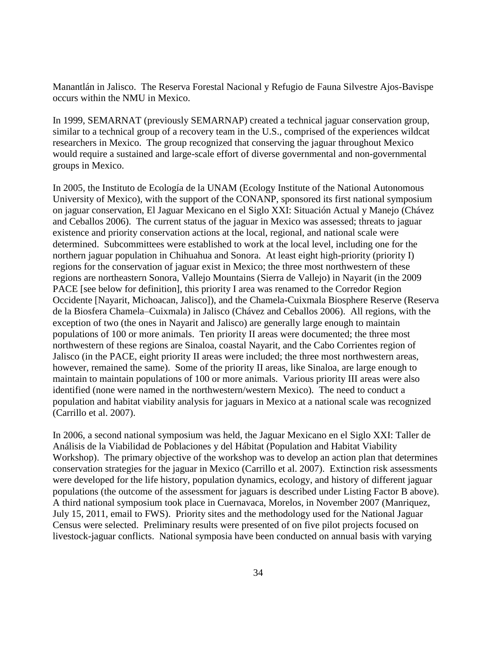Manantlán in Jalisco. The Reserva Forestal Nacional y Refugio de Fauna Silvestre Ajos-Bavispe occurs within the NMU in Mexico.

In 1999, SEMARNAT (previously SEMARNAP) created a technical jaguar conservation group, similar to a technical group of a recovery team in the U.S., comprised of the experiences wildcat researchers in Mexico. The group recognized that conserving the jaguar throughout Mexico would require a sustained and large-scale effort of diverse governmental and non-governmental groups in Mexico.

In 2005, the Instituto de Ecología de la UNAM (Ecology Institute of the National Autonomous University of Mexico), with the support of the CONANP, sponsored its first national symposium on jaguar conservation, El Jaguar Mexicano en el Siglo XXI: Situación Actual y Manejo (Chávez and Ceballos 2006). The current status of the jaguar in Mexico was assessed; threats to jaguar existence and priority conservation actions at the local, regional, and national scale were determined. Subcommittees were established to work at the local level, including one for the northern jaguar population in Chihuahua and Sonora. At least eight high-priority (priority I) regions for the conservation of jaguar exist in Mexico; the three most northwestern of these regions are northeastern Sonora, Vallejo Mountains (Sierra de Vallejo) in Nayarit (in the 2009 PACE [see below for definition], this priority I area was renamed to the Corredor Region Occidente [Nayarit, Michoacan, Jalisco]), and the Chamela-Cuixmala Biosphere Reserve (Reserva de la Biosfera Chamela–Cuixmala) in Jalisco (Chávez and Ceballos 2006). All regions, with the exception of two (the ones in Nayarit and Jalisco) are generally large enough to maintain populations of 100 or more animals. Ten priority II areas were documented; the three most northwestern of these regions are Sinaloa, coastal Nayarit, and the Cabo Corrientes region of Jalisco (in the PACE, eight priority II areas were included; the three most northwestern areas, however, remained the same). Some of the priority II areas, like Sinaloa, are large enough to maintain to maintain populations of 100 or more animals. Various priority III areas were also identified (none were named in the northwestern/western Mexico). The need to conduct a population and habitat viability analysis for jaguars in Mexico at a national scale was recognized (Carrillo et al. 2007).

In 2006, a second national symposium was held, the Jaguar Mexicano en el Siglo XXI: Taller de Análisis de la Viabilidad de Poblaciones y del Hábitat (Population and Habitat Viability Workshop). The primary objective of the workshop was to develop an action plan that determines conservation strategies for the jaguar in Mexico (Carrillo et al. 2007). Extinction risk assessments were developed for the life history, population dynamics, ecology, and history of different jaguar populations (the outcome of the assessment for jaguars is described under Listing Factor B above). A third national symposium took place in Cuernavaca, Morelos, in November 2007 (Manriquez, July 15, 2011, email to FWS). Priority sites and the methodology used for the National Jaguar Census were selected. Preliminary results were presented of on five pilot projects focused on livestock-jaguar conflicts. National symposia have been conducted on annual basis with varying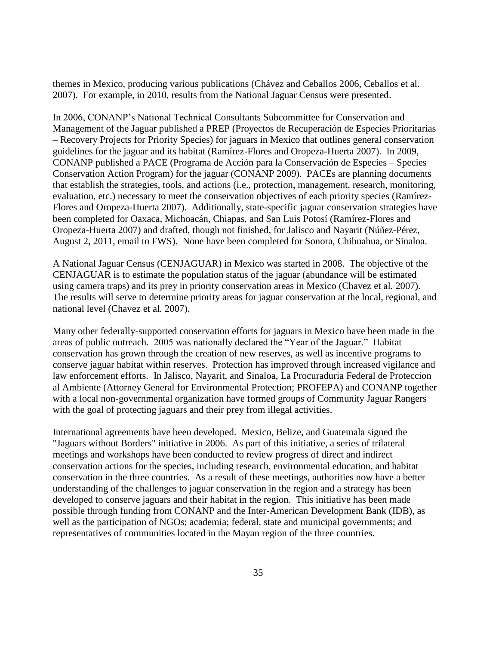themes in Mexico, producing various publications (Chávez and Ceballos 2006, Ceballos et al. 2007). For example, in 2010, results from the National Jaguar Census were presented.

In 2006, CONANP's National Technical Consultants Subcommittee for Conservation and Management of the Jaguar published a PREP (Proyectos de Recuperación de Especies Prioritarias – Recovery Projects for Priority Species) for jaguars in Mexico that outlines general conservation guidelines for the jaguar and its habitat (Ramírez-Flores and Oropeza-Huerta 2007). In 2009, CONANP published a PACE (Programa de Acción para la Conservación de Especies – Species Conservation Action Program) for the jaguar (CONANP 2009). PACEs are planning documents that establish the strategies, tools, and actions (i.e., protection, management, research, monitoring, evaluation, etc.) necessary to meet the conservation objectives of each priority species (Ramírez-Flores and Oropeza-Huerta 2007). Additionally, state-specific jaguar conservation strategies have been completed for Oaxaca, Michoacán, Chiapas, and San Luis Potosí (Ramírez-Flores and Oropeza-Huerta 2007) and drafted, though not finished, for Jalisco and Nayarit (Núñez-Pérez, August 2, 2011, email to FWS). None have been completed for Sonora, Chihuahua, or Sinaloa.

A National Jaguar Census (CENJAGUAR) in Mexico was started in 2008. The objective of the CENJAGUAR is to estimate the population status of the jaguar (abundance will be estimated using camera traps) and its prey in priority conservation areas in Mexico (Chavez et al*.* 2007). The results will serve to determine priority areas for jaguar conservation at the local, regional, and national level (Chavez et al*.* 2007).

Many other federally-supported conservation efforts for jaguars in Mexico have been made in the areas of public outreach. 2005 was nationally declared the "Year of the Jaguar." Habitat conservation has grown through the creation of new reserves, as well as incentive programs to conserve jaguar habitat within reserves. Protection has improved through increased vigilance and law enforcement efforts. In Jalisco, Nayarit, and Sinaloa, La Procuraduria Federal de Proteccion al Ambiente (Attorney General for Environmental Protection; PROFEPA) and CONANP together with a local non-governmental organization have formed groups of Community Jaguar Rangers with the goal of protecting jaguars and their prey from illegal activities.

International agreements have been developed. Mexico, Belize, and Guatemala signed the "Jaguars without Borders" initiative in 2006. As part of this initiative, a series of trilateral meetings and workshops have been conducted to review progress of direct and indirect conservation actions for the species, including research, environmental education, and habitat conservation in the three countries. As a result of these meetings, authorities now have a better understanding of the challenges to jaguar conservation in the region and a strategy has been developed to conserve jaguars and their habitat in the region. This initiative has been made possible through funding from CONANP and the Inter-American Development Bank (IDB), as well as the participation of NGOs; academia; federal, state and municipal governments; and representatives of communities located in the Mayan region of the three countries.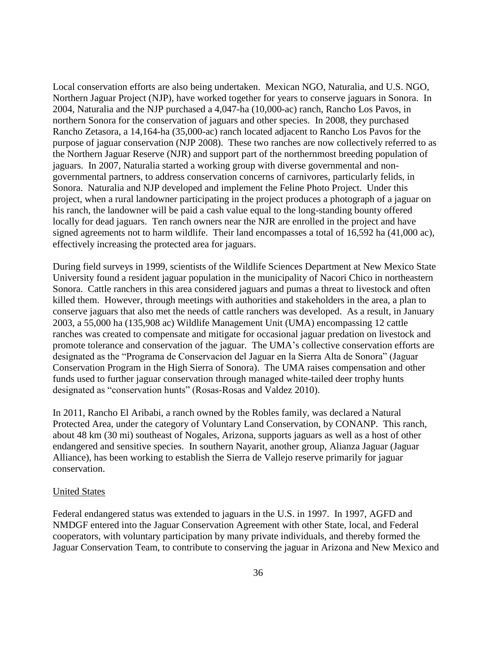Local conservation efforts are also being undertaken. Mexican NGO, Naturalia, and U.S. NGO, Northern Jaguar Project (NJP), have worked together for years to conserve jaguars in Sonora. In 2004, Naturalia and the NJP purchased a 4,047-ha (10,000-ac) ranch, Rancho Los Pavos, in northern Sonora for the conservation of jaguars and other species. In 2008, they purchased Rancho Zetasora, a 14,164-ha (35,000-ac) ranch located adjacent to Rancho Los Pavos for the purpose of jaguar conservation (NJP 2008). These two ranches are now collectively referred to as the Northern Jaguar Reserve (NJR) and support part of the northernmost breeding population of jaguars. In 2007, Naturalia started a working group with diverse governmental and nongovernmental partners, to address conservation concerns of carnivores, particularly felids, in Sonora. Naturalia and NJP developed and implement the Feline Photo Project. Under this project, when a rural landowner participating in the project produces a photograph of a jaguar on his ranch, the landowner will be paid a cash value equal to the long-standing bounty offered locally for dead jaguars. Ten ranch owners near the NJR are enrolled in the project and have signed agreements not to harm wildlife. Their land encompasses a total of 16,592 ha (41,000 ac), effectively increasing the protected area for jaguars.

During field surveys in 1999, scientists of the Wildlife Sciences Department at New Mexico State University found a resident jaguar population in the municipality of Nacori Chico in northeastern Sonora. Cattle ranchers in this area considered jaguars and pumas a threat to livestock and often killed them. However, through meetings with authorities and stakeholders in the area, a plan to conserve jaguars that also met the needs of cattle ranchers was developed. As a result, in January 2003, a 55,000 ha (135,908 ac) Wildlife Management Unit (UMA) encompassing 12 cattle ranches was created to compensate and mitigate for occasional jaguar predation on livestock and promote tolerance and conservation of the jaguar. The UMA's collective conservation efforts are designated as the "Programa de Conservacion del Jaguar en la Sierra Alta de Sonora" (Jaguar Conservation Program in the High Sierra of Sonora). The UMA raises compensation and other funds used to further jaguar conservation through managed white-tailed deer trophy hunts designated as "conservation hunts" (Rosas-Rosas and Valdez 2010).

In 2011, Rancho El Aribabi, a ranch owned by the Robles family, was declared a Natural Protected Area, under the category of Voluntary Land Conservation, by CONANP. This ranch, about 48 km (30 mi) southeast of Nogales, Arizona, supports jaguars as well as a host of other endangered and sensitive species. In southern Nayarit, another group, Alianza Jaguar (Jaguar Alliance), has been working to establish the Sierra de Vallejo reserve primarily for jaguar conservation.

#### United States

Federal endangered status was extended to jaguars in the U.S. in 1997. In 1997, AGFD and NMDGF entered into the Jaguar Conservation Agreement with other State, local, and Federal cooperators, with voluntary participation by many private individuals, and thereby formed the Jaguar Conservation Team, to contribute to conserving the jaguar in Arizona and New Mexico and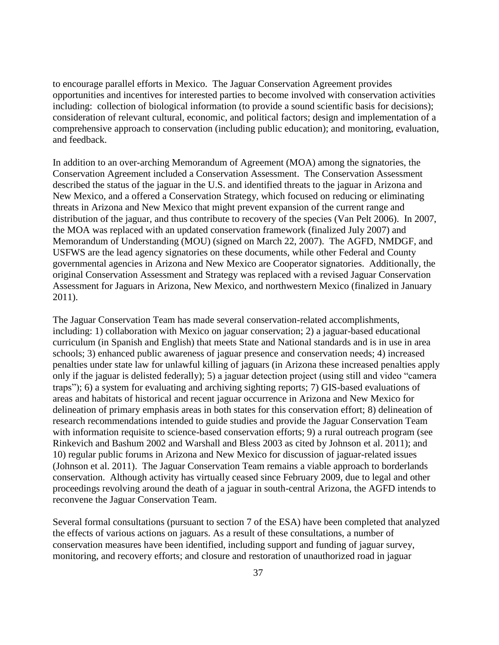to encourage parallel efforts in Mexico. The Jaguar Conservation Agreement provides opportunities and incentives for interested parties to become involved with conservation activities including: collection of biological information (to provide a sound scientific basis for decisions); consideration of relevant cultural, economic, and political factors; design and implementation of a comprehensive approach to conservation (including public education); and monitoring, evaluation, and feedback.

In addition to an over-arching Memorandum of Agreement (MOA) among the signatories, the Conservation Agreement included a Conservation Assessment. The Conservation Assessment described the status of the jaguar in the U.S. and identified threats to the jaguar in Arizona and New Mexico, and a offered a Conservation Strategy, which focused on reducing or eliminating threats in Arizona and New Mexico that might prevent expansion of the current range and distribution of the jaguar, and thus contribute to recovery of the species (Van Pelt 2006). In 2007, the MOA was replaced with an updated conservation framework (finalized July 2007) and Memorandum of Understanding (MOU) (signed on March 22, 2007). The AGFD, NMDGF, and USFWS are the lead agency signatories on these documents, while other Federal and County governmental agencies in Arizona and New Mexico are Cooperator signatories. Additionally, the original Conservation Assessment and Strategy was replaced with a revised Jaguar Conservation Assessment for Jaguars in Arizona, New Mexico, and northwestern Mexico (finalized in January 2011).

The Jaguar Conservation Team has made several conservation-related accomplishments, including: 1) collaboration with Mexico on jaguar conservation; 2) a jaguar-based educational curriculum (in Spanish and English) that meets State and National standards and is in use in area schools; 3) enhanced public awareness of jaguar presence and conservation needs; 4) increased penalties under state law for unlawful killing of jaguars (in Arizona these increased penalties apply only if the jaguar is delisted federally); 5) a jaguar detection project (using still and video "camera traps"); 6) a system for evaluating and archiving sighting reports; 7) GIS-based evaluations of areas and habitats of historical and recent jaguar occurrence in Arizona and New Mexico for delineation of primary emphasis areas in both states for this conservation effort; 8) delineation of research recommendations intended to guide studies and provide the Jaguar Conservation Team with information requisite to science-based conservation efforts; 9) a rural outreach program (see Rinkevich and Bashum 2002 and Warshall and Bless 2003 as cited by Johnson et al. 2011); and 10) regular public forums in Arizona and New Mexico for discussion of jaguar-related issues (Johnson et al. 2011). The Jaguar Conservation Team remains a viable approach to borderlands conservation. Although activity has virtually ceased since February 2009, due to legal and other proceedings revolving around the death of a jaguar in south-central Arizona, the AGFD intends to reconvene the Jaguar Conservation Team.

Several formal consultations (pursuant to section 7 of the ESA) have been completed that analyzed the effects of various actions on jaguars. As a result of these consultations, a number of conservation measures have been identified, including support and funding of jaguar survey, monitoring, and recovery efforts; and closure and restoration of unauthorized road in jaguar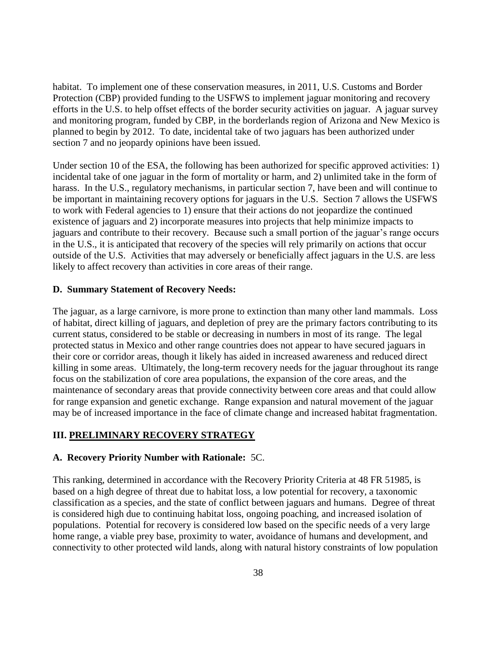habitat. To implement one of these conservation measures, in 2011, U.S. Customs and Border Protection (CBP) provided funding to the USFWS to implement jaguar monitoring and recovery efforts in the U.S. to help offset effects of the border security activities on jaguar. A jaguar survey and monitoring program, funded by CBP, in the borderlands region of Arizona and New Mexico is planned to begin by 2012. To date, incidental take of two jaguars has been authorized under section 7 and no jeopardy opinions have been issued.

Under section 10 of the ESA, the following has been authorized for specific approved activities: 1) incidental take of one jaguar in the form of mortality or harm, and 2) unlimited take in the form of harass. In the U.S., regulatory mechanisms, in particular section 7, have been and will continue to be important in maintaining recovery options for jaguars in the U.S. Section 7 allows the USFWS to work with Federal agencies to 1) ensure that their actions do not jeopardize the continued existence of jaguars and 2) incorporate measures into projects that help minimize impacts to jaguars and contribute to their recovery. Because such a small portion of the jaguar's range occurs in the U.S., it is anticipated that recovery of the species will rely primarily on actions that occur outside of the U.S. Activities that may adversely or beneficially affect jaguars in the U.S. are less likely to affect recovery than activities in core areas of their range.

### **D. Summary Statement of Recovery Needs:**

The jaguar, as a large carnivore, is more prone to extinction than many other land mammals. Loss of habitat, direct killing of jaguars, and depletion of prey are the primary factors contributing to its current status, considered to be stable or decreasing in numbers in most of its range. The legal protected status in Mexico and other range countries does not appear to have secured jaguars in their core or corridor areas, though it likely has aided in increased awareness and reduced direct killing in some areas. Ultimately, the long-term recovery needs for the jaguar throughout its range focus on the stabilization of core area populations, the expansion of the core areas, and the maintenance of secondary areas that provide connectivity between core areas and that could allow for range expansion and genetic exchange. Range expansion and natural movement of the jaguar may be of increased importance in the face of climate change and increased habitat fragmentation.

### **III. PRELIMINARY RECOVERY STRATEGY**

#### **A. Recovery Priority Number with Rationale:** 5C.

This ranking, determined in accordance with the Recovery Priority Criteria at 48 FR 51985, is based on a high degree of threat due to habitat loss, a low potential for recovery, a taxonomic classification as a species, and the state of conflict between jaguars and humans. Degree of threat is considered high due to continuing habitat loss, ongoing poaching, and increased isolation of populations. Potential for recovery is considered low based on the specific needs of a very large home range, a viable prey base, proximity to water, avoidance of humans and development, and connectivity to other protected wild lands, along with natural history constraints of low population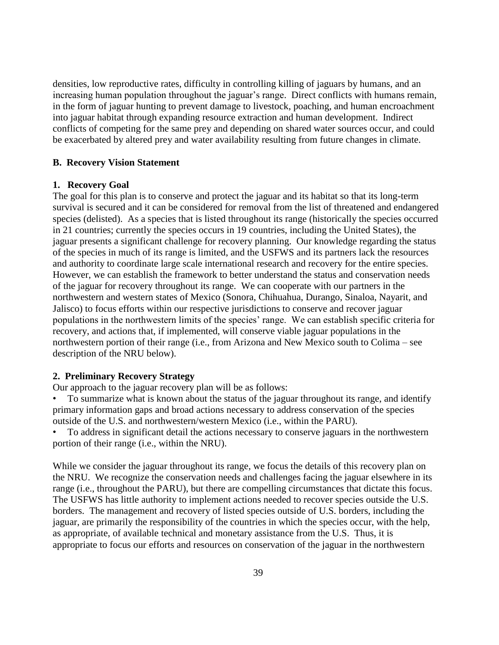densities, low reproductive rates, difficulty in controlling killing of jaguars by humans, and an increasing human population throughout the jaguar's range. Direct conflicts with humans remain, in the form of jaguar hunting to prevent damage to livestock, poaching, and human encroachment into jaguar habitat through expanding resource extraction and human development. Indirect conflicts of competing for the same prey and depending on shared water sources occur, and could be exacerbated by altered prey and water availability resulting from future changes in climate.

#### **B. Recovery Vision Statement**

### **1. Recovery Goal**

The goal for this plan is to conserve and protect the jaguar and its habitat so that its long-term survival is secured and it can be considered for removal from the list of threatened and endangered species (delisted). As a species that is listed throughout its range (historically the species occurred in 21 countries; currently the species occurs in 19 countries, including the United States), the jaguar presents a significant challenge for recovery planning. Our knowledge regarding the status of the species in much of its range is limited, and the USFWS and its partners lack the resources and authority to coordinate large scale international research and recovery for the entire species. However, we can establish the framework to better understand the status and conservation needs of the jaguar for recovery throughout its range. We can cooperate with our partners in the northwestern and western states of Mexico (Sonora, Chihuahua, Durango, Sinaloa, Nayarit, and Jalisco) to focus efforts within our respective jurisdictions to conserve and recover jaguar populations in the northwestern limits of the species' range. We can establish specific criteria for recovery, and actions that, if implemented, will conserve viable jaguar populations in the northwestern portion of their range (i.e., from Arizona and New Mexico south to Colima – see description of the NRU below).

### **2. Preliminary Recovery Strategy**

Our approach to the jaguar recovery plan will be as follows:

• To summarize what is known about the status of the jaguar throughout its range, and identify primary information gaps and broad actions necessary to address conservation of the species outside of the U.S. and northwestern/western Mexico (i.e., within the PARU).

• To address in significant detail the actions necessary to conserve jaguars in the northwestern portion of their range (i.e., within the NRU).

While we consider the jaguar throughout its range, we focus the details of this recovery plan on the NRU. We recognize the conservation needs and challenges facing the jaguar elsewhere in its range (i.e., throughout the PARU), but there are compelling circumstances that dictate this focus. The USFWS has little authority to implement actions needed to recover species outside the U.S. borders. The management and recovery of listed species outside of U.S. borders, including the jaguar, are primarily the responsibility of the countries in which the species occur, with the help, as appropriate, of available technical and monetary assistance from the U.S. Thus, it is appropriate to focus our efforts and resources on conservation of the jaguar in the northwestern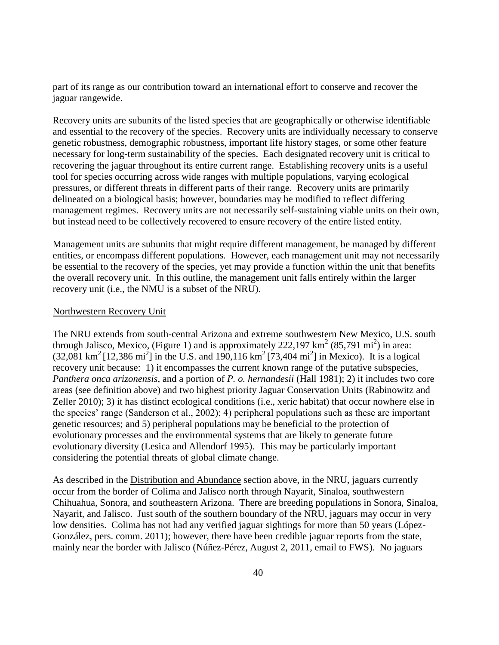part of its range as our contribution toward an international effort to conserve and recover the jaguar rangewide.

Recovery units are subunits of the listed species that are geographically or otherwise identifiable and essential to the recovery of the species. Recovery units are individually necessary to conserve genetic robustness, demographic robustness, important life history stages, or some other feature necessary for long-term sustainability of the species. Each designated recovery unit is critical to recovering the jaguar throughout its entire current range. Establishing recovery units is a useful tool for species occurring across wide ranges with multiple populations, varying ecological pressures, or different threats in different parts of their range. Recovery units are primarily delineated on a biological basis; however, boundaries may be modified to reflect differing management regimes. Recovery units are not necessarily self-sustaining viable units on their own, but instead need to be collectively recovered to ensure recovery of the entire listed entity.

Management units are subunits that might require different management, be managed by different entities, or encompass different populations. However, each management unit may not necessarily be essential to the recovery of the species, yet may provide a function within the unit that benefits the overall recovery unit. In this outline, the management unit falls entirely within the larger recovery unit (i.e., the NMU is a subset of the NRU).

#### Northwestern Recovery Unit

The NRU extends from south-central Arizona and extreme southwestern New Mexico, U.S. south through Jalisco, Mexico, (Figure 1) and is approximately  $222,197 \text{ km}^2 \ (85,791 \text{ mi}^2)$  in area:  $(32,081 \text{ km}^2 [12,386 \text{ mi}^2]$  in the U.S. and 190,116 km<sup>2</sup> [73,404 mi<sup>2</sup>] in Mexico). It is a logical recovery unit because: 1) it encompasses the current known range of the putative subspecies, *Panthera onca arizonensis*, and a portion of *P. o. hernandesii* (Hall 1981); 2) it includes two core areas (see definition above) and two highest priority Jaguar Conservation Units (Rabinowitz and Zeller 2010); 3) it has distinct ecological conditions (i.e., xeric habitat) that occur nowhere else in the species' range (Sanderson et al., 2002); 4) peripheral populations such as these are important genetic resources; and 5) peripheral populations may be beneficial to the protection of evolutionary processes and the environmental systems that are likely to generate future evolutionary diversity (Lesica and Allendorf 1995). This may be particularly important considering the potential threats of global climate change.

As described in the Distribution and Abundance section above, in the NRU, jaguars currently occur from the border of Colima and Jalisco north through Nayarit, Sinaloa, southwestern Chihuahua, Sonora, and southeastern Arizona. There are breeding populations in Sonora, Sinaloa, Nayarit, and Jalisco. Just south of the southern boundary of the NRU, jaguars may occur in very low densities. Colima has not had any verified jaguar sightings for more than 50 years (López-González, pers. comm. 2011); however, there have been credible jaguar reports from the state, mainly near the border with Jalisco (Núñez-Pérez, August 2, 2011, email to FWS). No jaguars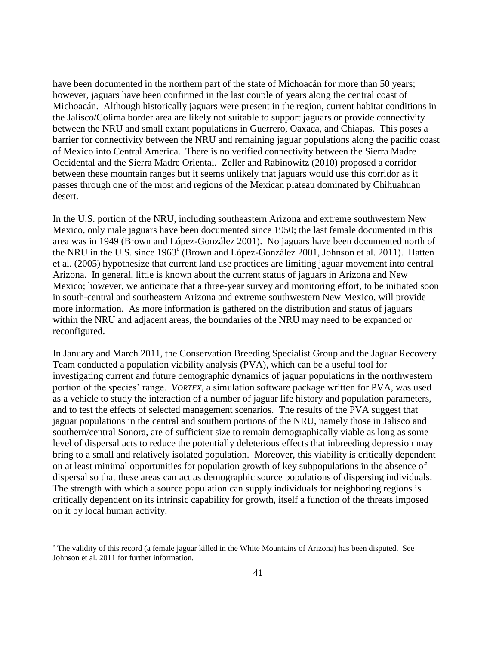have been documented in the northern part of the state of Michoacán for more than 50 years; however, jaguars have been confirmed in the last couple of years along the central coast of Michoacán. Although historically jaguars were present in the region, current habitat conditions in the Jalisco/Colima border area are likely not suitable to support jaguars or provide connectivity between the NRU and small extant populations in Guerrero, Oaxaca, and Chiapas. This poses a barrier for connectivity between the NRU and remaining jaguar populations along the pacific coast of Mexico into Central America. There is no verified connectivity between the Sierra Madre Occidental and the Sierra Madre Oriental. Zeller and Rabinowitz (2010) proposed a corridor between these mountain ranges but it seems unlikely that jaguars would use this corridor as it passes through one of the most arid regions of the Mexican plateau dominated by Chihuahuan desert.

In the U.S. portion of the NRU, including southeastern Arizona and extreme southwestern New Mexico, only male jaguars have been documented since 1950; the last female documented in this area was in 1949 (Brown and López-González 2001). No jaguars have been documented north of the NRU in the U.S. since 1963<sup>e</sup> (Brown and López-González 2001, Johnson et al. 2011). Hatten et al. (2005) hypothesize that current land use practices are limiting jaguar movement into central Arizona. In general, little is known about the current status of jaguars in Arizona and New Mexico; however, we anticipate that a three-year survey and monitoring effort, to be initiated soon in south-central and southeastern Arizona and extreme southwestern New Mexico, will provide more information. As more information is gathered on the distribution and status of jaguars within the NRU and adjacent areas, the boundaries of the NRU may need to be expanded or reconfigured.

In January and March 2011, the Conservation Breeding Specialist Group and the Jaguar Recovery Team conducted a population viability analysis (PVA), which can be a useful tool for investigating current and future demographic dynamics of jaguar populations in the northwestern portion of the species' range. *VORTEX*, a simulation software package written for PVA, was used as a vehicle to study the interaction of a number of jaguar life history and population parameters, and to test the effects of selected management scenarios. The results of the PVA suggest that jaguar populations in the central and southern portions of the NRU, namely those in Jalisco and southern/central Sonora, are of sufficient size to remain demographically viable as long as some level of dispersal acts to reduce the potentially deleterious effects that inbreeding depression may bring to a small and relatively isolated population. Moreover, this viability is critically dependent on at least minimal opportunities for population growth of key subpopulations in the absence of dispersal so that these areas can act as demographic source populations of dispersing individuals. The strength with which a source population can supply individuals for neighboring regions is critically dependent on its intrinsic capability for growth, itself a function of the threats imposed on it by local human activity.

 $\overline{a}$ 

<sup>e</sup> The validity of this record (a female jaguar killed in the White Mountains of Arizona) has been disputed. See Johnson et al. 2011 for further information.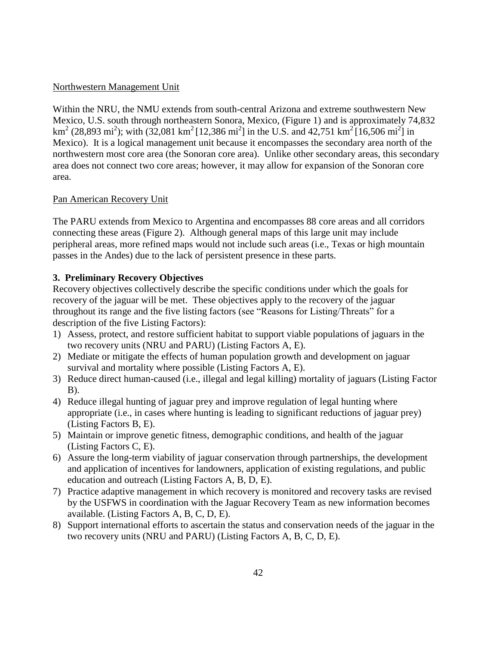### Northwestern Management Unit

Within the NRU, the NMU extends from south-central Arizona and extreme southwestern New Mexico, U.S. south through northeastern Sonora, Mexico, (Figure 1) and is approximately 74,832 km<sup>2</sup> (28,893 mi<sup>2</sup>); with (32,081 km<sup>2</sup> [12,386 mi<sup>2</sup>] in the U.S. and 42,751 km<sup>2</sup> [16,506 mi<sup>2</sup>] in Mexico). It is a logical management unit because it encompasses the secondary area north of the northwestern most core area (the Sonoran core area). Unlike other secondary areas, this secondary area does not connect two core areas; however, it may allow for expansion of the Sonoran core area.

# Pan American Recovery Unit

The PARU extends from Mexico to Argentina and encompasses 88 core areas and all corridors connecting these areas (Figure 2). Although general maps of this large unit may include peripheral areas, more refined maps would not include such areas (i.e., Texas or high mountain passes in the Andes) due to the lack of persistent presence in these parts.

# **3. Preliminary Recovery Objectives**

Recovery objectives collectively describe the specific conditions under which the goals for recovery of the jaguar will be met. These objectives apply to the recovery of the jaguar throughout its range and the five listing factors (see "Reasons for Listing/Threats" for a description of the five Listing Factors):

- 1) Assess, protect, and restore sufficient habitat to support viable populations of jaguars in the two recovery units (NRU and PARU) (Listing Factors A, E).
- 2) Mediate or mitigate the effects of human population growth and development on jaguar survival and mortality where possible (Listing Factors A, E).
- 3) Reduce direct human-caused (i.e., illegal and legal killing) mortality of jaguars (Listing Factor B).
- 4) Reduce illegal hunting of jaguar prey and improve regulation of legal hunting where appropriate (i.e., in cases where hunting is leading to significant reductions of jaguar prey) (Listing Factors B, E).
- 5) Maintain or improve genetic fitness, demographic conditions, and health of the jaguar (Listing Factors C, E).
- 6) Assure the long-term viability of jaguar conservation through partnerships, the development and application of incentives for landowners, application of existing regulations, and public education and outreach (Listing Factors A, B, D, E).
- 7) Practice adaptive management in which recovery is monitored and recovery tasks are revised by the USFWS in coordination with the Jaguar Recovery Team as new information becomes available. (Listing Factors A, B, C, D, E).
- 8) Support international efforts to ascertain the status and conservation needs of the jaguar in the two recovery units (NRU and PARU) (Listing Factors A, B, C, D, E).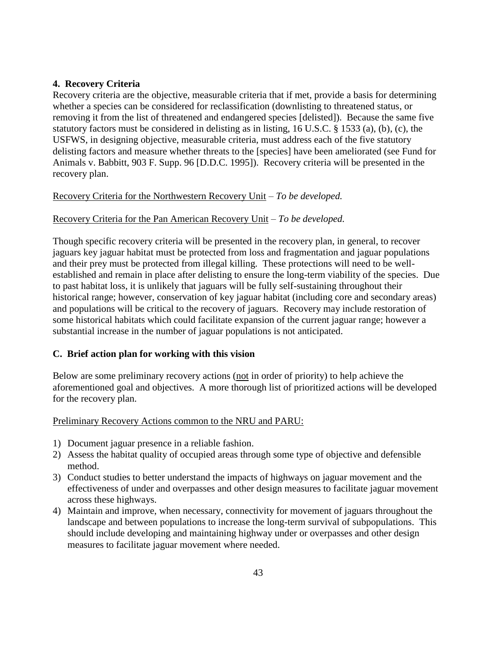# **4. Recovery Criteria**

Recovery criteria are the objective, measurable criteria that if met, provide a basis for determining whether a species can be considered for reclassification (downlisting to threatened status, or removing it from the list of threatened and endangered species [delisted]). Because the same five statutory factors must be considered in delisting as in listing, 16 U.S.C. § 1533 (a), (b), (c), the USFWS, in designing objective, measurable criteria, must address each of the five statutory delisting factors and measure whether threats to the [species] have been ameliorated (see Fund for Animals v. Babbitt, 903 F. Supp. 96 [D.D.C. 1995]). Recovery criteria will be presented in the recovery plan.

# Recovery Criteria for the Northwestern Recovery Unit – *To be developed.*

# Recovery Criteria for the Pan American Recovery Unit – *To be developed.*

Though specific recovery criteria will be presented in the recovery plan, in general, to recover jaguars key jaguar habitat must be protected from loss and fragmentation and jaguar populations and their prey must be protected from illegal killing. These protections will need to be wellestablished and remain in place after delisting to ensure the long-term viability of the species. Due to past habitat loss, it is unlikely that jaguars will be fully self-sustaining throughout their historical range; however, conservation of key jaguar habitat (including core and secondary areas) and populations will be critical to the recovery of jaguars. Recovery may include restoration of some historical habitats which could facilitate expansion of the current jaguar range; however a substantial increase in the number of jaguar populations is not anticipated.

# **C. Brief action plan for working with this vision**

Below are some preliminary recovery actions (not in order of priority) to help achieve the aforementioned goal and objectives. A more thorough list of prioritized actions will be developed for the recovery plan.

# Preliminary Recovery Actions common to the NRU and PARU:

- 1) Document jaguar presence in a reliable fashion.
- 2) Assess the habitat quality of occupied areas through some type of objective and defensible method.
- 3) Conduct studies to better understand the impacts of highways on jaguar movement and the effectiveness of under and overpasses and other design measures to facilitate jaguar movement across these highways.
- 4) Maintain and improve, when necessary, connectivity for movement of jaguars throughout the landscape and between populations to increase the long-term survival of subpopulations. This should include developing and maintaining highway under or overpasses and other design measures to facilitate jaguar movement where needed.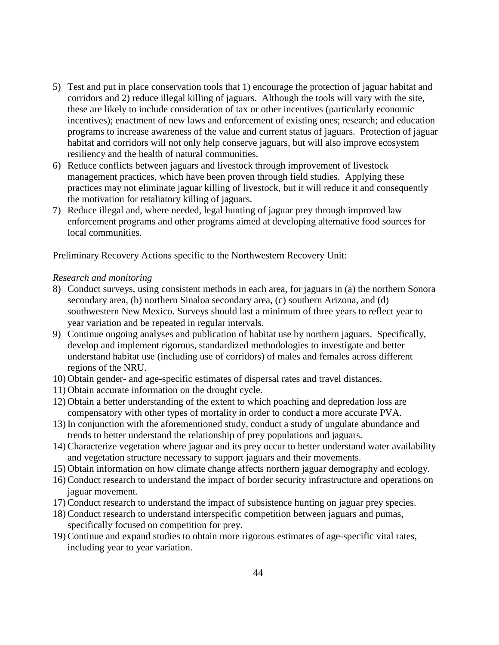- 5) Test and put in place conservation tools that 1) encourage the protection of jaguar habitat and corridors and 2) reduce illegal killing of jaguars. Although the tools will vary with the site, these are likely to include consideration of tax or other incentives (particularly economic incentives); enactment of new laws and enforcement of existing ones; research; and education programs to increase awareness of the value and current status of jaguars. Protection of jaguar habitat and corridors will not only help conserve jaguars, but will also improve ecosystem resiliency and the health of natural communities.
- 6) Reduce conflicts between jaguars and livestock through improvement of livestock management practices, which have been proven through field studies. Applying these practices may not eliminate jaguar killing of livestock, but it will reduce it and consequently the motivation for retaliatory killing of jaguars.
- 7) Reduce illegal and, where needed, legal hunting of jaguar prey through improved law enforcement programs and other programs aimed at developing alternative food sources for local communities.

# Preliminary Recovery Actions specific to the Northwestern Recovery Unit:

### *Research and monitoring*

- 8) Conduct surveys, using consistent methods in each area, for jaguars in (a) the northern Sonora secondary area, (b) northern Sinaloa secondary area, (c) southern Arizona, and (d) southwestern New Mexico. Surveys should last a minimum of three years to reflect year to year variation and be repeated in regular intervals.
- 9) Continue ongoing analyses and publication of habitat use by northern jaguars. Specifically, develop and implement rigorous, standardized methodologies to investigate and better understand habitat use (including use of corridors) of males and females across different regions of the NRU.
- 10) Obtain gender- and age-specific estimates of dispersal rates and travel distances.
- 11) Obtain accurate information on the drought cycle.
- 12) Obtain a better understanding of the extent to which poaching and depredation loss are compensatory with other types of mortality in order to conduct a more accurate PVA.
- 13) In conjunction with the aforementioned study, conduct a study of ungulate abundance and trends to better understand the relationship of prey populations and jaguars.
- 14) Characterize vegetation where jaguar and its prey occur to better understand water availability and vegetation structure necessary to support jaguars and their movements.
- 15) Obtain information on how climate change affects northern jaguar demography and ecology.
- 16) Conduct research to understand the impact of border security infrastructure and operations on jaguar movement.
- 17) Conduct research to understand the impact of subsistence hunting on jaguar prey species.
- 18) Conduct research to understand interspecific competition between jaguars and pumas, specifically focused on competition for prey.
- 19) Continue and expand studies to obtain more rigorous estimates of age-specific vital rates, including year to year variation.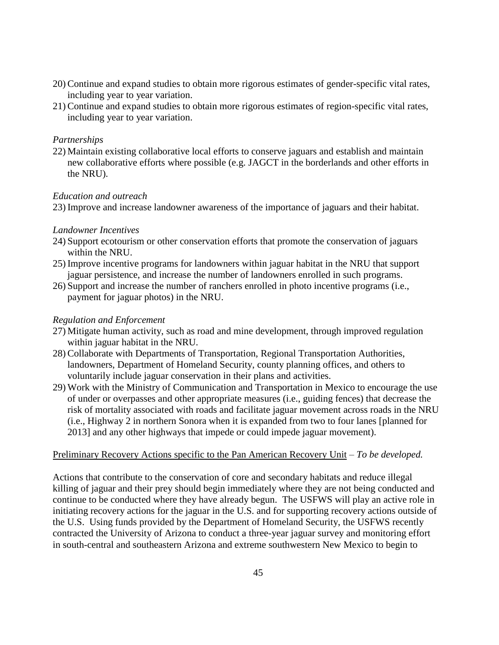- 20) Continue and expand studies to obtain more rigorous estimates of gender-specific vital rates, including year to year variation.
- 21) Continue and expand studies to obtain more rigorous estimates of region-specific vital rates, including year to year variation.

# *Partnerships*

22) Maintain existing collaborative local efforts to conserve jaguars and establish and maintain new collaborative efforts where possible (e.g. JAGCT in the borderlands and other efforts in the NRU).

# *Education and outreach*

23) Improve and increase landowner awareness of the importance of jaguars and their habitat.

# *Landowner Incentives*

- 24) Support ecotourism or other conservation efforts that promote the conservation of jaguars within the NRU.
- 25) Improve incentive programs for landowners within jaguar habitat in the NRU that support jaguar persistence, and increase the number of landowners enrolled in such programs.
- 26) Support and increase the number of ranchers enrolled in photo incentive programs (i.e., payment for jaguar photos) in the NRU.

# *Regulation and Enforcement*

- 27) Mitigate human activity, such as road and mine development, through improved regulation within jaguar habitat in the NRU.
- 28) Collaborate with Departments of Transportation, Regional Transportation Authorities, landowners, Department of Homeland Security, county planning offices, and others to voluntarily include jaguar conservation in their plans and activities.
- 29) Work with the Ministry of Communication and Transportation in Mexico to encourage the use of under or overpasses and other appropriate measures (i.e., guiding fences) that decrease the risk of mortality associated with roads and facilitate jaguar movement across roads in the NRU (i.e., Highway 2 in northern Sonora when it is expanded from two to four lanes [planned for 2013] and any other highways that impede or could impede jaguar movement).

# Preliminary Recovery Actions specific to the Pan American Recovery Unit *– To be developed.*

Actions that contribute to the conservation of core and secondary habitats and reduce illegal killing of jaguar and their prey should begin immediately where they are not being conducted and continue to be conducted where they have already begun. The USFWS will play an active role in initiating recovery actions for the jaguar in the U.S. and for supporting recovery actions outside of the U.S. Using funds provided by the Department of Homeland Security, the USFWS recently contracted the University of Arizona to conduct a three-year jaguar survey and monitoring effort in south-central and southeastern Arizona and extreme southwestern New Mexico to begin to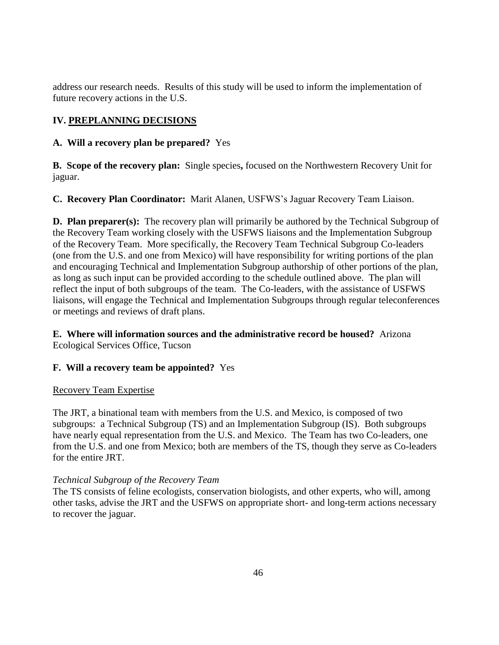address our research needs. Results of this study will be used to inform the implementation of future recovery actions in the U.S.

# **IV. PREPLANNING DECISIONS**

# **A. Will a recovery plan be prepared?** Yes

**B. Scope of the recovery plan:** Single species**,** focused on the Northwestern Recovery Unit for jaguar.

**C. Recovery Plan Coordinator:** Marit Alanen, USFWS's Jaguar Recovery Team Liaison.

**D. Plan preparer(s):** The recovery plan will primarily be authored by the Technical Subgroup of the Recovery Team working closely with the USFWS liaisons and the Implementation Subgroup of the Recovery Team. More specifically, the Recovery Team Technical Subgroup Co-leaders (one from the U.S. and one from Mexico) will have responsibility for writing portions of the plan and encouraging Technical and Implementation Subgroup authorship of other portions of the plan, as long as such input can be provided according to the schedule outlined above. The plan will reflect the input of both subgroups of the team. The Co-leaders, with the assistance of USFWS liaisons, will engage the Technical and Implementation Subgroups through regular teleconferences or meetings and reviews of draft plans.

# **E. Where will information sources and the administrative record be housed?** Arizona Ecological Services Office, Tucson

# **F. Will a recovery team be appointed?** Yes

# Recovery Team Expertise

The JRT, a binational team with members from the U.S. and Mexico, is composed of two subgroups: a Technical Subgroup (TS) and an Implementation Subgroup (IS). Both subgroups have nearly equal representation from the U.S. and Mexico. The Team has two Co-leaders, one from the U.S. and one from Mexico; both are members of the TS, though they serve as Co-leaders for the entire JRT.

# *Technical Subgroup of the Recovery Team*

The TS consists of feline ecologists, conservation biologists, and other experts, who will, among other tasks, advise the JRT and the USFWS on appropriate short- and long-term actions necessary to recover the jaguar.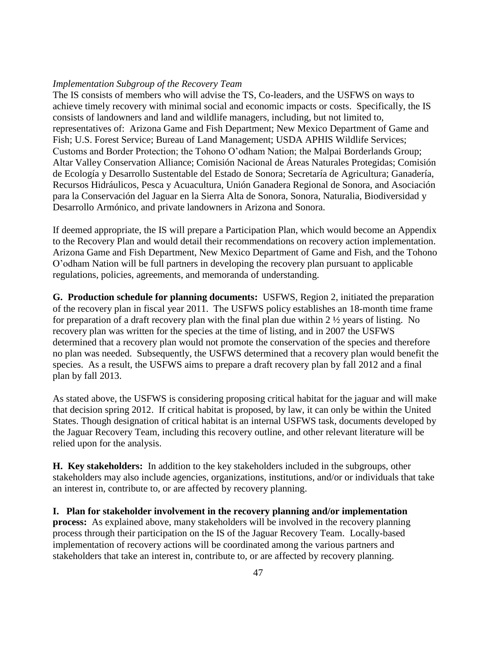#### *Implementation Subgroup of the Recovery Team*

The IS consists of members who will advise the TS, Co-leaders, and the USFWS on ways to achieve timely recovery with minimal social and economic impacts or costs. Specifically, the IS consists of landowners and land and wildlife managers, including, but not limited to, representatives of: Arizona Game and Fish Department; New Mexico Department of Game and Fish; U.S. Forest Service; Bureau of Land Management; USDA APHIS Wildlife Services; Customs and Border Protection; the Tohono O'odham Nation; the Malpai Borderlands Group; Altar Valley Conservation Alliance; Comisión Nacional de Áreas Naturales Protegidas; Comisión de Ecología y Desarrollo Sustentable del Estado de Sonora; Secretaría de Agricultura; Ganadería, Recursos Hidráulicos, Pesca y Acuacultura, Unión Ganadera Regional de Sonora, and Asociación para la Conservación del Jaguar en la Sierra Alta de Sonora, Sonora, Naturalia, Biodiversidad y Desarrollo Armónico, and private landowners in Arizona and Sonora.

If deemed appropriate, the IS will prepare a Participation Plan, which would become an Appendix to the Recovery Plan and would detail their recommendations on recovery action implementation. Arizona Game and Fish Department, New Mexico Department of Game and Fish, and the Tohono O'odham Nation will be full partners in developing the recovery plan pursuant to applicable regulations, policies, agreements, and memoranda of understanding.

**G. Production schedule for planning documents:** USFWS, Region 2, initiated the preparation of the recovery plan in fiscal year 2011. The USFWS policy establishes an 18-month time frame for preparation of a draft recovery plan with the final plan due within 2 ½ years of listing. No recovery plan was written for the species at the time of listing, and in 2007 the USFWS determined that a recovery plan would not promote the conservation of the species and therefore no plan was needed. Subsequently, the USFWS determined that a recovery plan would benefit the species. As a result, the USFWS aims to prepare a draft recovery plan by fall 2012 and a final plan by fall 2013.

As stated above, the USFWS is considering proposing critical habitat for the jaguar and will make that decision spring 2012. If critical habitat is proposed, by law, it can only be within the United States. Though designation of critical habitat is an internal USFWS task, documents developed by the Jaguar Recovery Team, including this recovery outline, and other relevant literature will be relied upon for the analysis.

**H. Key stakeholders:** In addition to the key stakeholders included in the subgroups, other stakeholders may also include agencies, organizations, institutions, and/or or individuals that take an interest in, contribute to, or are affected by recovery planning.

**I. Plan for stakeholder involvement in the recovery planning and/or implementation process:** As explained above, many stakeholders will be involved in the recovery planning process through their participation on the IS of the Jaguar Recovery Team. Locally-based implementation of recovery actions will be coordinated among the various partners and stakeholders that take an interest in, contribute to, or are affected by recovery planning.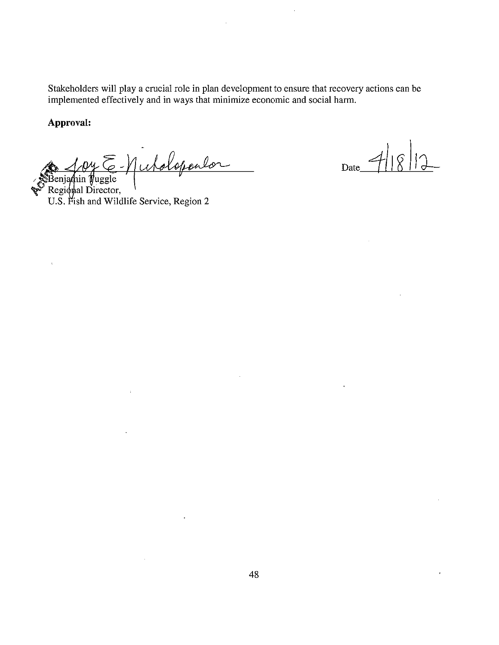Stakeholders will play a crucial role in plan development to ensure that recovery actions can be implemented effectively and in ways that minimize economic and social harm.

# Approval:

 $\epsilon$ 

Benjamin Wuggle<br>Benjamin Wuggle<br>Regional Director,<br>U.S. Fish and Wildlife Service, Region 2

 $\mathcal{A}^{\mathcal{A}}$ 

 $\bar{z}$ 

 $\ddot{\phantom{a}}$ 

 $Date_$ 

 $\epsilon$ 

 $\ddot{\phantom{1}}$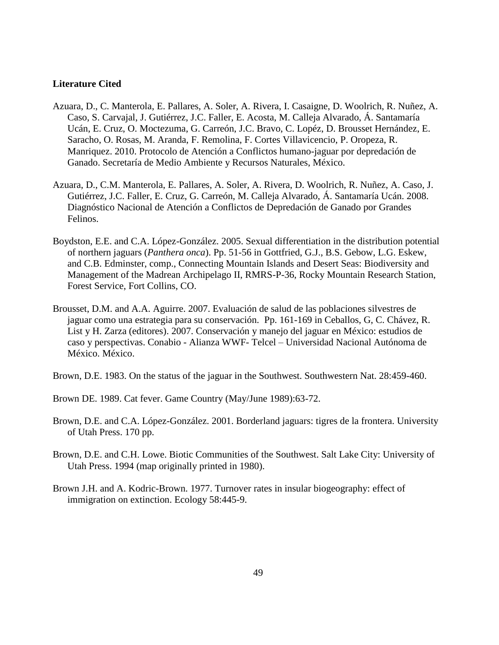#### **Literature Cited**

- Azuara, D., C. Manterola, E. Pallares, A. Soler, A. Rivera, I. Casaigne, D. Woolrich, R. Nuñez, A. Caso, S. Carvajal, J. Gutiérrez, J.C. Faller, E. Acosta, M. Calleja Alvarado, Á. Santamaría Ucán, E. Cruz, O. Moctezuma, G. Carreón, J.C. Bravo, C. Lopéz, D. Brousset Hernández, E. Saracho, O. Rosas, M. Aranda, F. Remolina, F. Cortes Villavicencio, P. Oropeza, R. Manriquez. 2010. Protocolo de Atención a Conflictos humano-jaguar por depredación de Ganado. Secretaría de Medio Ambiente y Recursos Naturales, México.
- Azuara, D., C.M. Manterola, E. Pallares, A. Soler, A. Rivera, D. Woolrich, R. Nuñez, A. Caso, J. Gutiérrez, J.C. Faller, E. Cruz, G. Carreón, M. Calleja Alvarado, Á. Santamaría Ucán. 2008. Diagnóstico Nacional de Atención a Conflictos de Depredación de Ganado por Grandes Felinos.
- Boydston, E.E. and C.A. López-González. 2005. Sexual differentiation in the distribution potential of northern jaguars (*Panthera onca*). Pp. 51-56 in Gottfried, G.J., B.S. Gebow, L.G. Eskew, and C.B. Edminster, comp., Connecting Mountain Islands and Desert Seas: Biodiversity and Management of the Madrean Archipelago II, RMRS-P-36, Rocky Mountain Research Station, Forest Service, Fort Collins, CO.
- Brousset, D.M. and A.A. Aguirre. 2007. Evaluación de salud de las poblaciones silvestres de jaguar como una estrategia para su conservación. Pp. 161-169 in Ceballos, G, C. Chávez, R. List y H. Zarza (editores). 2007. Conservación y manejo del jaguar en México: estudios de caso y perspectivas. Conabio - Alianza WWF- Telcel – Universidad Nacional Autónoma de México. México.

Brown, D.E. 1983. On the status of the jaguar in the Southwest. Southwestern Nat. 28:459-460.

- Brown DE. 1989. Cat fever. Game Country (May/June 1989):63-72.
- Brown, D.E. and C.A. López-González. 2001. Borderland jaguars: tigres de la frontera. University of Utah Press. 170 pp.
- Brown, D.E. and C.H. Lowe. Biotic Communities of the Southwest. Salt Lake City: University of Utah Press. 1994 (map originally printed in 1980).
- Brown J.H. and A. Kodric-Brown. 1977. Turnover rates in insular biogeography: effect of immigration on extinction. Ecology 58:445-9.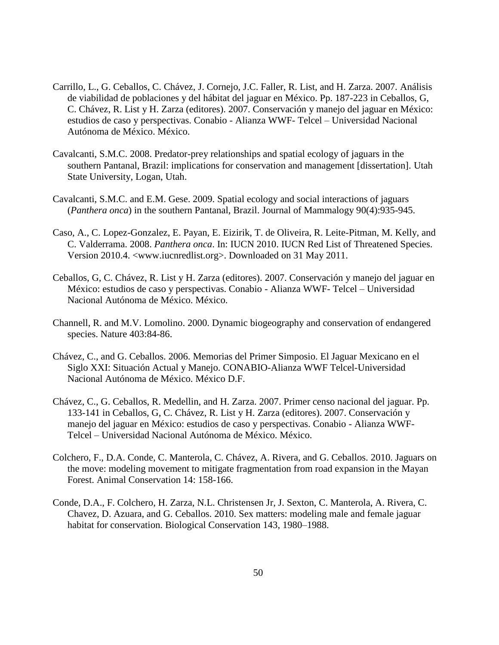- Carrillo, L., G. Ceballos, C. Chávez, J. Cornejo, J.C. Faller, R. List, and H. Zarza. 2007. Análisis de viabilidad de poblaciones y del hábitat del jaguar en México. Pp. 187-223 in Ceballos, G, C. Chávez, R. List y H. Zarza (editores). 2007. Conservación y manejo del jaguar en México: estudios de caso y perspectivas. Conabio - Alianza WWF- Telcel – Universidad Nacional Autónoma de México. México.
- Cavalcanti, S.M.C. 2008. Predator-prey relationships and spatial ecology of jaguars in the southern Pantanal, Brazil: implications for conservation and management [dissertation]. Utah State University, Logan, Utah.
- Cavalcanti, S.M.C. and E.M. Gese. 2009. Spatial ecology and social interactions of jaguars (*Panthera onca*) in the southern Pantanal, Brazil. Journal of Mammalogy 90(4):935-945.
- Caso, A., C. Lopez-Gonzalez, E. Payan, E. Eizirik, T. de Oliveira, R. Leite-Pitman, M. Kelly, and C. Valderrama. 2008. *Panthera onca*. In: IUCN 2010. IUCN Red List of Threatened Species. Version 2010.4. <www.iucnredlist.org>. Downloaded on 31 May 2011.
- Ceballos, G, C. Chávez, R. List y H. Zarza (editores). 2007. Conservación y manejo del jaguar en México: estudios de caso y perspectivas. Conabio - Alianza WWF- Telcel – Universidad Nacional Autónoma de México. México.
- Channell, R. and M.V. Lomolino. 2000. Dynamic biogeography and conservation of endangered species. Nature 403:84-86.
- Chávez, C., and G. Ceballos. 2006. Memorias del Primer Simposio. El Jaguar Mexicano en el Siglo XXI: Situación Actual y Manejo. CONABIO-Alianza WWF Telcel-Universidad Nacional Autónoma de México. México D.F.
- Chávez, C., G. Ceballos, R. Medellin, and H. Zarza. 2007. Primer censo nacional del jaguar. Pp. 133-141 in Ceballos, G, C. Chávez, R. List y H. Zarza (editores). 2007. Conservación y manejo del jaguar en México: estudios de caso y perspectivas. Conabio - Alianza WWF-Telcel – Universidad Nacional Autónoma de México. México.
- Colchero, F., D.A. Conde, C. Manterola, C. Chávez, A. Rivera, and G. Ceballos. 2010. Jaguars on the move: modeling movement to mitigate fragmentation from road expansion in the Mayan Forest. Animal Conservation 14: 158-166.
- Conde, D.A., F. Colchero, H. Zarza, N.L. Christensen Jr, J. Sexton, C. Manterola, A. Rivera, C. Chavez, D. Azuara, and G. Ceballos. 2010. Sex matters: modeling male and female jaguar habitat for conservation. Biological Conservation 143, 1980–1988.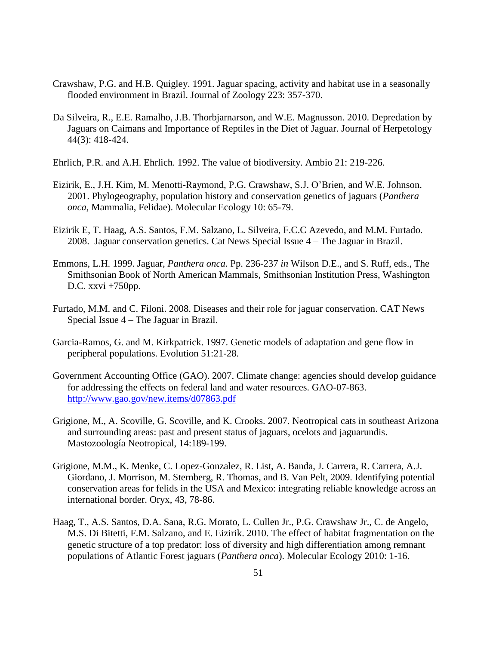- Crawshaw, P.G. and H.B. Quigley. 1991. Jaguar spacing, activity and habitat use in a seasonally flooded environment in Brazil. Journal of Zoology 223: 357-370.
- Da Silveira, R., E.E. Ramalho, J.B. Thorbjarnarson, and W.E. Magnusson. 2010. Depredation by Jaguars on Caimans and Importance of Reptiles in the Diet of Jaguar. Journal of Herpetology 44(3): 418-424.
- Ehrlich, P.R. and A.H. Ehrlich. 1992. The value of biodiversity. Ambio 21: 219-226.
- Eizirik, E., J.H. Kim, M. Menotti-Raymond, P.G. Crawshaw, S.J. O'Brien, and W.E. Johnson. 2001. Phylogeography, population history and conservation genetics of jaguars (*Panthera onca*, Mammalia, Felidae). Molecular Ecology 10: 65-79.
- Eizirik E, T. Haag, A.S. Santos, F.M. Salzano, L. Silveira, F.C.C Azevedo, and M.M. Furtado. 2008. Jaguar conservation genetics. Cat News Special Issue 4 – The Jaguar in Brazil.
- Emmons, L.H. 1999. Jaguar, *Panthera onca*. Pp. 236-237 *in* Wilson D.E., and S. Ruff, eds., The Smithsonian Book of North American Mammals, Smithsonian Institution Press, Washington D.C. xxvi +750pp.
- Furtado, M.M. and C. Filoni. 2008. Diseases and their role for jaguar conservation. CAT News Special Issue 4 – The Jaguar in Brazil.
- Garcia-Ramos, G. and M. Kirkpatrick. 1997. Genetic models of adaptation and gene flow in peripheral populations. Evolution 51:21-28.
- Government Accounting Office (GAO). 2007. Climate change: agencies should develop guidance for addressing the effects on federal land and water resources. GAO-07-863. <http://www.gao.gov/new.items/d07863.pdf>
- Grigione, M., A. Scoville, G. Scoville, and K. Crooks. 2007. Neotropical cats in southeast Arizona and surrounding areas: past and present status of jaguars, ocelots and jaguarundis. Mastozoología Neotropical, 14:189-199.
- Grigione, M.M., K. Menke, C. Lopez-Gonzalez, R. List, A. Banda, J. Carrera, R. Carrera, A.J. Giordano, J. Morrison, M. Sternberg, R. Thomas, and B. Van Pelt, 2009. Identifying potential conservation areas for felids in the USA and Mexico: integrating reliable knowledge across an international border. Oryx, 43, 78-86.
- Haag, T., A.S. Santos, D.A. Sana, R.G. Morato, L. Cullen Jr., P.G. Crawshaw Jr., C. de Angelo, M.S. Di Bitetti, F.M. Salzano, and E. Eizirik. 2010. The effect of habitat fragmentation on the genetic structure of a top predator: loss of diversity and high differentiation among remnant populations of Atlantic Forest jaguars (*Panthera onca*). Molecular Ecology 2010: 1-16.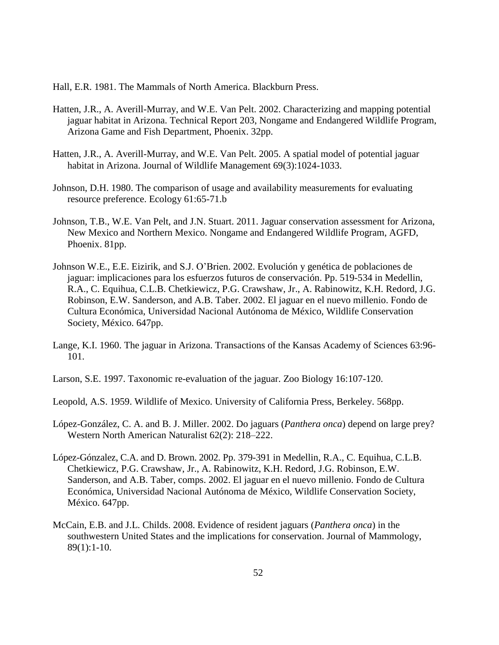Hall, E.R. 1981. The Mammals of North America. Blackburn Press.

- Hatten, J.R., A. Averill-Murray, and W.E. Van Pelt. 2002. Characterizing and mapping potential jaguar habitat in Arizona. Technical Report 203, Nongame and Endangered Wildlife Program, Arizona Game and Fish Department, Phoenix. 32pp.
- Hatten, J.R., A. Averill-Murray, and W.E. Van Pelt. 2005. A spatial model of potential jaguar habitat in Arizona. Journal of Wildlife Management 69(3):1024-1033.
- Johnson, D.H. 1980. The comparison of usage and availability measurements for evaluating resource preference. Ecology 61:65-71.b
- Johnson, T.B., W.E. Van Pelt, and J.N. Stuart. 2011. Jaguar conservation assessment for Arizona, New Mexico and Northern Mexico. Nongame and Endangered Wildlife Program, AGFD, Phoenix. 81pp.
- Johnson W.E., E.E. Eizirik, and S.J. O'Brien. 2002. Evolución y genética de poblaciones de jaguar: implicaciones para los esfuerzos futuros de conservación. Pp. 519-534 in Medellin, R.A., C. Equihua, C.L.B. Chetkiewicz, P.G. Crawshaw, Jr., A. Rabinowitz, K.H. Redord, J.G. Robinson, E.W. Sanderson, and A.B. Taber. 2002. El jaguar en el nuevo millenio. Fondo de Cultura Económica, Universidad Nacional Autónoma de México, Wildlife Conservation Society, México. 647pp.
- Lange, K.I. 1960. The jaguar in Arizona. Transactions of the Kansas Academy of Sciences 63:96- 101.
- Larson, S.E. 1997. Taxonomic re-evaluation of the jaguar. Zoo Biology 16:107-120.
- Leopold, A.S. 1959. Wildlife of Mexico. University of California Press, Berkeley. 568pp.
- López-González, C. A. and B. J. Miller. 2002. Do jaguars (*Panthera onca*) depend on large prey? Western North American Naturalist 62(2): 218–222.
- López-Gónzalez, C.A. and D. Brown. 2002. Pp. 379-391 in Medellin, R.A., C. Equihua, C.L.B. Chetkiewicz, P.G. Crawshaw, Jr., A. Rabinowitz, K.H. Redord, J.G. Robinson, E.W. Sanderson, and A.B. Taber, comps. 2002. El jaguar en el nuevo millenio. Fondo de Cultura Económica, Universidad Nacional Autónoma de México, Wildlife Conservation Society, México. 647pp.
- McCain, E.B. and J.L. Childs. 2008. Evidence of resident jaguars (*Panthera onca*) in the southwestern United States and the implications for conservation. Journal of Mammology, 89(1):1-10.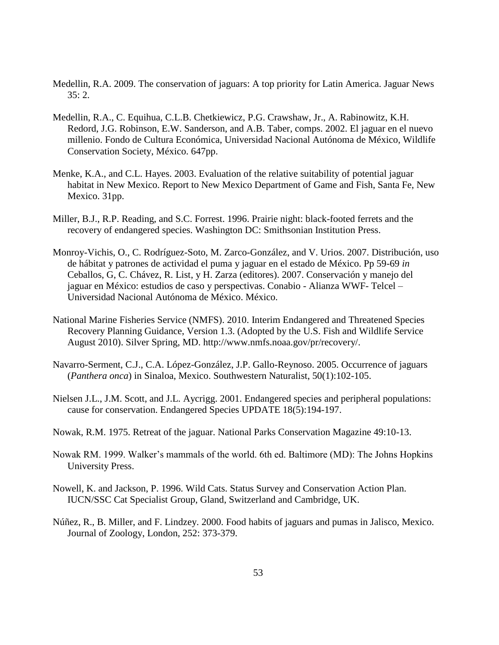- Medellin, R.A. 2009. The conservation of jaguars: A top priority for Latin America. Jaguar News  $35:2.$
- Medellin, R.A., C. Equihua, C.L.B. Chetkiewicz, P.G. Crawshaw, Jr., A. Rabinowitz, K.H. Redord, J.G. Robinson, E.W. Sanderson, and A.B. Taber, comps. 2002. El jaguar en el nuevo millenio. Fondo de Cultura Económica, Universidad Nacional Autónoma de México, Wildlife Conservation Society, México. 647pp.
- Menke, K.A., and C.L. Hayes. 2003. Evaluation of the relative suitability of potential jaguar habitat in New Mexico. Report to New Mexico Department of Game and Fish, Santa Fe, New Mexico. 31pp.
- Miller, B.J., R.P. Reading, and S.C. Forrest. 1996. Prairie night: black-footed ferrets and the recovery of endangered species. Washington DC: Smithsonian Institution Press.
- Monroy-Vichis, O., C. Rodríguez-Soto, M. Zarco-González, and V. Urios. 2007. Distribución, uso de hábitat y patrones de actividad el puma y jaguar en el estado de México. Pp 59-69 *in*  Ceballos, G, C. Chávez, R. List, y H. Zarza (editores). 2007. Conservación y manejo del jaguar en México: estudios de caso y perspectivas. Conabio - Alianza WWF- Telcel – Universidad Nacional Autónoma de México. México.
- National Marine Fisheries Service (NMFS). 2010. Interim Endangered and Threatened Species Recovery Planning Guidance, Version 1.3. (Adopted by the U.S. Fish and Wildlife Service August 2010). Silver Spring, MD. http://www.nmfs.noaa.gov/pr/recovery/.
- Navarro-Serment, C.J., C.A. López-González, J.P. Gallo-Reynoso. 2005. Occurrence of jaguars (*Panthera onca*) in Sinaloa, Mexico. Southwestern Naturalist, 50(1):102-105.
- Nielsen J.L., J.M. Scott, and J.L. Aycrigg. 2001. Endangered species and peripheral populations: cause for conservation. Endangered Species UPDATE 18(5):194-197.
- Nowak, R.M. 1975. Retreat of the jaguar. National Parks Conservation Magazine 49:10-13.
- Nowak RM. 1999. Walker's mammals of the world. 6th ed. Baltimore (MD): The Johns Hopkins University Press.
- Nowell, K. and Jackson, P. 1996. Wild Cats. Status Survey and Conservation Action Plan. IUCN/SSC Cat Specialist Group, Gland, Switzerland and Cambridge, UK.
- Núñez, R., B. Miller, and F. Lindzey. 2000. Food habits of jaguars and pumas in Jalisco, Mexico. Journal of Zoology, London, 252: 373-379.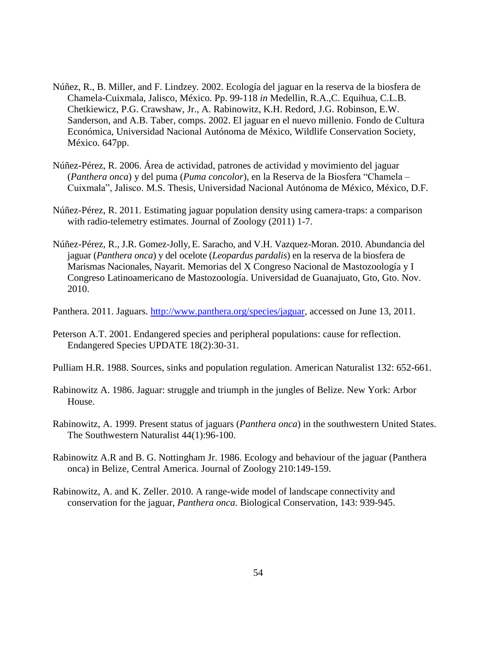- Núñez, R., B. Miller, and F. Lindzey. 2002. Ecología del jaguar en la reserva de la biosfera de Chamela-Cuixmala, Jalisco, México. Pp. 99-118 *in* Medellin, R.A.,C. Equihua, C.L.B. Chetkiewicz, P.G. Crawshaw, Jr., A. Rabinowitz, K.H. Redord, J.G. Robinson, E.W. Sanderson, and A.B. Taber, comps. 2002. El jaguar en el nuevo millenio. Fondo de Cultura Económica, Universidad Nacional Autónoma de México, Wildlife Conservation Society, México. 647pp.
- Núñez-Pérez, R. 2006. Área de actividad, patrones de actividad y movimiento del jaguar (*Panthera onca*) y del puma (*Puma concolor*), en la Reserva de la Biosfera "Chamela – Cuixmala", Jalisco. M.S. Thesis, Universidad Nacional Autónoma de México, México, D.F.
- Núñez-Pérez, R. 2011. Estimating jaguar population density using camera-traps: a comparison with radio-telemetry estimates. Journal of Zoology (2011) 1-7.
- Núñez-Pérez, R., J.R. Gomez-Jolly,E. Saracho, and V.H. Vazquez-Moran. 2010. Abundancia del jaguar (*Panthera onca*) y del ocelote (*Leopardus pardalis*) en la reserva de la biosfera de Marismas Nacionales, Nayarit. Memorias del X Congreso Nacional de Mastozoología y I Congreso Latinoamericano de Mastozoología. Universidad de Guanajuato, Gto, Gto. Nov. 2010.
- Panthera. 2011. Jaguars. [http://www.panthera.org/species/jaguar,](http://www.panthera.org/species/jaguar) accessed on June 13, 2011.
- Peterson A.T. 2001. Endangered species and peripheral populations: cause for reflection. Endangered Species UPDATE 18(2):30-31.
- Pulliam H.R. 1988. Sources, sinks and population regulation. American Naturalist 132: 652-661.
- Rabinowitz A. 1986. Jaguar: struggle and triumph in the jungles of Belize. New York: Arbor House.
- Rabinowitz, A. 1999. Present status of jaguars (*Panthera onca*) in the southwestern United States. The Southwestern Naturalist 44(1):96-100.
- Rabinowitz A.R and B. G. Nottingham Jr. 1986. Ecology and behaviour of the jaguar (Panthera onca) in Belize, Central America. Journal of Zoology 210:149-159.
- Rabinowitz, A. and K. Zeller. 2010. A range-wide model of landscape connectivity and conservation for the jaguar, *Panthera onca*. Biological Conservation, 143: 939-945.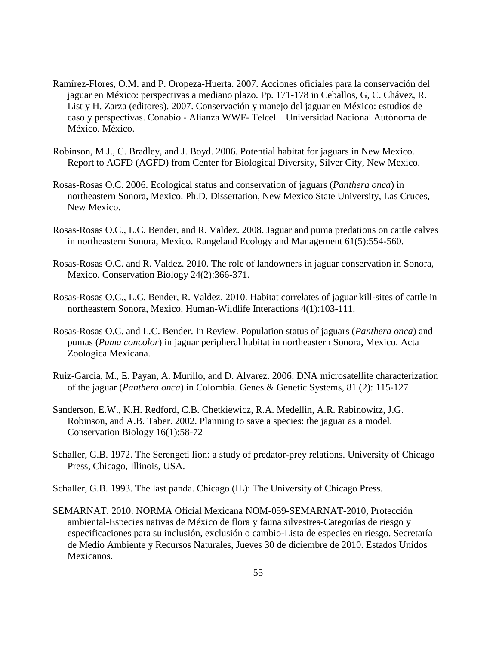- Ramírez-Flores, O.M. and P. Oropeza-Huerta. 2007. Acciones oficiales para la conservación del jaguar en México: perspectivas a mediano plazo. Pp. 171-178 in Ceballos, G, C. Chávez, R. List y H. Zarza (editores). 2007. Conservación y manejo del jaguar en México: estudios de caso y perspectivas. Conabio - Alianza WWF- Telcel – Universidad Nacional Autónoma de México. México.
- Robinson, M.J., C. Bradley, and J. Boyd. 2006. Potential habitat for jaguars in New Mexico. Report to AGFD (AGFD) from Center for Biological Diversity, Silver City, New Mexico.
- Rosas-Rosas O.C. 2006. Ecological status and conservation of jaguars (*Panthera onca*) in northeastern Sonora, Mexico. Ph.D. Dissertation, New Mexico State University, Las Cruces, New Mexico.
- Rosas-Rosas O.C., L.C. Bender, and R. Valdez. 2008. Jaguar and puma predations on cattle calves in northeastern Sonora, Mexico. Rangeland Ecology and Management 61(5):554-560.
- Rosas-Rosas O.C. and R. Valdez. 2010. The role of landowners in jaguar conservation in Sonora, Mexico. Conservation Biology 24(2):366-371.
- Rosas-Rosas O.C., L.C. Bender, R. Valdez. 2010. Habitat correlates of jaguar kill-sites of cattle in northeastern Sonora, Mexico. Human-Wildlife Interactions 4(1):103-111.
- Rosas-Rosas O.C. and L.C. Bender. In Review. Population status of jaguars (*Panthera onca*) and pumas (*Puma concolor*) in jaguar peripheral habitat in northeastern Sonora, Mexico. Acta Zoologica Mexicana.
- Ruiz-Garcia, M., E. Payan, A. Murillo, and D. Alvarez. 2006. DNA microsatellite characterization of the jaguar (*Panthera onca*) in Colombia. Genes & Genetic Systems, 81 (2): 115-127
- Sanderson, E.W., K.H. Redford, C.B. Chetkiewicz, R.A. Medellin, A.R. Rabinowitz, J.G. Robinson, and A.B. Taber. 2002. Planning to save a species: the jaguar as a model. Conservation Biology 16(1):58-72
- Schaller, G.B. 1972. The Serengeti lion: a study of predator-prey relations. University of Chicago Press, Chicago, Illinois, USA.

Schaller, G.B. 1993. The last panda. Chicago (IL): The University of Chicago Press.

SEMARNAT. 2010. NORMA Oficial Mexicana NOM-059-SEMARNAT-2010, Protección ambiental-Especies nativas de México de flora y fauna silvestres-Categorías de riesgo y especificaciones para su inclusión, exclusión o cambio-Lista de especies en riesgo. Secretaría de Medio Ambiente y Recursos Naturales, Jueves 30 de diciembre de 2010. Estados Unidos Mexicanos.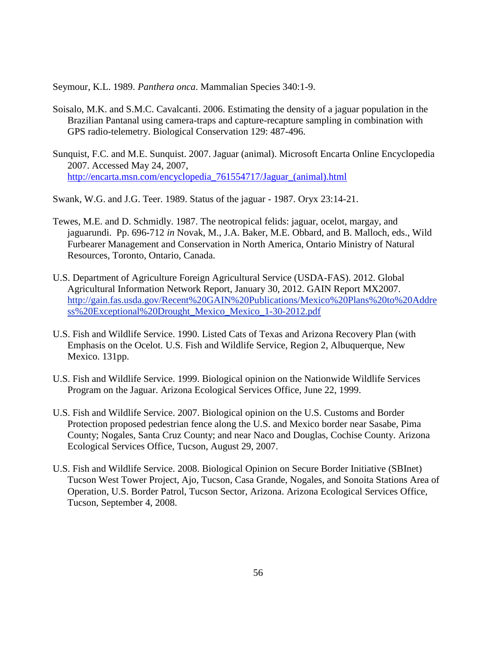Seymour, K.L. 1989. *Panthera onca*. Mammalian Species 340:1-9.

- Soisalo, M.K. and S.M.C. Cavalcanti. 2006. Estimating the density of a jaguar population in the Brazilian Pantanal using camera-traps and capture-recapture sampling in combination with GPS radio-telemetry. Biological Conservation 129: 487-496.
- Sunquist, F.C. and M.E. Sunquist. 2007. Jaguar (animal). Microsoft Encarta Online Encyclopedia 2007. Accessed May 24, 2007, [http://encarta.msn.com/encyclopedia\\_761554717/Jaguar\\_\(animal\).html](http://encarta.msn.com/encyclopedia_761554717/Jaguar_(animal).html)

Swank, W.G. and J.G. Teer. 1989. Status of the jaguar - 1987. Oryx 23:14-21.

- Tewes, M.E. and D. Schmidly. 1987. The neotropical felids: jaguar, ocelot, margay, and jaguarundi. Pp. 696-712 *in* Novak, M., J.A. Baker, M.E. Obbard, and B. Malloch, eds., Wild Furbearer Management and Conservation in North America, Ontario Ministry of Natural Resources, Toronto, Ontario, Canada.
- U.S. Department of Agriculture Foreign Agricultural Service (USDA-FAS). 2012. Global Agricultural Information Network Report, January 30, 2012. GAIN Report MX2007. http://gain.fas.usda.gov/Recent%20GAIN%20Publications/Mexico%20Plans%20to%20Addre ss%20Exceptional%20Drought\_Mexico\_Mexico\_1-30-2012.pdf
- U.S. Fish and Wildlife Service. 1990. Listed Cats of Texas and Arizona Recovery Plan (with Emphasis on the Ocelot. U.S. Fish and Wildlife Service, Region 2, Albuquerque, New Mexico. 131pp.
- U.S. Fish and Wildlife Service. 1999. Biological opinion on the Nationwide Wildlife Services Program on the Jaguar. Arizona Ecological Services Office, June 22, 1999.
- U.S. Fish and Wildlife Service. 2007. Biological opinion on the U.S. Customs and Border Protection proposed pedestrian fence along the U.S. and Mexico border near Sasabe, Pima County; Nogales, Santa Cruz County; and near Naco and Douglas, Cochise County. Arizona Ecological Services Office, Tucson, August 29, 2007.
- U.S. Fish and Wildlife Service. 2008. Biological Opinion on Secure Border Initiative (SBInet) Tucson West Tower Project, Ajo, Tucson, Casa Grande, Nogales, and Sonoita Stations Area of Operation, U.S. Border Patrol, Tucson Sector, Arizona. Arizona Ecological Services Office, Tucson, September 4, 2008.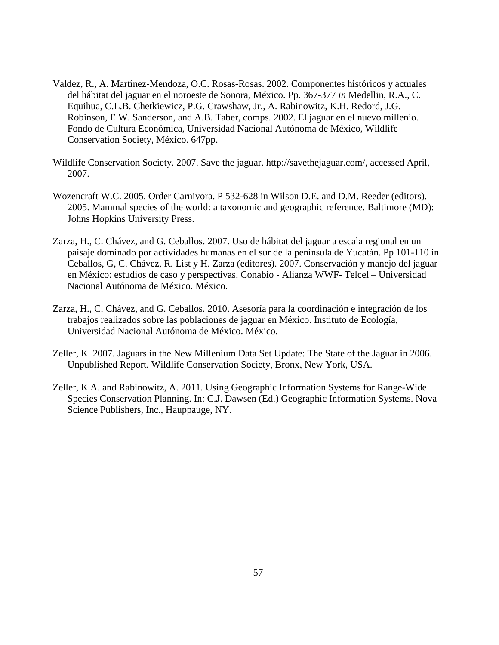- Valdez, R., A. Martínez-Mendoza, O.C. Rosas-Rosas. 2002. Componentes históricos y actuales del hábitat del jaguar en el noroeste de Sonora, México. Pp. 367-377 *in* Medellin, R.A., C. Equihua, C.L.B. Chetkiewicz, P.G. Crawshaw, Jr., A. Rabinowitz, K.H. Redord, J.G. Robinson, E.W. Sanderson, and A.B. Taber, comps. 2002. El jaguar en el nuevo millenio. Fondo de Cultura Económica, Universidad Nacional Autónoma de México, Wildlife Conservation Society, México. 647pp.
- Wildlife Conservation Society. 2007. Save the jaguar. http://savethejaguar.com/, accessed April, 2007.
- Wozencraft W.C. 2005. Order Carnivora. P 532-628 in Wilson D.E. and D.M. Reeder (editors). 2005. Mammal species of the world: a taxonomic and geographic reference. Baltimore (MD): Johns Hopkins University Press.
- Zarza, H., C. Chávez, and G. Ceballos. 2007. Uso de hábitat del jaguar a escala regional en un paisaje dominado por actividades humanas en el sur de la península de Yucatán. Pp 101-110 in Ceballos, G, C. Chávez, R. List y H. Zarza (editores). 2007. Conservación y manejo del jaguar en México: estudios de caso y perspectivas. Conabio - Alianza WWF- Telcel – Universidad Nacional Autónoma de México. México.
- Zarza, H., C. Chávez, and G. Ceballos. 2010. Asesoría para la coordinación e integración de los trabajos realizados sobre las poblaciones de jaguar en México. Instituto de Ecología, Universidad Nacional Autónoma de México. México.
- Zeller, K. 2007. Jaguars in the New Millenium Data Set Update: The State of the Jaguar in 2006. Unpublished Report. Wildlife Conservation Society, Bronx, New York, USA.
- Zeller, K.A. and Rabinowitz, A. 2011. Using Geographic Information Systems for Range-Wide Species Conservation Planning. In: C.J. Dawsen (Ed.) Geographic Information Systems. Nova Science Publishers, Inc., Hauppauge, NY.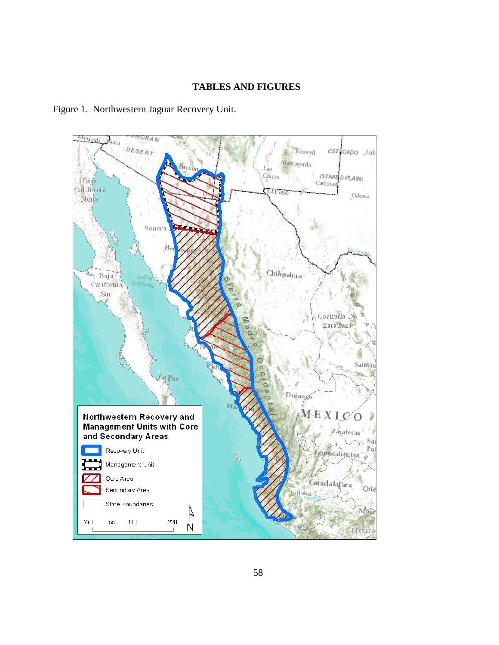### **TABLES AND FIGURES**

Figure 1. Northwestern Jaguar Recovery Unit.